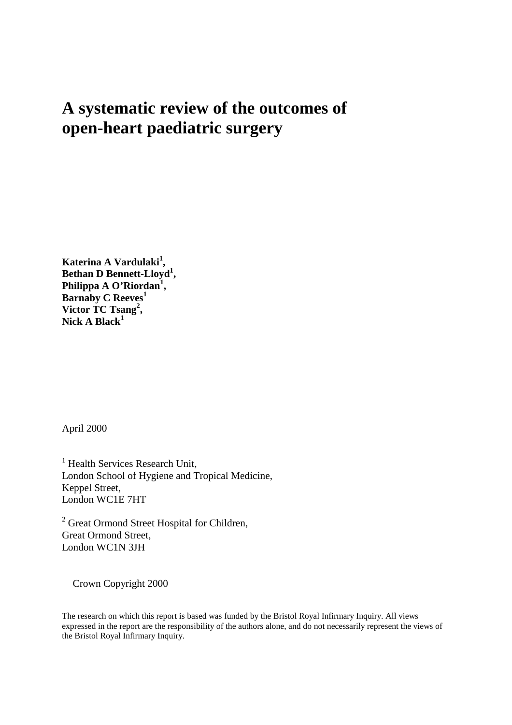# **A systematic review of the outcomes of open-heart paediatric surgery**

**Katerina A Vardulaki<sup>1</sup> , Bethan D Bennett-Lloyd<sup>1</sup> , Philippa A O'Riordan<sup>1</sup> , Barnaby C Reeves<sup>1</sup> Victor TC Tsang<sup>2</sup> , Nick A Black<sup>1</sup>**

April 2000

<sup>1</sup> Health Services Research Unit, London School of Hygiene and Tropical Medicine, Keppel Street, London WC1E 7HT

<sup>2</sup> Great Ormond Street Hospital for Children, Great Ormond Street, London WC1N 3JH

Crown Copyright 2000

The research on which this report is based was funded by the Bristol Royal Infirmary Inquiry. All views expressed in the report are the responsibility of the authors alone, and do not necessarily represent the views of the Bristol Royal Infirmary Inquiry.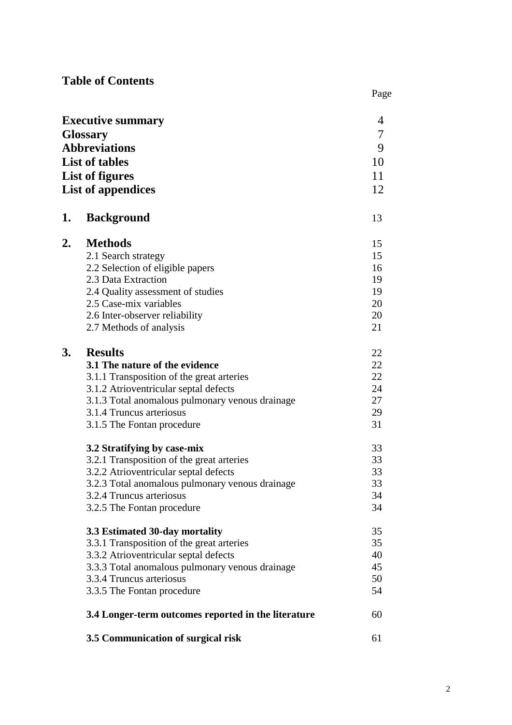# **Table of Contents**

|    |                                                     | Page             |
|----|-----------------------------------------------------|------------------|
|    | <b>Executive summary</b>                            | 4                |
|    | Glossary                                            | $\boldsymbol{7}$ |
|    | <b>Abbreviations</b>                                | 9                |
|    | <b>List of tables</b>                               | 10               |
|    |                                                     | 11               |
|    | List of figures                                     |                  |
|    | <b>List of appendices</b>                           | 12               |
| 1. | <b>Background</b>                                   | 13               |
| 2. | <b>Methods</b>                                      | 15               |
|    | 2.1 Search strategy                                 | 15               |
|    | 2.2 Selection of eligible papers                    | 16               |
|    | 2.3 Data Extraction                                 | 19               |
|    | 2.4 Quality assessment of studies                   | 19               |
|    | 2.5 Case-mix variables                              | 20               |
|    | 2.6 Inter-observer reliability                      | 20               |
|    | 2.7 Methods of analysis                             | 21               |
| 3. | <b>Results</b>                                      | 22               |
|    | 3.1 The nature of the evidence                      | 22               |
|    | 3.1.1 Transposition of the great arteries           | 22               |
|    | 3.1.2 Atrioventricular septal defects               | 24               |
|    | 3.1.3 Total anomalous pulmonary venous drainage     | 27               |
|    | 3.1.4 Truncus arteriosus                            | 29               |
|    | 3.1.5 The Fontan procedure                          | 31               |
|    | 3.2 Stratifying by case-mix                         | 33               |
|    | 3.2.1 Transposition of the great arteries           | 33               |
|    | 3.2.2 Atrioventricular septal defects               | 33               |
|    | 3.2.3 Total anomalous pulmonary venous drainage     | 33               |
|    | 3.2.4 Truncus arteriosus                            | 34               |
|    | 3.2.5 The Fontan procedure                          | 34               |
|    | 3.3 Estimated 30-day mortality                      | 35               |
|    | 3.3.1 Transposition of the great arteries           | 35               |
|    | 3.3.2 Atrioventricular septal defects               | 40               |
|    | 3.3.3 Total anomalous pulmonary venous drainage     | 45               |
|    | 3.3.4 Truncus arteriosus                            | 50               |
|    | 3.3.5 The Fontan procedure                          | 54               |
|    | 3.4 Longer-term outcomes reported in the literature | 60               |
|    | 3.5 Communication of surgical risk                  | 61               |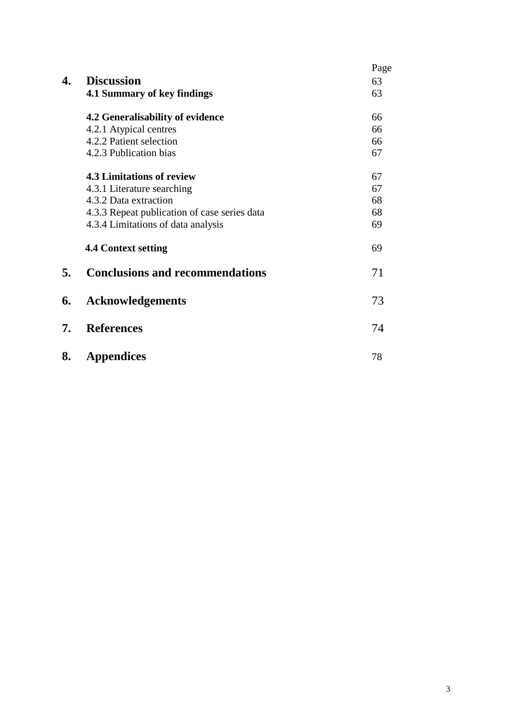|    |                                              | Page |
|----|----------------------------------------------|------|
| 4. | <b>Discussion</b>                            | 63   |
|    | 4.1 Summary of key findings                  | 63   |
|    | 4.2 Generalisability of evidence             | 66   |
|    | 4.2.1 Atypical centres                       | 66   |
|    | 4.2.2 Patient selection                      | 66   |
|    | 4.2.3 Publication bias                       | 67   |
|    | <b>4.3 Limitations of review</b>             | 67   |
|    | 4.3.1 Literature searching                   | 67   |
|    | 4.3.2 Data extraction                        | 68   |
|    | 4.3.3 Repeat publication of case series data | 68   |
|    | 4.3.4 Limitations of data analysis           | 69   |
|    | <b>4.4 Context setting</b>                   | 69   |
| 5. | <b>Conclusions and recommendations</b>       | 71   |
| 6. | <b>Acknowledgements</b>                      | 73   |
| 7. | <b>References</b>                            | 74   |
| 8. | <b>Appendices</b>                            | 78   |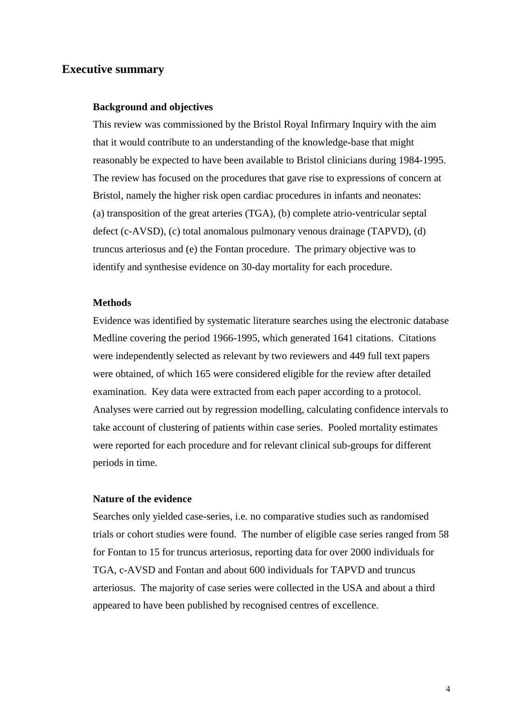### **Executive summary**

#### **Background and objectives**

 This review was commissioned by the Bristol Royal Infirmary Inquiry with the aim that it would contribute to an understanding of the knowledge-base that might reasonably be expected to have been available to Bristol clinicians during 1984-1995. The review has focused on the procedures that gave rise to expressions of concern at Bristol, namely the higher risk open cardiac procedures in infants and neonates: (a) transposition of the great arteries (TGA), (b) complete atrio-ventricular septal defect (c-AVSD), (c) total anomalous pulmonary venous drainage (TAPVD), (d) truncus arteriosus and (e) the Fontan procedure. The primary objective was to identify and synthesise evidence on 30-day mortality for each procedure.

#### **Methods**

 Evidence was identified by systematic literature searches using the electronic database Medline covering the period 1966-1995, which generated 1641 citations. Citations were independently selected as relevant by two reviewers and 449 full text papers were obtained, of which 165 were considered eligible for the review after detailed examination. Key data were extracted from each paper according to a protocol. Analyses were carried out by regression modelling, calculating confidence intervals to take account of clustering of patients within case series. Pooled mortality estimates were reported for each procedure and for relevant clinical sub-groups for different periods in time.

#### **Nature of the evidence**

 Searches only yielded case-series, i.e. no comparative studies such as randomised trials or cohort studies were found. The number of eligible case series ranged from 58 for Fontan to 15 for truncus arteriosus, reporting data for over 2000 individuals for TGA, c-AVSD and Fontan and about 600 individuals for TAPVD and truncus arteriosus. The majority of case series were collected in the USA and about a third appeared to have been published by recognised centres of excellence.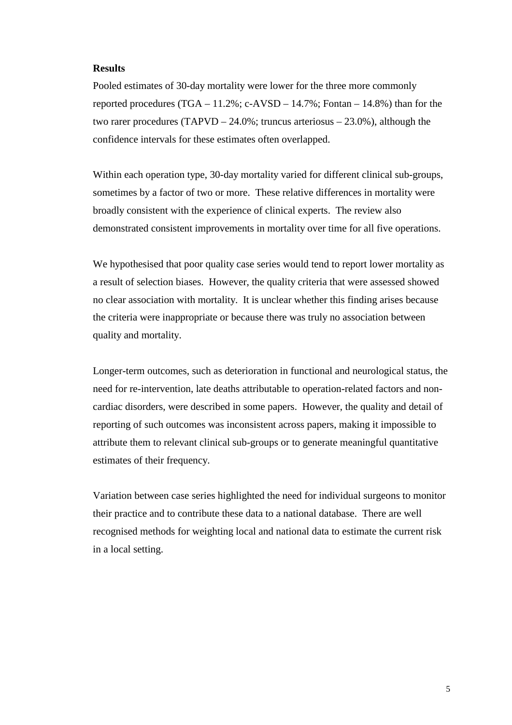#### **Results**

Pooled estimates of 30-day mortality were lower for the three more commonly reported procedures  $(TGA - 11.2\%; c-AVSD - 14.7\%; Fontan - 14.8\%)$  than for the two rarer procedures (TAPVD – 24.0%; truncus arteriosus – 23.0%), although the confidence intervals for these estimates often overlapped.

Within each operation type, 30-day mortality varied for different clinical sub-groups, sometimes by a factor of two or more. These relative differences in mortality were broadly consistent with the experience of clinical experts. The review also demonstrated consistent improvements in mortality over time for all five operations.

We hypothesised that poor quality case series would tend to report lower mortality as a result of selection biases. However, the quality criteria that were assessed showed no clear association with mortality. It is unclear whether this finding arises because the criteria were inappropriate or because there was truly no association between quality and mortality.

Longer-term outcomes, such as deterioration in functional and neurological status, the need for re-intervention, late deaths attributable to operation-related factors and noncardiac disorders, were described in some papers. However, the quality and detail of reporting of such outcomes was inconsistent across papers, making it impossible to attribute them to relevant clinical sub-groups or to generate meaningful quantitative estimates of their frequency.

Variation between case series highlighted the need for individual surgeons to monitor their practice and to contribute these data to a national database. There are well recognised methods for weighting local and national data to estimate the current risk in a local setting.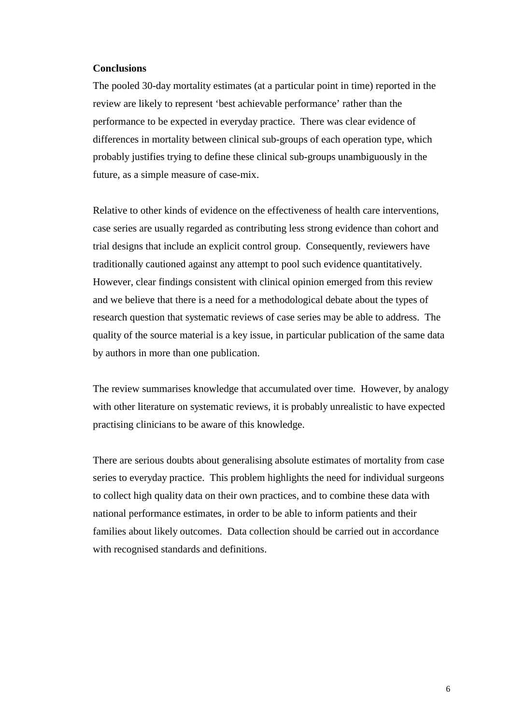#### **Conclusions**

The pooled 30-day mortality estimates (at a particular point in time) reported in the review are likely to represent 'best achievable performance' rather than the performance to be expected in everyday practice. There was clear evidence of differences in mortality between clinical sub-groups of each operation type, which probably justifies trying to define these clinical sub-groups unambiguously in the future, as a simple measure of case-mix.

Relative to other kinds of evidence on the effectiveness of health care interventions, case series are usually regarded as contributing less strong evidence than cohort and trial designs that include an explicit control group. Consequently, reviewers have traditionally cautioned against any attempt to pool such evidence quantitatively. However, clear findings consistent with clinical opinion emerged from this review and we believe that there is a need for a methodological debate about the types of research question that systematic reviews of case series may be able to address. The quality of the source material is a key issue, in particular publication of the same data by authors in more than one publication.

The review summarises knowledge that accumulated over time. However, by analogy with other literature on systematic reviews, it is probably unrealistic to have expected practising clinicians to be aware of this knowledge.

There are serious doubts about generalising absolute estimates of mortality from case series to everyday practice. This problem highlights the need for individual surgeons to collect high quality data on their own practices, and to combine these data with national performance estimates, in order to be able to inform patients and their families about likely outcomes. Data collection should be carried out in accordance with recognised standards and definitions.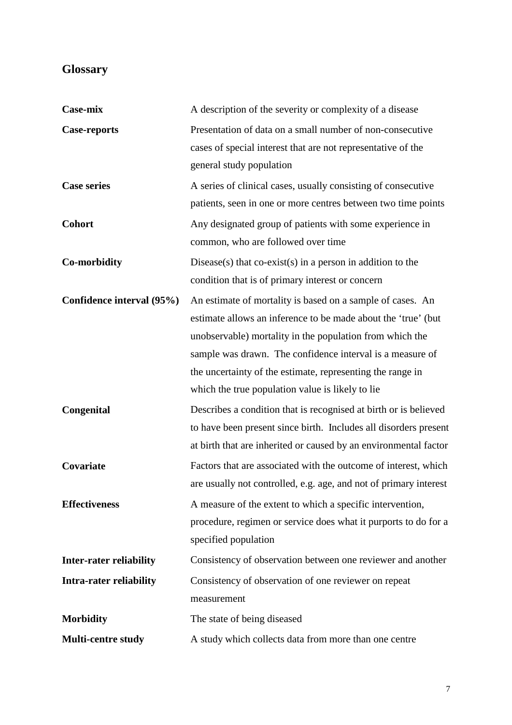# **Glossary**

| Case-mix                       | A description of the severity or complexity of a disease          |
|--------------------------------|-------------------------------------------------------------------|
| <b>Case-reports</b>            | Presentation of data on a small number of non-consecutive         |
|                                | cases of special interest that are not representative of the      |
|                                | general study population                                          |
| <b>Case series</b>             | A series of clinical cases, usually consisting of consecutive     |
|                                | patients, seen in one or more centres between two time points     |
| <b>Cohort</b>                  | Any designated group of patients with some experience in          |
|                                | common, who are followed over time                                |
| <b>Co-morbidity</b>            | Disease(s) that co-exist(s) in a person in addition to the        |
|                                | condition that is of primary interest or concern                  |
| Confidence interval (95%)      | An estimate of mortality is based on a sample of cases. An        |
|                                | estimate allows an inference to be made about the 'true' (but     |
|                                | unobservable) mortality in the population from which the          |
|                                | sample was drawn. The confidence interval is a measure of         |
|                                | the uncertainty of the estimate, representing the range in        |
|                                | which the true population value is likely to lie                  |
| Congenital                     | Describes a condition that is recognised at birth or is believed  |
|                                | to have been present since birth. Includes all disorders present  |
|                                | at birth that are inherited or caused by an environmental factor  |
| Covariate                      | Factors that are associated with the outcome of interest, which   |
|                                | are usually not controlled, e.g. age, and not of primary interest |
| <b>Effectiveness</b>           | A measure of the extent to which a specific intervention,         |
|                                | procedure, regimen or service does what it purports to do for a   |
|                                | specified population                                              |
| <b>Inter-rater reliability</b> | Consistency of observation between one reviewer and another       |
| <b>Intra-rater reliability</b> | Consistency of observation of one reviewer on repeat              |
|                                | measurement                                                       |
| <b>Morbidity</b>               | The state of being diseased                                       |
| <b>Multi-centre study</b>      | A study which collects data from more than one centre             |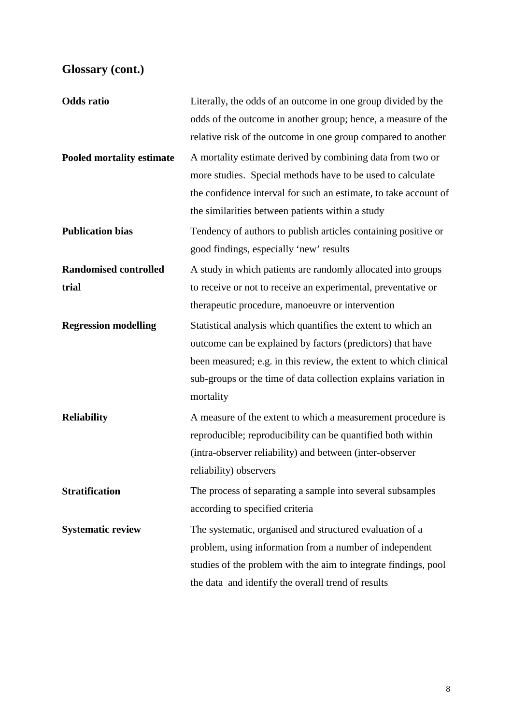# **Glossary (cont.)**

| <b>Odds</b> ratio                | Literally, the odds of an outcome in one group divided by the    |
|----------------------------------|------------------------------------------------------------------|
|                                  | odds of the outcome in another group; hence, a measure of the    |
|                                  | relative risk of the outcome in one group compared to another    |
| <b>Pooled mortality estimate</b> | A mortality estimate derived by combining data from two or       |
|                                  | more studies. Special methods have to be used to calculate       |
|                                  | the confidence interval for such an estimate, to take account of |
|                                  | the similarities between patients within a study                 |
| <b>Publication bias</b>          | Tendency of authors to publish articles containing positive or   |
|                                  | good findings, especially 'new' results                          |
| <b>Randomised controlled</b>     | A study in which patients are randomly allocated into groups     |
| trial                            | to receive or not to receive an experimental, preventative or    |
|                                  | therapeutic procedure, manoeuvre or intervention                 |
| <b>Regression modelling</b>      | Statistical analysis which quantifies the extent to which an     |
|                                  | outcome can be explained by factors (predictors) that have       |
|                                  | been measured; e.g. in this review, the extent to which clinical |
|                                  | sub-groups or the time of data collection explains variation in  |
|                                  | mortality                                                        |
| <b>Reliability</b>               | A measure of the extent to which a measurement procedure is      |
|                                  | reproducible; reproducibility can be quantified both within      |
|                                  | (intra-observer reliability) and between (inter-observer         |
|                                  | reliability) observers                                           |
| <b>Stratification</b>            | The process of separating a sample into several subsamples       |
|                                  | according to specified criteria                                  |
| <b>Systematic review</b>         | The systematic, organised and structured evaluation of a         |
|                                  | problem, using information from a number of independent          |
|                                  | studies of the problem with the aim to integrate findings, pool  |
|                                  | the data and identify the overall trend of results               |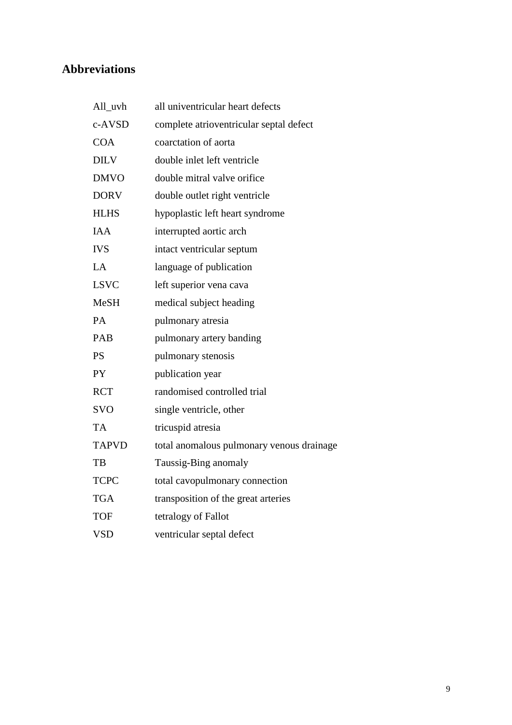# **Abbreviations**

| All_uvh      | all univentricular heart defects          |
|--------------|-------------------------------------------|
| c-AVSD       | complete atrioventricular septal defect   |
| <b>COA</b>   | coarctation of aorta                      |
| <b>DILV</b>  | double inlet left ventricle               |
| <b>DMVO</b>  | double mitral valve orifice               |
| <b>DORV</b>  | double outlet right ventricle             |
| <b>HLHS</b>  | hypoplastic left heart syndrome           |
| <b>IAA</b>   | interrupted aortic arch                   |
| <b>IVS</b>   | intact ventricular septum                 |
| LA           | language of publication                   |
| <b>LSVC</b>  | left superior vena cava                   |
| <b>MeSH</b>  | medical subject heading                   |
| PA.          | pulmonary atresia                         |
| PAB          | pulmonary artery banding                  |
| <b>PS</b>    | pulmonary stenosis                        |
| <b>PY</b>    | publication year                          |
| <b>RCT</b>   | randomised controlled trial               |
| <b>SVO</b>   | single ventricle, other                   |
| <b>TA</b>    | tricuspid atresia                         |
| <b>TAPVD</b> | total anomalous pulmonary venous drainage |
| TB           | Taussig-Bing anomaly                      |
| <b>TCPC</b>  | total cavopulmonary connection            |
| <b>TGA</b>   | transposition of the great arteries       |
| TOF          | tetralogy of Fallot                       |
| <b>VSD</b>   | ventricular septal defect                 |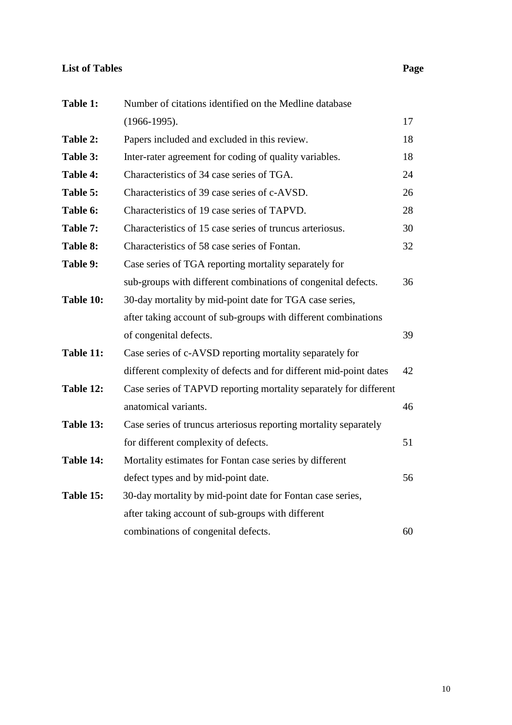### **List of Tables Page**

| Table 1:  | Number of citations identified on the Medline database            |    |
|-----------|-------------------------------------------------------------------|----|
|           | $(1966-1995).$                                                    | 17 |
| Table 2:  | Papers included and excluded in this review.                      | 18 |
| Table 3:  | Inter-rater agreement for coding of quality variables.            | 18 |
| Table 4:  | Characteristics of 34 case series of TGA.                         | 24 |
| Table 5:  | Characteristics of 39 case series of c-AVSD.                      | 26 |
| Table 6:  | Characteristics of 19 case series of TAPVD.                       | 28 |
| Table 7:  | Characteristics of 15 case series of truncus arteriosus.          | 30 |
| Table 8:  | Characteristics of 58 case series of Fontan.                      | 32 |
| Table 9:  | Case series of TGA reporting mortality separately for             |    |
|           | sub-groups with different combinations of congenital defects.     | 36 |
| Table 10: | 30-day mortality by mid-point date for TGA case series,           |    |
|           | after taking account of sub-groups with different combinations    |    |
|           | of congenital defects.                                            | 39 |
| Table 11: | Case series of c-AVSD reporting mortality separately for          |    |
|           | different complexity of defects and for different mid-point dates | 42 |
| Table 12: | Case series of TAPVD reporting mortality separately for different |    |
|           | anatomical variants.                                              | 46 |
| Table 13: | Case series of truncus arteriosus reporting mortality separately  |    |
|           | for different complexity of defects.                              | 51 |
| Table 14: | Mortality estimates for Fontan case series by different           |    |
|           | defect types and by mid-point date.                               | 56 |
| Table 15: | 30-day mortality by mid-point date for Fontan case series,        |    |
|           | after taking account of sub-groups with different                 |    |
|           | combinations of congenital defects.                               | 60 |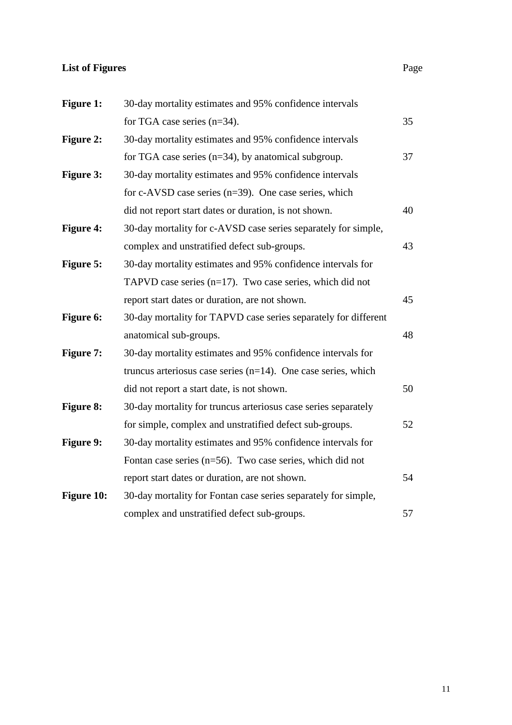# **List of Figures** Page

| <b>Figure 1:</b>  | 30-day mortality estimates and 95% confidence intervals          |    |
|-------------------|------------------------------------------------------------------|----|
|                   | for TGA case series $(n=34)$ .                                   | 35 |
| <b>Figure 2:</b>  | 30-day mortality estimates and 95% confidence intervals          |    |
|                   | for TGA case series $(n=34)$ , by anatomical subgroup.           | 37 |
| <b>Figure 3:</b>  | 30-day mortality estimates and 95% confidence intervals          |    |
|                   | for c-AVSD case series $(n=39)$ . One case series, which         |    |
|                   | did not report start dates or duration, is not shown.            | 40 |
| <b>Figure 4:</b>  | 30-day mortality for c-AVSD case series separately for simple,   |    |
|                   | complex and unstratified defect sub-groups.                      | 43 |
| <b>Figure 5:</b>  | 30-day mortality estimates and 95% confidence intervals for      |    |
|                   | TAPVD case series $(n=17)$ . Two case series, which did not      |    |
|                   | report start dates or duration, are not shown.                   | 45 |
| <b>Figure 6:</b>  | 30-day mortality for TAPVD case series separately for different  |    |
|                   | anatomical sub-groups.                                           | 48 |
| <b>Figure 7:</b>  | 30-day mortality estimates and 95% confidence intervals for      |    |
|                   | truncus arteriosus case series $(n=14)$ . One case series, which |    |
|                   | did not report a start date, is not shown.                       | 50 |
| <b>Figure 8:</b>  | 30-day mortality for truncus arteriosus case series separately   |    |
|                   | for simple, complex and unstratified defect sub-groups.          | 52 |
| <b>Figure 9:</b>  | 30-day mortality estimates and 95% confidence intervals for      |    |
|                   | Fontan case series ( $n=56$ ). Two case series, which did not    |    |
|                   | report start dates or duration, are not shown.                   | 54 |
| <b>Figure 10:</b> | 30-day mortality for Fontan case series separately for simple,   |    |
|                   | complex and unstratified defect sub-groups.                      | 57 |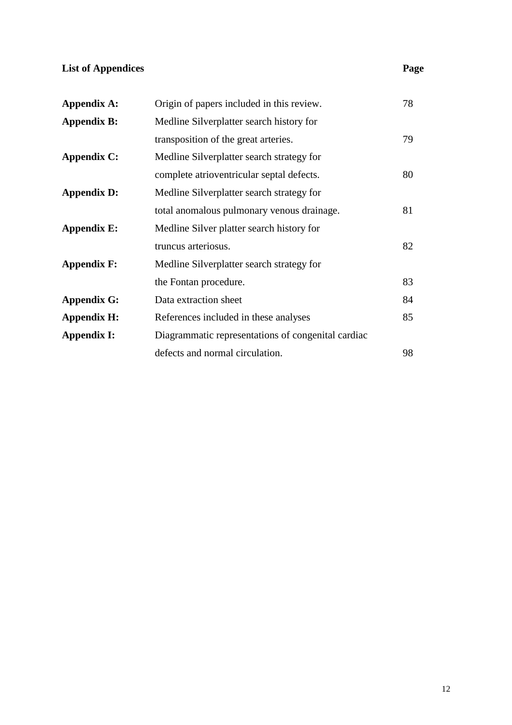# **List of Appendices** Page

| <b>Appendix A:</b> | Origin of papers included in this review.          | 78 |
|--------------------|----------------------------------------------------|----|
| <b>Appendix B:</b> | Medline Silverplatter search history for           |    |
|                    | transposition of the great arteries.               | 79 |
| <b>Appendix C:</b> | Medline Silverplatter search strategy for          |    |
|                    | complete atrioventricular septal defects.          | 80 |
| <b>Appendix D:</b> | Medline Silverplatter search strategy for          |    |
|                    | total anomalous pulmonary venous drainage.         | 81 |
| <b>Appendix E:</b> | Medline Silver platter search history for          |    |
|                    | truncus arteriosus.                                | 82 |
| <b>Appendix F:</b> | Medline Silverplatter search strategy for          |    |
|                    | the Fontan procedure.                              | 83 |
| <b>Appendix G:</b> | Data extraction sheet                              | 84 |
| <b>Appendix H:</b> | References included in these analyses              | 85 |
| <b>Appendix I:</b> | Diagrammatic representations of congenital cardiac |    |
|                    | defects and normal circulation.                    | 98 |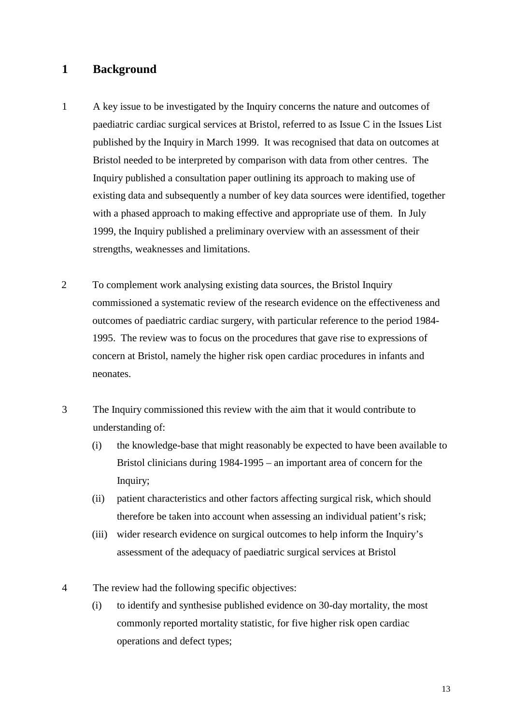### **1 Background**

- 1 A key issue to be investigated by the Inquiry concerns the nature and outcomes of paediatric cardiac surgical services at Bristol, referred to as Issue C in the Issues List published by the Inquiry in March 1999. It was recognised that data on outcomes at Bristol needed to be interpreted by comparison with data from other centres. The Inquiry published a consultation paper outlining its approach to making use of existing data and subsequently a number of key data sources were identified, together with a phased approach to making effective and appropriate use of them. In July 1999, the Inquiry published a preliminary overview with an assessment of their strengths, weaknesses and limitations.
- 2 To complement work analysing existing data sources, the Bristol Inquiry commissioned a systematic review of the research evidence on the effectiveness and outcomes of paediatric cardiac surgery, with particular reference to the period 1984- 1995. The review was to focus on the procedures that gave rise to expressions of concern at Bristol, namely the higher risk open cardiac procedures in infants and neonates.
- 3 The Inquiry commissioned this review with the aim that it would contribute to understanding of:
	- (i) the knowledge-base that might reasonably be expected to have been available to Bristol clinicians during 1984-1995 – an important area of concern for the Inquiry;
	- (ii) patient characteristics and other factors affecting surgical risk, which should therefore be taken into account when assessing an individual patient's risk;
	- (iii) wider research evidence on surgical outcomes to help inform the Inquiry's assessment of the adequacy of paediatric surgical services at Bristol
- 4 The review had the following specific objectives:
	- (i) to identify and synthesise published evidence on 30-day mortality, the most commonly reported mortality statistic, for five higher risk open cardiac operations and defect types;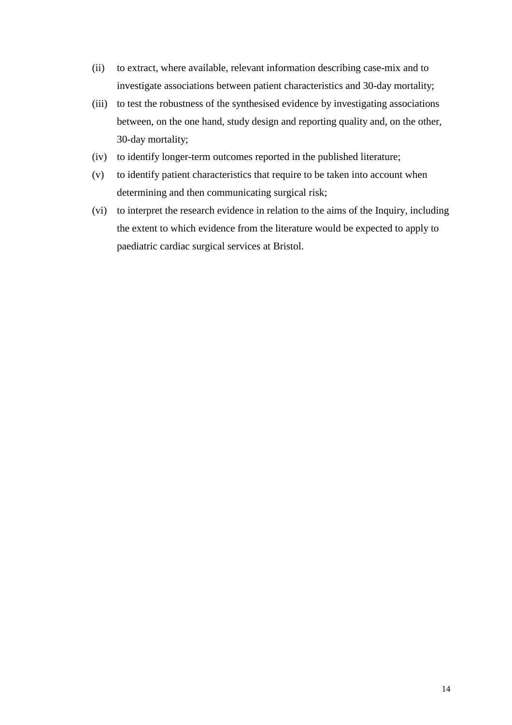- (ii) to extract, where available, relevant information describing case-mix and to investigate associations between patient characteristics and 30-day mortality;
- (iii) to test the robustness of the synthesised evidence by investigating associations between, on the one hand, study design and reporting quality and, on the other, 30-day mortality;
- (iv) to identify longer-term outcomes reported in the published literature;
- (v) to identify patient characteristics that require to be taken into account when determining and then communicating surgical risk;
- (vi) to interpret the research evidence in relation to the aims of the Inquiry, including the extent to which evidence from the literature would be expected to apply to paediatric cardiac surgical services at Bristol.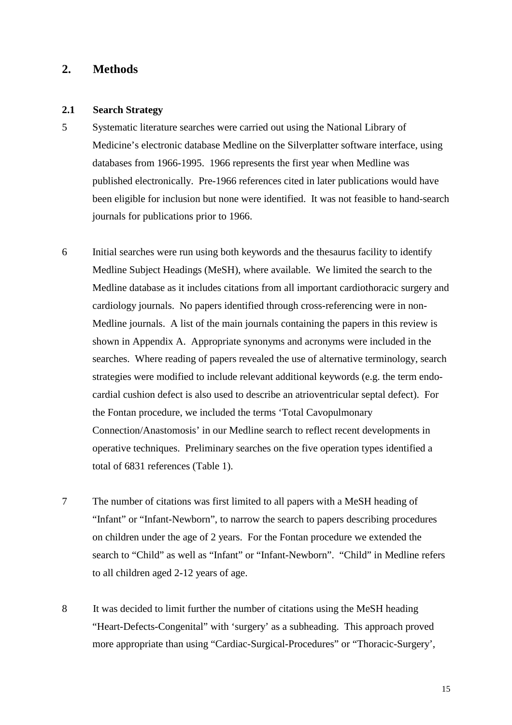### **2. Methods**

#### **2.1 Search Strategy**

- 5 Systematic literature searches were carried out using the National Library of Medicine's electronic database Medline on the Silverplatter software interface, using databases from 1966-1995. 1966 represents the first year when Medline was published electronically. Pre-1966 references cited in later publications would have been eligible for inclusion but none were identified. It was not feasible to hand-search journals for publications prior to 1966.
- 6 Initial searches were run using both keywords and the thesaurus facility to identify Medline Subject Headings (MeSH), where available. We limited the search to the Medline database as it includes citations from all important cardiothoracic surgery and cardiology journals. No papers identified through cross-referencing were in non-Medline journals. A list of the main journals containing the papers in this review is shown in Appendix A. Appropriate synonyms and acronyms were included in the searches. Where reading of papers revealed the use of alternative terminology, search strategies were modified to include relevant additional keywords (e.g. the term endocardial cushion defect is also used to describe an atrioventricular septal defect). For the Fontan procedure, we included the terms 'Total Cavopulmonary Connection/Anastomosis' in our Medline search to reflect recent developments in operative techniques. Preliminary searches on the five operation types identified a total of 6831 references (Table 1).
- 7 The number of citations was first limited to all papers with a MeSH heading of "Infant" or "Infant-Newborn", to narrow the search to papers describing procedures on children under the age of 2 years. For the Fontan procedure we extended the search to "Child" as well as "Infant" or "Infant-Newborn". "Child" in Medline refers to all children aged 2-12 years of age.
- 8 It was decided to limit further the number of citations using the MeSH heading "Heart-Defects-Congenital" with 'surgery' as a subheading. This approach proved more appropriate than using "Cardiac-Surgical-Procedures" or "Thoracic-Surgery',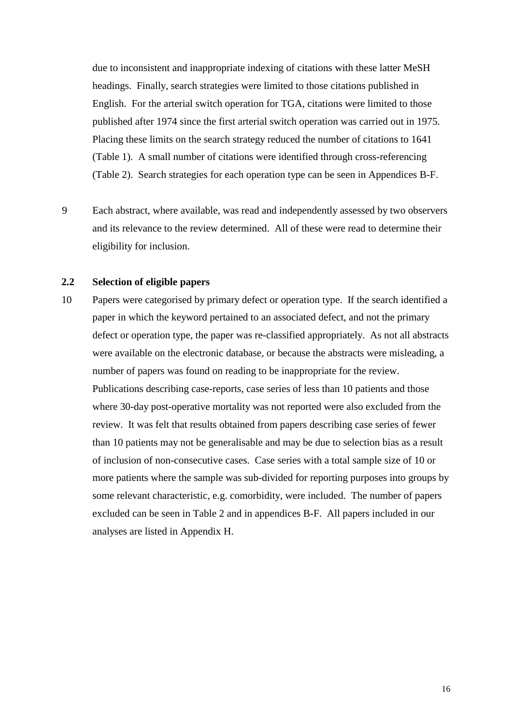due to inconsistent and inappropriate indexing of citations with these latter MeSH headings. Finally, search strategies were limited to those citations published in English. For the arterial switch operation for TGA, citations were limited to those published after 1974 since the first arterial switch operation was carried out in 1975. Placing these limits on the search strategy reduced the number of citations to 1641 (Table 1). A small number of citations were identified through cross-referencing (Table 2). Search strategies for each operation type can be seen in Appendices B-F.

9 Each abstract, where available, was read and independently assessed by two observers and its relevance to the review determined. All of these were read to determine their eligibility for inclusion.

#### **2.2 Selection of eligible papers**

10 Papers were categorised by primary defect or operation type. If the search identified a paper in which the keyword pertained to an associated defect, and not the primary defect or operation type, the paper was re-classified appropriately. As not all abstracts were available on the electronic database, or because the abstracts were misleading, a number of papers was found on reading to be inappropriate for the review. Publications describing case-reports, case series of less than 10 patients and those where 30-day post-operative mortality was not reported were also excluded from the review. It was felt that results obtained from papers describing case series of fewer than 10 patients may not be generalisable and may be due to selection bias as a result of inclusion of non-consecutive cases. Case series with a total sample size of 10 or more patients where the sample was sub-divided for reporting purposes into groups by some relevant characteristic, e.g. comorbidity, were included. The number of papers excluded can be seen in Table 2 and in appendices B-F. All papers included in our analyses are listed in Appendix H.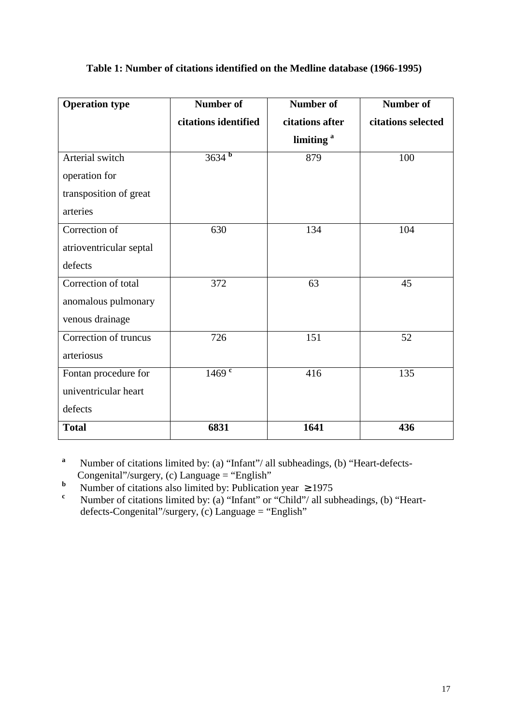| <b>Operation type</b>   | <b>Number of</b>     | <b>Number of</b>      | <b>Number of</b>   |
|-------------------------|----------------------|-----------------------|--------------------|
|                         | citations identified | citations after       | citations selected |
|                         |                      | limiting <sup>a</sup> |                    |
| Arterial switch         | $3634^{b}$           | 879                   | 100                |
| operation for           |                      |                       |                    |
| transposition of great  |                      |                       |                    |
| arteries                |                      |                       |                    |
| Correction of           | 630                  | 134                   | 104                |
| atrioventricular septal |                      |                       |                    |
| defects                 |                      |                       |                    |
| Correction of total     | 372                  | 63                    | 45                 |
| anomalous pulmonary     |                      |                       |                    |
| venous drainage         |                      |                       |                    |
| Correction of truncus   | 726                  | 151                   | 52                 |
| arteriosus              |                      |                       |                    |
| Fontan procedure for    | $1469$ <sup>c</sup>  | 416                   | 135                |
| univentricular heart    |                      |                       |                    |
| defects                 |                      |                       |                    |
| <b>Total</b>            | 6831                 | 1641                  | 436                |

### **Table 1: Number of citations identified on the Medline database (1966-1995)**

- **a** Number of citations limited by: (a) "Infant"/ all subheadings, (b) "Heart-defects-
- Congenital"/surgery, (c) Language = "English"<br>Number of citations also limited by: Publication year  $\geq 1975$ **b**
- **<sup>c</sup>** Number of citations limited by: (a) "Infant" or "Child"/ all subheadings, (b) "Heartdefects-Congenital"/surgery, (c) Language = "English"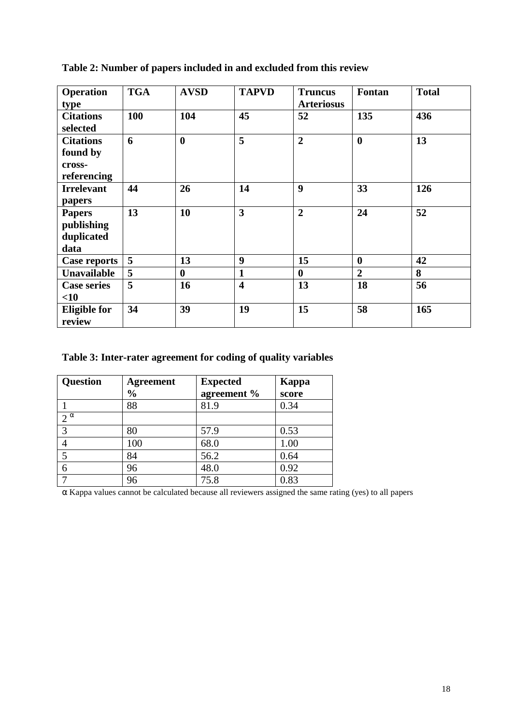| <b>Operation</b><br>type                              | <b>TGA</b> | <b>AVSD</b>      | <b>TAPVD</b>            | <b>Truncus</b><br><b>Arteriosus</b> | Fontan           | <b>Total</b> |
|-------------------------------------------------------|------------|------------------|-------------------------|-------------------------------------|------------------|--------------|
| <b>Citations</b><br>selected                          | 100        | 104              | 45                      | 52                                  | 135              | 436          |
| <b>Citations</b><br>found by<br>cross-<br>referencing | 6          | $\boldsymbol{0}$ | 5                       | $\overline{2}$                      | $\boldsymbol{0}$ | 13           |
| <b>Irrelevant</b><br>papers                           | 44         | 26               | 14                      | 9                                   | 33               | 126          |
| <b>Papers</b><br>publishing<br>duplicated<br>data     | 13         | 10               | 3                       | $\overline{2}$                      | 24               | 52           |
| <b>Case reports</b>                                   | 5          | 13               | 9                       | 15                                  | $\boldsymbol{0}$ | 42           |
| Unavailable                                           | 5          | $\bf{0}$         | 1                       | $\mathbf 0$                         | $\overline{2}$   | 8            |
| <b>Case series</b><br>$<$ 10                          | 5          | 16               | $\overline{\mathbf{4}}$ | 13                                  | 18               | 56           |
| <b>Eligible for</b><br>review                         | 34         | 39               | 19                      | 15                                  | 58               | 165          |

**Table 2: Number of papers included in and excluded from this review** 

# **Table 3: Inter-rater agreement for coding of quality variables**

| Question     | <b>Agreement</b><br>$\frac{0}{0}$ | <b>Expected</b><br>agreement % | Kappa<br>score |
|--------------|-----------------------------------|--------------------------------|----------------|
|              | 88                                | 81.9                           | 0.34           |
| $2^{\alpha}$ |                                   |                                |                |
| 3            | 80                                | 57.9                           | 0.53           |
|              | 100                               | 68.0                           | 1.00           |
|              | 84                                | 56.2                           | 0.64           |
| 6            | 96                                | 48.0                           | 0.92           |
|              | 96                                | 75.8                           | 0.83           |

α Kappa values cannot be calculated because all reviewers assigned the same rating (yes) to all papers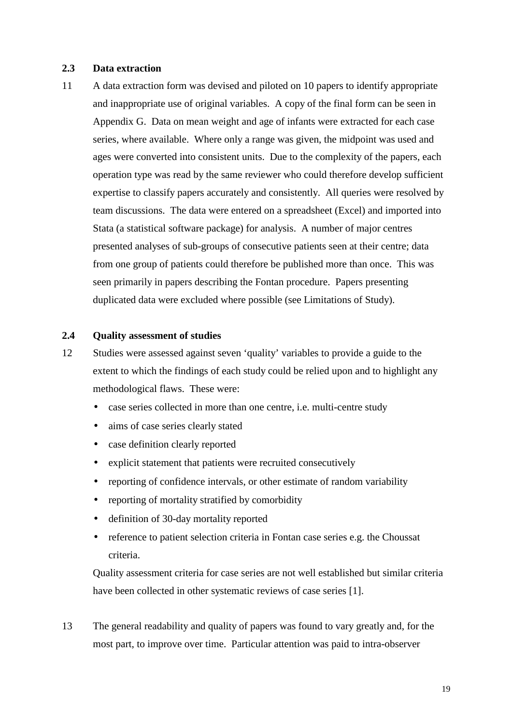#### **2.3 Data extraction**

11 A data extraction form was devised and piloted on 10 papers to identify appropriate and inappropriate use of original variables. A copy of the final form can be seen in Appendix G. Data on mean weight and age of infants were extracted for each case series, where available. Where only a range was given, the midpoint was used and ages were converted into consistent units. Due to the complexity of the papers, each operation type was read by the same reviewer who could therefore develop sufficient expertise to classify papers accurately and consistently. All queries were resolved by team discussions. The data were entered on a spreadsheet (Excel) and imported into Stata (a statistical software package) for analysis. A number of major centres presented analyses of sub-groups of consecutive patients seen at their centre; data from one group of patients could therefore be published more than once. This was seen primarily in papers describing the Fontan procedure. Papers presenting duplicated data were excluded where possible (see Limitations of Study).

#### **2.4 Quality assessment of studies**

- 12 Studies were assessed against seven 'quality' variables to provide a guide to the extent to which the findings of each study could be relied upon and to highlight any methodological flaws. These were:
	- case series collected in more than one centre, i.e. multi-centre study
	- aims of case series clearly stated
	- case definition clearly reported
	- explicit statement that patients were recruited consecutively
	- reporting of confidence intervals, or other estimate of random variability
	- reporting of mortality stratified by comorbidity
	- definition of 30-day mortality reported
	- reference to patient selection criteria in Fontan case series e.g. the Choussat criteria.

Quality assessment criteria for case series are not well established but similar criteria have been collected in other systematic reviews of case series [1].

13 The general readability and quality of papers was found to vary greatly and, for the most part, to improve over time. Particular attention was paid to intra-observer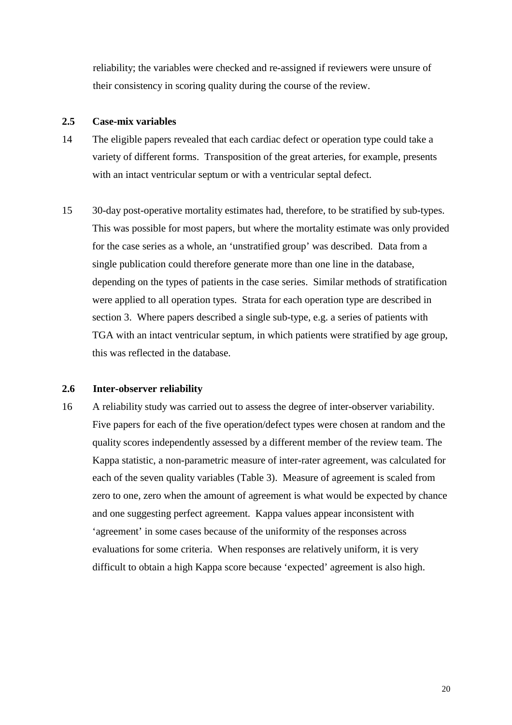reliability; the variables were checked and re-assigned if reviewers were unsure of their consistency in scoring quality during the course of the review.

#### **2.5 Case-mix variables**

- 14 The eligible papers revealed that each cardiac defect or operation type could take a variety of different forms. Transposition of the great arteries, for example, presents with an intact ventricular septum or with a ventricular septal defect.
- 15 30-day post-operative mortality estimates had, therefore, to be stratified by sub-types. This was possible for most papers, but where the mortality estimate was only provided for the case series as a whole, an 'unstratified group' was described. Data from a single publication could therefore generate more than one line in the database, depending on the types of patients in the case series. Similar methods of stratification were applied to all operation types. Strata for each operation type are described in section 3. Where papers described a single sub-type, e.g. a series of patients with TGA with an intact ventricular septum, in which patients were stratified by age group, this was reflected in the database.

#### **2.6 Inter-observer reliability**

16 A reliability study was carried out to assess the degree of inter-observer variability. Five papers for each of the five operation/defect types were chosen at random and the quality scores independently assessed by a different member of the review team. The Kappa statistic, a non-parametric measure of inter-rater agreement, was calculated for each of the seven quality variables (Table 3). Measure of agreement is scaled from zero to one, zero when the amount of agreement is what would be expected by chance and one suggesting perfect agreement. Kappa values appear inconsistent with 'agreement' in some cases because of the uniformity of the responses across evaluations for some criteria. When responses are relatively uniform, it is very difficult to obtain a high Kappa score because 'expected' agreement is also high.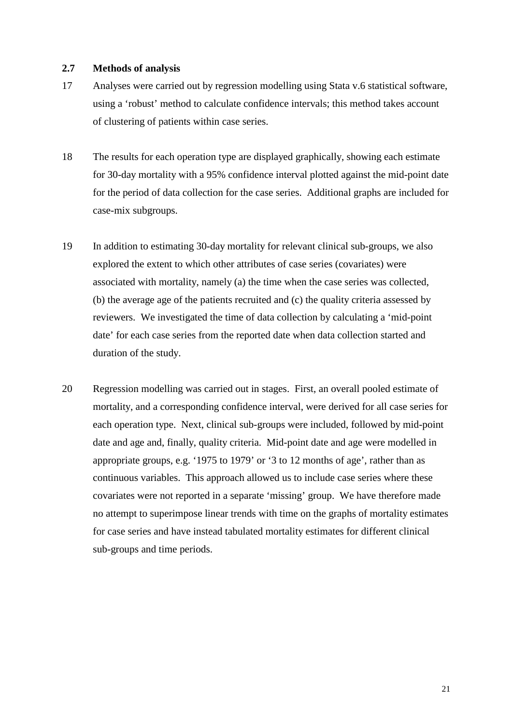#### **2.7 Methods of analysis**

- 17 Analyses were carried out by regression modelling using Stata v.6 statistical software, using a 'robust' method to calculate confidence intervals; this method takes account of clustering of patients within case series.
- 18 The results for each operation type are displayed graphically, showing each estimate for 30-day mortality with a 95% confidence interval plotted against the mid-point date for the period of data collection for the case series. Additional graphs are included for case-mix subgroups.
- 19 In addition to estimating 30-day mortality for relevant clinical sub-groups, we also explored the extent to which other attributes of case series (covariates) were associated with mortality, namely (a) the time when the case series was collected, (b) the average age of the patients recruited and (c) the quality criteria assessed by reviewers. We investigated the time of data collection by calculating a 'mid-point date' for each case series from the reported date when data collection started and duration of the study.
- 20 Regression modelling was carried out in stages. First, an overall pooled estimate of mortality, and a corresponding confidence interval, were derived for all case series for each operation type. Next, clinical sub-groups were included, followed by mid-point date and age and, finally, quality criteria. Mid-point date and age were modelled in appropriate groups, e.g. '1975 to 1979' or '3 to 12 months of age', rather than as continuous variables. This approach allowed us to include case series where these covariates were not reported in a separate 'missing' group. We have therefore made no attempt to superimpose linear trends with time on the graphs of mortality estimates for case series and have instead tabulated mortality estimates for different clinical sub-groups and time periods.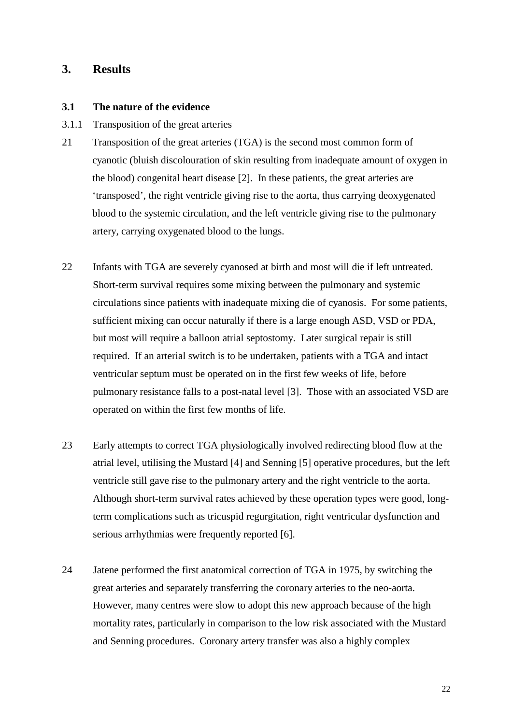### **3. Results**

#### **3.1 The nature of the evidence**

- 3.1.1 Transposition of the great arteries
- 21 Transposition of the great arteries (TGA) is the second most common form of cyanotic (bluish discolouration of skin resulting from inadequate amount of oxygen in the blood) congenital heart disease [2]. In these patients, the great arteries are 'transposed', the right ventricle giving rise to the aorta, thus carrying deoxygenated blood to the systemic circulation, and the left ventricle giving rise to the pulmonary artery, carrying oxygenated blood to the lungs.
- 22 Infants with TGA are severely cyanosed at birth and most will die if left untreated. Short-term survival requires some mixing between the pulmonary and systemic circulations since patients with inadequate mixing die of cyanosis. For some patients, sufficient mixing can occur naturally if there is a large enough ASD, VSD or PDA, but most will require a balloon atrial septostomy. Later surgical repair is still required. If an arterial switch is to be undertaken, patients with a TGA and intact ventricular septum must be operated on in the first few weeks of life, before pulmonary resistance falls to a post-natal level [3]. Those with an associated VSD are operated on within the first few months of life.
- 23 Early attempts to correct TGA physiologically involved redirecting blood flow at the atrial level, utilising the Mustard [4] and Senning [5] operative procedures, but the left ventricle still gave rise to the pulmonary artery and the right ventricle to the aorta. Although short-term survival rates achieved by these operation types were good, longterm complications such as tricuspid regurgitation, right ventricular dysfunction and serious arrhythmias were frequently reported [6].
- 24 Jatene performed the first anatomical correction of TGA in 1975, by switching the great arteries and separately transferring the coronary arteries to the neo-aorta. However, many centres were slow to adopt this new approach because of the high mortality rates, particularly in comparison to the low risk associated with the Mustard and Senning procedures. Coronary artery transfer was also a highly complex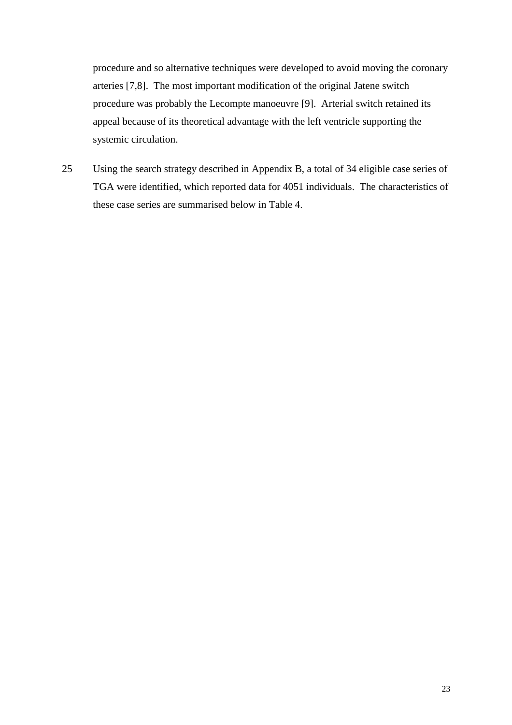procedure and so alternative techniques were developed to avoid moving the coronary arteries [7,8]. The most important modification of the original Jatene switch procedure was probably the Lecompte manoeuvre [9]. Arterial switch retained its appeal because of its theoretical advantage with the left ventricle supporting the systemic circulation.

25 Using the search strategy described in Appendix B, a total of 34 eligible case series of TGA were identified, which reported data for 4051 individuals. The characteristics of these case series are summarised below in Table 4.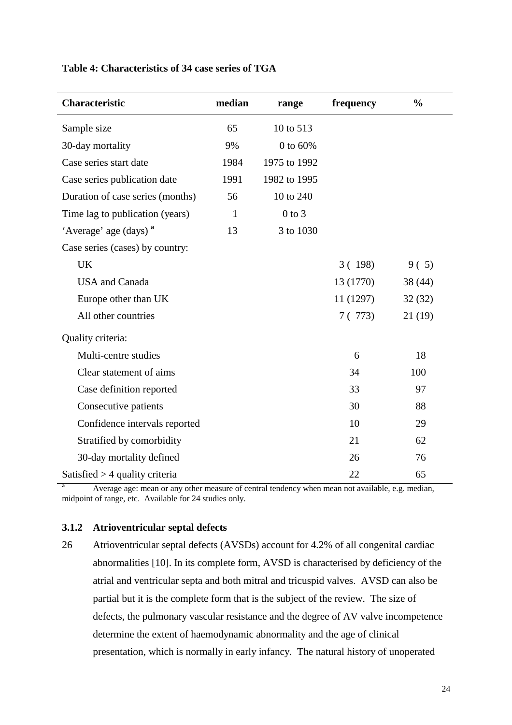| Table 4: Characteristics of 34 case series of TGA |  |
|---------------------------------------------------|--|
|---------------------------------------------------|--|

| <b>Characteristic</b>             | median       | range        | frequency | $\frac{0}{0}$ |
|-----------------------------------|--------------|--------------|-----------|---------------|
| Sample size                       | 65           | 10 to 513    |           |               |
| 30-day mortality                  | 9%           | 0 to 60%     |           |               |
| Case series start date            | 1984         | 1975 to 1992 |           |               |
| Case series publication date      | 1991         | 1982 to 1995 |           |               |
| Duration of case series (months)  | 56           | 10 to 240    |           |               |
| Time lag to publication (years)   | $\mathbf{1}$ | $0$ to $3$   |           |               |
| 'Average' age (days) <sup>a</sup> | 13           | 3 to 1030    |           |               |
| Case series (cases) by country:   |              |              |           |               |
| <b>UK</b>                         |              |              | 3(198)    | 9(5)          |
| <b>USA</b> and Canada             |              |              | 13 (1770) | 38 (44)       |
| Europe other than UK              |              |              | 11 (1297) | 32(32)        |
| All other countries               |              |              | 7(773)    | 21 (19)       |
| Quality criteria:                 |              |              |           |               |
| Multi-centre studies              |              |              | 6         | 18            |
| Clear statement of aims           |              |              | 34        | 100           |
| Case definition reported          |              |              | 33        | 97            |
| Consecutive patients              |              |              | 30        | 88            |
| Confidence intervals reported     |              |              | 10        | 29            |
| Stratified by comorbidity         |              |              | 21        | 62            |
| 30-day mortality defined          |              |              | 26        | 76            |
| Satisfied $>$ 4 quality criteria  |              |              | 22        | 65            |

**a** Average age: mean or any other measure of central tendency when mean not available, e.g. median, midpoint of range, etc. Available for 24 studies only.

### **3.1.2 Atrioventricular septal defects**

26 Atrioventricular septal defects (AVSDs) account for 4.2% of all congenital cardiac abnormalities [10]. In its complete form, AVSD is characterised by deficiency of the atrial and ventricular septa and both mitral and tricuspid valves. AVSD can also be partial but it is the complete form that is the subject of the review. The size of defects, the pulmonary vascular resistance and the degree of AV valve incompetence determine the extent of haemodynamic abnormality and the age of clinical presentation, which is normally in early infancy. The natural history of unoperated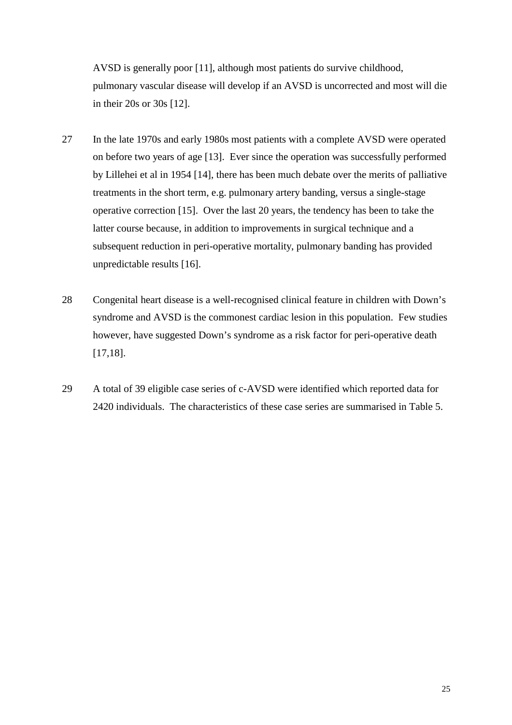AVSD is generally poor [11], although most patients do survive childhood, pulmonary vascular disease will develop if an AVSD is uncorrected and most will die in their 20s or 30s [12].

- 27 In the late 1970s and early 1980s most patients with a complete AVSD were operated on before two years of age [13]. Ever since the operation was successfully performed by Lillehei et al in 1954 [14], there has been much debate over the merits of palliative treatments in the short term, e.g. pulmonary artery banding, versus a single-stage operative correction [15]. Over the last 20 years, the tendency has been to take the latter course because, in addition to improvements in surgical technique and a subsequent reduction in peri-operative mortality, pulmonary banding has provided unpredictable results [16].
- 28 Congenital heart disease is a well-recognised clinical feature in children with Down's syndrome and AVSD is the commonest cardiac lesion in this population. Few studies however, have suggested Down's syndrome as a risk factor for peri-operative death [17,18].
- 29 A total of 39 eligible case series of c-AVSD were identified which reported data for 2420 individuals. The characteristics of these case series are summarised in Table 5.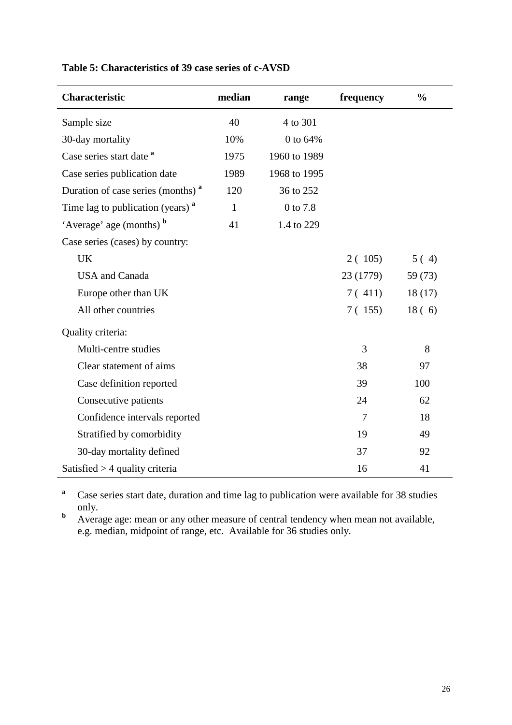| Characteristic                                | median       | range        | frequency | $\frac{0}{0}$ |
|-----------------------------------------------|--------------|--------------|-----------|---------------|
| Sample size                                   | 40           | 4 to 301     |           |               |
| 30-day mortality                              | 10%          | 0 to 64%     |           |               |
| Case series start date <sup>a</sup>           | 1975         | 1960 to 1989 |           |               |
| Case series publication date                  | 1989         | 1968 to 1995 |           |               |
| Duration of case series (months) <sup>a</sup> | 120          | 36 to 252    |           |               |
| Time lag to publication (years) <sup>a</sup>  | $\mathbf{1}$ | 0 to 7.8     |           |               |
| 'Average' age (months) <b>b</b>               | 41           | 1.4 to 229   |           |               |
| Case series (cases) by country:               |              |              |           |               |
| <b>UK</b>                                     |              |              | 2(105)    | 5(4)          |
| <b>USA</b> and Canada                         |              |              | 23 (1779) | 59 (73)       |
| Europe other than UK                          |              |              | 7(411)    | 18(17)        |
| All other countries                           |              |              | 7(155)    | 18(6)         |
| Quality criteria:                             |              |              |           |               |
| Multi-centre studies                          |              |              | 3         | 8             |
| Clear statement of aims                       |              |              | 38        | 97            |
| Case definition reported                      |              |              | 39        | 100           |
| Consecutive patients                          |              |              | 24        | 62            |
| Confidence intervals reported                 |              |              | $\tau$    | 18            |
| Stratified by comorbidity                     |              |              | 19        | 49            |
| 30-day mortality defined                      |              |              | 37        | 92            |
| Satisfied $>$ 4 quality criteria              |              |              | 16        | 41            |

### **Table 5: Characteristics of 39 case series of c-AVSD**

**a** Case series start date, duration and time lag to publication were available for 38 studies only.

**b** Average age: mean or any other measure of central tendency when mean not available, e.g. median, midpoint of range, etc. Available for 36 studies only.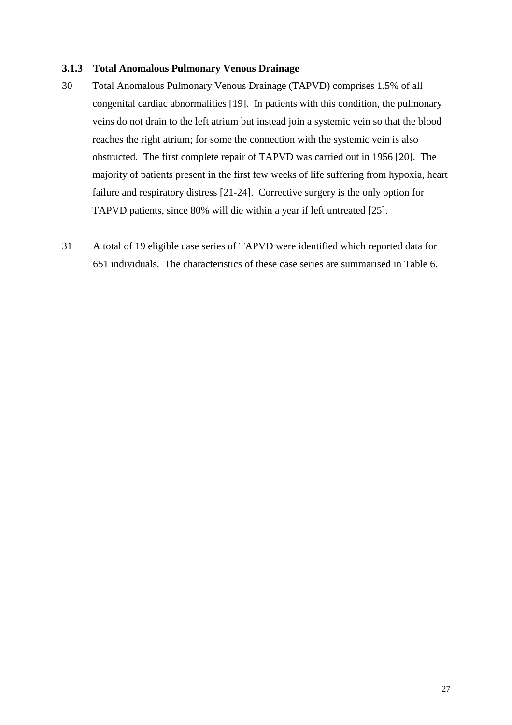#### **3.1.3 Total Anomalous Pulmonary Venous Drainage**

- 30 Total Anomalous Pulmonary Venous Drainage (TAPVD) comprises 1.5% of all congenital cardiac abnormalities [19]. In patients with this condition, the pulmonary veins do not drain to the left atrium but instead join a systemic vein so that the blood reaches the right atrium; for some the connection with the systemic vein is also obstructed. The first complete repair of TAPVD was carried out in 1956 [20]. The majority of patients present in the first few weeks of life suffering from hypoxia, heart failure and respiratory distress [21-24]. Corrective surgery is the only option for TAPVD patients, since 80% will die within a year if left untreated [25].
- 31 A total of 19 eligible case series of TAPVD were identified which reported data for 651 individuals. The characteristics of these case series are summarised in Table 6.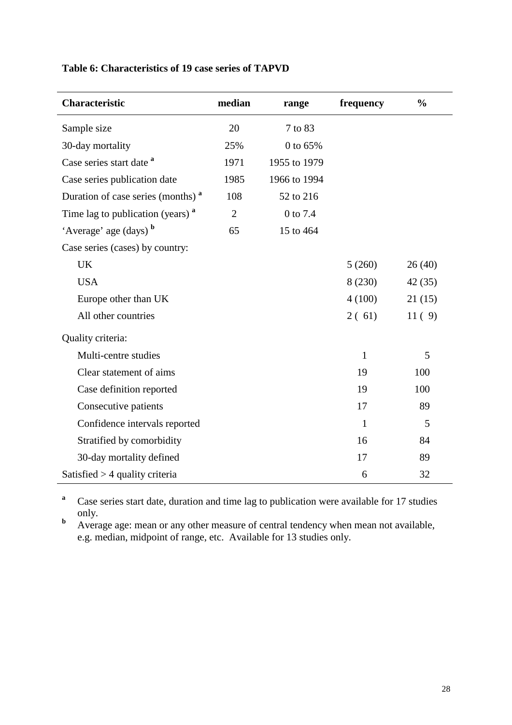### **Table 6: Characteristics of 19 case series of TAPVD**

| Characteristic                                | median         | range        | frequency    | $\frac{0}{0}$ |
|-----------------------------------------------|----------------|--------------|--------------|---------------|
| Sample size                                   | 20             | 7 to 83      |              |               |
| 30-day mortality                              | 25%            | 0 to 65%     |              |               |
| Case series start date <sup>a</sup>           | 1971           | 1955 to 1979 |              |               |
| Case series publication date                  | 1985           | 1966 to 1994 |              |               |
| Duration of case series (months) <sup>a</sup> | 108            | 52 to 216    |              |               |
| Time lag to publication (years) <sup>a</sup>  | $\overline{2}$ | 0 to 7.4     |              |               |
| 'Average' age (days) b                        | 65             | 15 to 464    |              |               |
| Case series (cases) by country:               |                |              |              |               |
| <b>UK</b>                                     |                |              | 5(260)       | 26(40)        |
| <b>USA</b>                                    |                |              | 8 (230)      | 42(35)        |
| Europe other than UK                          |                |              | 4(100)       | 21(15)        |
| All other countries                           |                |              | 2(61)        | 11(9)         |
| Quality criteria:                             |                |              |              |               |
| Multi-centre studies                          |                |              | $\mathbf{1}$ | 5             |
| Clear statement of aims                       |                |              | 19           | 100           |
| Case definition reported                      |                |              | 19           | 100           |
| Consecutive patients                          |                |              | 17           | 89            |
| Confidence intervals reported                 |                |              | $\mathbf{1}$ | 5             |
| Stratified by comorbidity                     |                |              | 16           | 84            |
| 30-day mortality defined                      |                |              | 17           | 89            |
| Satisfied $>$ 4 quality criteria              |                |              | 6            | 32            |

**a** Case series start date, duration and time lag to publication were available for 17 studies only.

**b** Average age: mean or any other measure of central tendency when mean not available, e.g. median, midpoint of range, etc. Available for 13 studies only.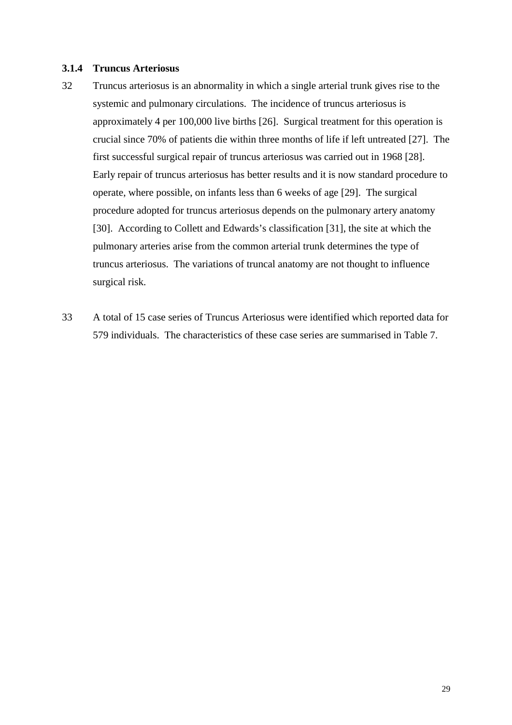#### **3.1.4 Truncus Arteriosus**

- 32 Truncus arteriosus is an abnormality in which a single arterial trunk gives rise to the systemic and pulmonary circulations. The incidence of truncus arteriosus is approximately 4 per 100,000 live births [26]. Surgical treatment for this operation is crucial since 70% of patients die within three months of life if left untreated [27]. The first successful surgical repair of truncus arteriosus was carried out in 1968 [28]. Early repair of truncus arteriosus has better results and it is now standard procedure to operate, where possible, on infants less than 6 weeks of age [29]. The surgical procedure adopted for truncus arteriosus depends on the pulmonary artery anatomy [30]. According to Collett and Edwards's classification [31], the site at which the pulmonary arteries arise from the common arterial trunk determines the type of truncus arteriosus. The variations of truncal anatomy are not thought to influence surgical risk.
- 33 A total of 15 case series of Truncus Arteriosus were identified which reported data for 579 individuals. The characteristics of these case series are summarised in Table 7.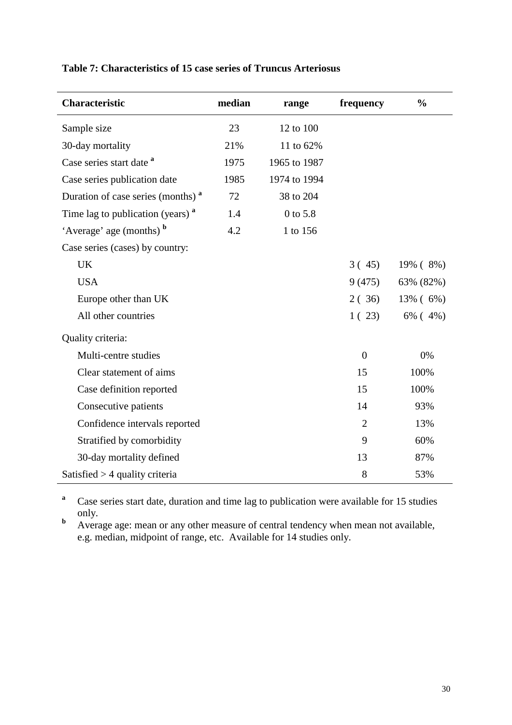| Table 7: Characteristics of 15 case series of Truncus Arteriosus |  |  |
|------------------------------------------------------------------|--|--|
|------------------------------------------------------------------|--|--|

| Characteristic                                | median | range        | frequency      | $\frac{0}{0}$ |
|-----------------------------------------------|--------|--------------|----------------|---------------|
| Sample size                                   | 23     | 12 to 100    |                |               |
| 30-day mortality                              | 21%    | 11 to 62%    |                |               |
| Case series start date <sup>a</sup>           | 1975   | 1965 to 1987 |                |               |
| Case series publication date                  | 1985   | 1974 to 1994 |                |               |
| Duration of case series (months) <sup>a</sup> | 72     | 38 to 204    |                |               |
| Time lag to publication (years) <sup>a</sup>  | 1.4    | 0 to 5.8     |                |               |
| 'Average' age (months) <b>b</b>               | 4.2    | 1 to 156     |                |               |
| Case series (cases) by country:               |        |              |                |               |
| <b>UK</b>                                     |        |              | 3(45)          | 19% (8%)      |
| <b>USA</b>                                    |        |              | 9(475)         | 63% (82%)     |
| Europe other than UK                          |        |              | 2(36)          | 13% (6%)      |
| All other countries                           |        |              | 1(23)          | $6\%$ (4%)    |
| Quality criteria:                             |        |              |                |               |
| Multi-centre studies                          |        |              | $\overline{0}$ | 0%            |
| Clear statement of aims                       |        |              | 15             | 100%          |
| Case definition reported                      |        |              | 15             | 100%          |
| Consecutive patients                          |        |              | 14             | 93%           |
| Confidence intervals reported                 |        |              | $\overline{2}$ | 13%           |
| Stratified by comorbidity                     |        |              | 9              | 60%           |
| 30-day mortality defined                      |        |              | 13             | 87%           |
| Satisfied $>$ 4 quality criteria              |        |              | 8              | 53%           |

**a** Case series start date, duration and time lag to publication were available for 15 studies only.

**b** Average age: mean or any other measure of central tendency when mean not available, e.g. median, midpoint of range, etc. Available for 14 studies only.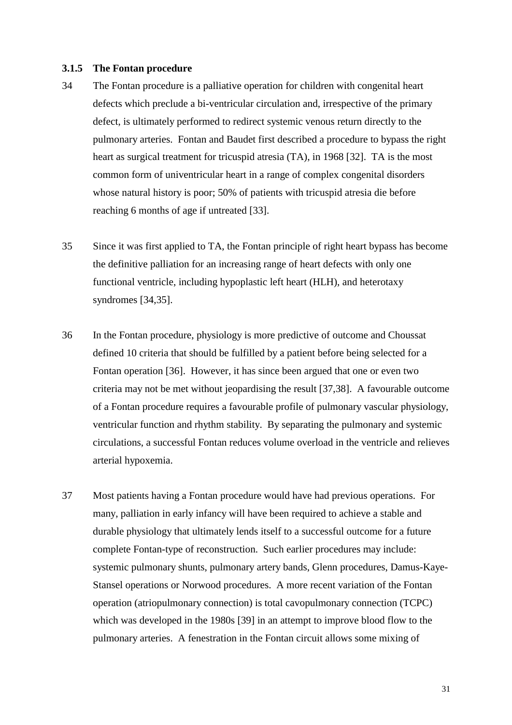#### **3.1.5 The Fontan procedure**

- 34 The Fontan procedure is a palliative operation for children with congenital heart defects which preclude a bi-ventricular circulation and, irrespective of the primary defect, is ultimately performed to redirect systemic venous return directly to the pulmonary arteries. Fontan and Baudet first described a procedure to bypass the right heart as surgical treatment for tricuspid atresia (TA), in 1968 [32]. TA is the most common form of univentricular heart in a range of complex congenital disorders whose natural history is poor; 50% of patients with tricuspid atresia die before reaching 6 months of age if untreated [33].
- 35 Since it was first applied to TA, the Fontan principle of right heart bypass has become the definitive palliation for an increasing range of heart defects with only one functional ventricle, including hypoplastic left heart (HLH), and heterotaxy syndromes [34,35].
- 36 In the Fontan procedure, physiology is more predictive of outcome and Choussat defined 10 criteria that should be fulfilled by a patient before being selected for a Fontan operation [36]. However, it has since been argued that one or even two criteria may not be met without jeopardising the result [37,38]. A favourable outcome of a Fontan procedure requires a favourable profile of pulmonary vascular physiology, ventricular function and rhythm stability. By separating the pulmonary and systemic circulations, a successful Fontan reduces volume overload in the ventricle and relieves arterial hypoxemia.
- 37 Most patients having a Fontan procedure would have had previous operations. For many, palliation in early infancy will have been required to achieve a stable and durable physiology that ultimately lends itself to a successful outcome for a future complete Fontan-type of reconstruction. Such earlier procedures may include: systemic pulmonary shunts, pulmonary artery bands, Glenn procedures, Damus-Kaye-Stansel operations or Norwood procedures. A more recent variation of the Fontan operation (atriopulmonary connection) is total cavopulmonary connection (TCPC) which was developed in the 1980s [39] in an attempt to improve blood flow to the pulmonary arteries. A fenestration in the Fontan circuit allows some mixing of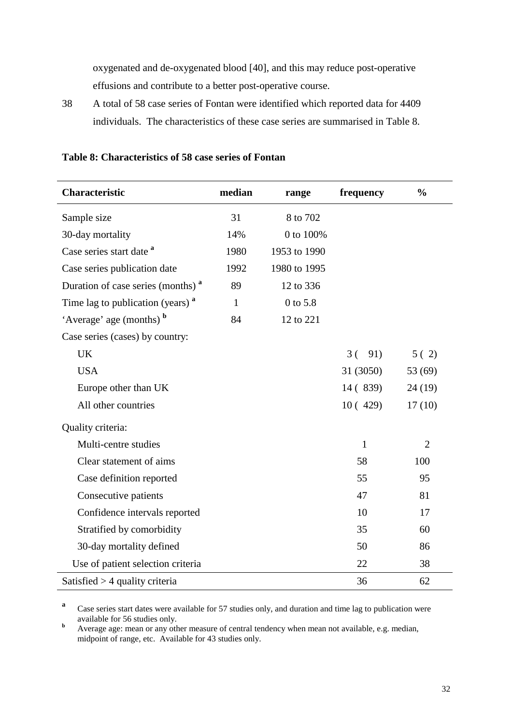oxygenated and de-oxygenated blood [40], and this may reduce post-operative effusions and contribute to a better post-operative course.

38 A total of 58 case series of Fontan were identified which reported data for 4409 individuals. The characteristics of these case series are summarised in Table 8.

| <b>Characteristic</b>                         | median       | range        | frequency    | $\frac{0}{0}$  |
|-----------------------------------------------|--------------|--------------|--------------|----------------|
| Sample size                                   | 31           | 8 to 702     |              |                |
| 30-day mortality                              | 14%          | 0 to 100%    |              |                |
| Case series start date <sup>a</sup>           | 1980         | 1953 to 1990 |              |                |
| Case series publication date                  | 1992         | 1980 to 1995 |              |                |
| Duration of case series (months) <sup>a</sup> | 89           | 12 to 336    |              |                |
| Time lag to publication (years) <sup>a</sup>  | $\mathbf{1}$ | 0 to 5.8     |              |                |
| 'Average' age (months) b                      | 84           | 12 to 221    |              |                |
| Case series (cases) by country:               |              |              |              |                |
| <b>UK</b>                                     |              |              | $3(-91)$     | 5(2)           |
| <b>USA</b>                                    |              |              | 31 (3050)    | 53 (69)        |
| Europe other than UK                          |              |              | 14 (839)     | 24 (19)        |
| All other countries                           |              |              | 10(429)      | 17(10)         |
| Quality criteria:                             |              |              |              |                |
| Multi-centre studies                          |              |              | $\mathbf{1}$ | $\overline{2}$ |
| Clear statement of aims                       |              |              | 58           | 100            |
| Case definition reported                      |              |              | 55           | 95             |
| Consecutive patients                          |              |              | 47           | 81             |
| Confidence intervals reported                 |              |              | 10           | 17             |
| Stratified by comorbidity                     |              |              | 35           | 60             |
| 30-day mortality defined                      |              |              | 50           | 86             |
| Use of patient selection criteria             |              |              | 22           | 38             |
| Satisfied $>$ 4 quality criteria              |              |              | 36           | 62             |

#### **Table 8: Characteristics of 58 case series of Fontan**

**a** Case series start dates were available for 57 studies only, and duration and time lag to publication were available for 56 studies only.<br>**b** Average age: mean or any other

 Average age: mean or any other measure of central tendency when mean not available, e.g. median, midpoint of range, etc. Available for 43 studies only.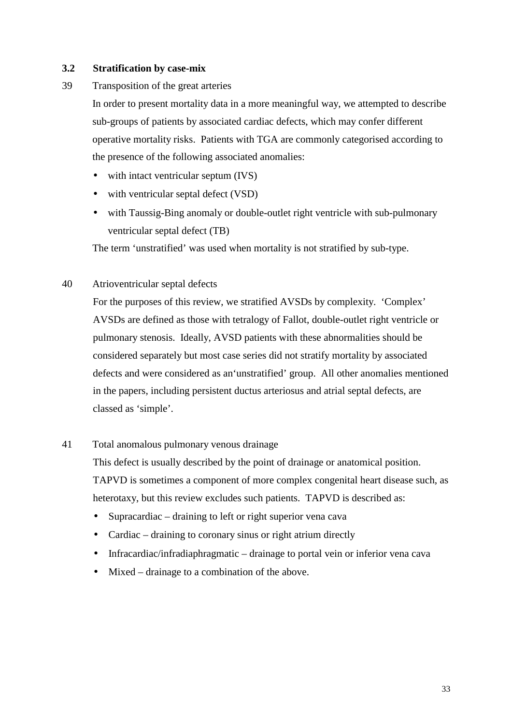#### **3.2 Stratification by case-mix**

39 Transposition of the great arteries

In order to present mortality data in a more meaningful way, we attempted to describe sub-groups of patients by associated cardiac defects, which may confer different operative mortality risks. Patients with TGA are commonly categorised according to the presence of the following associated anomalies:

- with intact ventricular septum (IVS)
- with ventricular septal defect (VSD)
- with Taussig-Bing anomaly or double-outlet right ventricle with sub-pulmonary ventricular septal defect (TB)

The term 'unstratified' was used when mortality is not stratified by sub-type.

40 Atrioventricular septal defects

For the purposes of this review, we stratified AVSDs by complexity. 'Complex' AVSDs are defined as those with tetralogy of Fallot, double-outlet right ventricle or pulmonary stenosis. Ideally, AVSD patients with these abnormalities should be considered separately but most case series did not stratify mortality by associated defects and were considered as an'unstratified' group. All other anomalies mentioned in the papers, including persistent ductus arteriosus and atrial septal defects, are classed as 'simple'.

#### 41 Total anomalous pulmonary venous drainage

This defect is usually described by the point of drainage or anatomical position. TAPVD is sometimes a component of more complex congenital heart disease such, as heterotaxy, but this review excludes such patients. TAPVD is described as:

- Supracardiac draining to left or right superior vena cava
- Cardiac draining to coronary sinus or right atrium directly
- Infracardiac/infradiaphragmatic drainage to portal vein or inferior vena cava
- Mixed drainage to a combination of the above.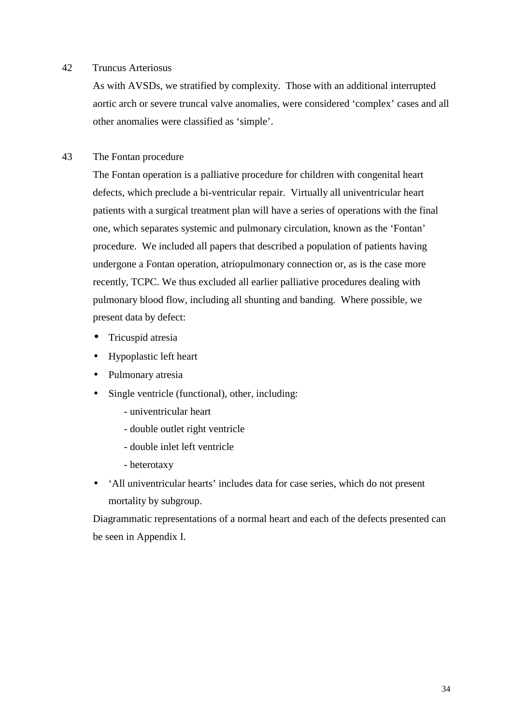#### 42 Truncus Arteriosus

As with AVSDs, we stratified by complexity. Those with an additional interrupted aortic arch or severe truncal valve anomalies, were considered 'complex' cases and all other anomalies were classified as 'simple'.

#### 43 The Fontan procedure

The Fontan operation is a palliative procedure for children with congenital heart defects, which preclude a bi-ventricular repair. Virtually all univentricular heart patients with a surgical treatment plan will have a series of operations with the final one, which separates systemic and pulmonary circulation, known as the 'Fontan' procedure. We included all papers that described a population of patients having undergone a Fontan operation, atriopulmonary connection or, as is the case more recently, TCPC. We thus excluded all earlier palliative procedures dealing with pulmonary blood flow, including all shunting and banding. Where possible, we present data by defect:

- Tricuspid atresia
- Hypoplastic left heart
- Pulmonary atresia
- Single ventricle (functional), other, including:
	- univentricular heart
	- double outlet right ventricle
	- double inlet left ventricle
	- heterotaxy
- 'All univentricular hearts' includes data for case series, which do not present mortality by subgroup.

Diagrammatic representations of a normal heart and each of the defects presented can be seen in Appendix I.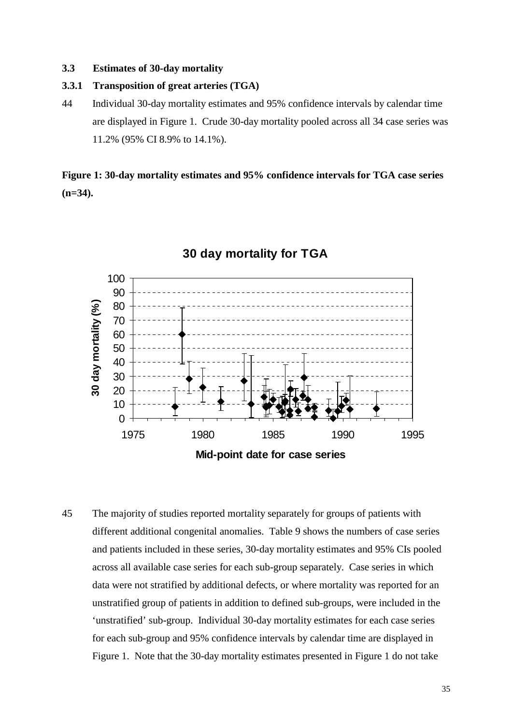#### **3.3 Estimates of 30-day mortality**

#### **3.3.1 Transposition of great arteries (TGA)**

44 Individual 30-day mortality estimates and 95% confidence intervals by calendar time are displayed in Figure 1. Crude 30-day mortality pooled across all 34 case series was 11.2% (95% CI 8.9% to 14.1%).

## **Figure 1: 30-day mortality estimates and 95% confidence intervals for TGA case series (n=34).**



### **30 day mortality for TGA**

45 The majority of studies reported mortality separately for groups of patients with different additional congenital anomalies. Table 9 shows the numbers of case series and patients included in these series, 30-day mortality estimates and 95% CIs pooled across all available case series for each sub-group separately. Case series in which data were not stratified by additional defects, or where mortality was reported for an unstratified group of patients in addition to defined sub-groups, were included in the 'unstratified' sub-group. Individual 30-day mortality estimates for each case series for each sub-group and 95% confidence intervals by calendar time are displayed in Figure 1. Note that the 30-day mortality estimates presented in Figure 1 do not take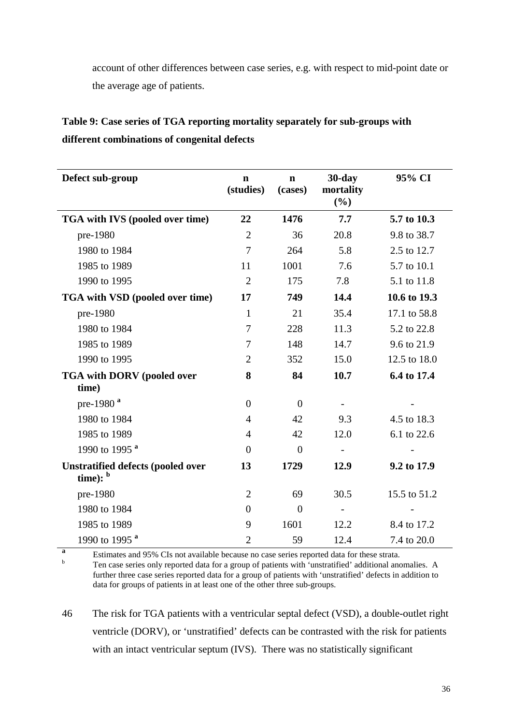account of other differences between case series, e.g. with respect to mid-point date or the average age of patients.

| Defect sub-group                                       | $\mathbf n$<br>(studies) | $\mathbf n$<br>(cases) | $30$ -day<br>mortality<br>(%) | 95% CI       |
|--------------------------------------------------------|--------------------------|------------------------|-------------------------------|--------------|
| TGA with IVS (pooled over time)                        | 22                       | 1476                   | 7.7                           | 5.7 to 10.3  |
| pre-1980                                               | $\overline{2}$           | 36                     | 20.8                          | 9.8 to 38.7  |
| 1980 to 1984                                           | $\overline{7}$           | 264                    | 5.8                           | 2.5 to 12.7  |
| 1985 to 1989                                           | 11                       | 1001                   | 7.6                           | 5.7 to 10.1  |
| 1990 to 1995                                           | $\overline{2}$           | 175                    | 7.8                           | 5.1 to 11.8  |
| TGA with VSD (pooled over time)                        | 17                       | 749                    | 14.4                          | 10.6 to 19.3 |
| pre-1980                                               | $\mathbf{1}$             | 21                     | 35.4                          | 17.1 to 58.8 |
| 1980 to 1984                                           | $\tau$                   | 228                    | 11.3                          | 5.2 to 22.8  |
| 1985 to 1989                                           | $\tau$                   | 148                    | 14.7                          | 9.6 to 21.9  |
| 1990 to 1995                                           | $\overline{2}$           | 352                    | 15.0                          | 12.5 to 18.0 |
| <b>TGA with DORV (pooled over</b><br>time)             | 8                        | 84                     | 10.7                          | 6.4 to 17.4  |
| pre-1980 <sup>a</sup>                                  | $\overline{0}$           | $\overline{0}$         |                               |              |
| 1980 to 1984                                           | $\overline{4}$           | 42                     | 9.3                           | 4.5 to 18.3  |
| 1985 to 1989                                           | $\overline{4}$           | 42                     | 12.0                          | 6.1 to 22.6  |
| 1990 to 1995 <sup>a</sup>                              | $\overline{0}$           | $\overline{0}$         |                               |              |
| <b>Unstratified defects (pooled over</b><br>time): $b$ | 13                       | 1729                   | 12.9                          | 9.2 to 17.9  |
| pre-1980                                               | $\overline{2}$           | 69                     | 30.5                          | 15.5 to 51.2 |
| 1980 to 1984                                           | $\theta$                 | $\overline{0}$         | $\overline{\phantom{m}}$      |              |
| 1985 to 1989                                           | 9                        | 1601                   | 12.2                          | 8.4 to 17.2  |
| 1990 to 1995 <sup>a</sup>                              | $\overline{2}$           | 59                     | 12.4                          | 7.4 to 20.0  |

# **Table 9: Case series of TGA reporting mortality separately for sub-groups with different combinations of congenital defects**

**a** Estimates and 95% CIs not available because no case series reported data for these strata.

 Ten case series only reported data for a group of patients with 'unstratified' additional anomalies. A further three case series reported data for a group of patients with 'unstratified' defects in addition to data for groups of patients in at least one of the other three sub-groups.

46 The risk for TGA patients with a ventricular septal defect (VSD), a double-outlet right ventricle (DORV), or 'unstratified' defects can be contrasted with the risk for patients with an intact ventricular septum (IVS). There was no statistically significant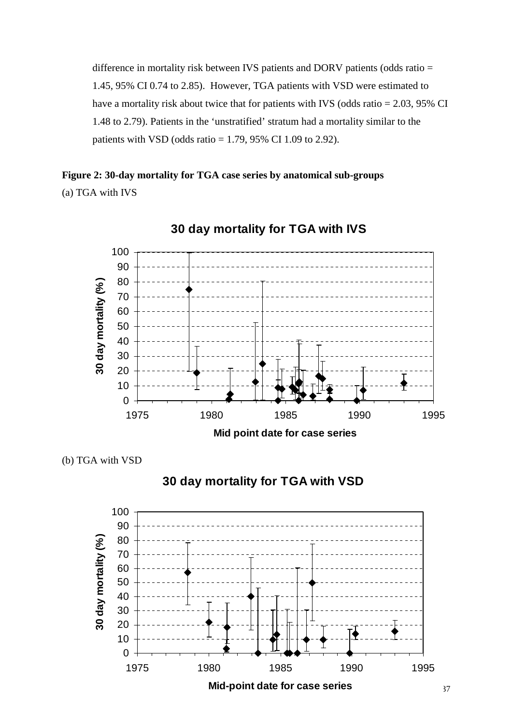difference in mortality risk between IVS patients and DORV patients (odds ratio = 1.45, 95% CI 0.74 to 2.85). However, TGA patients with VSD were estimated to have a mortality risk about twice that for patients with IVS (odds ratio = 2.03, 95% CI 1.48 to 2.79). Patients in the 'unstratified' stratum had a mortality similar to the patients with VSD (odds ratio  $= 1.79, 95\%$  CI 1.09 to 2.92).

## **Figure 2: 30-day mortality for TGA case series by anatomical sub-groups**  (a) TGA with IVS





(b) TGA with VSD



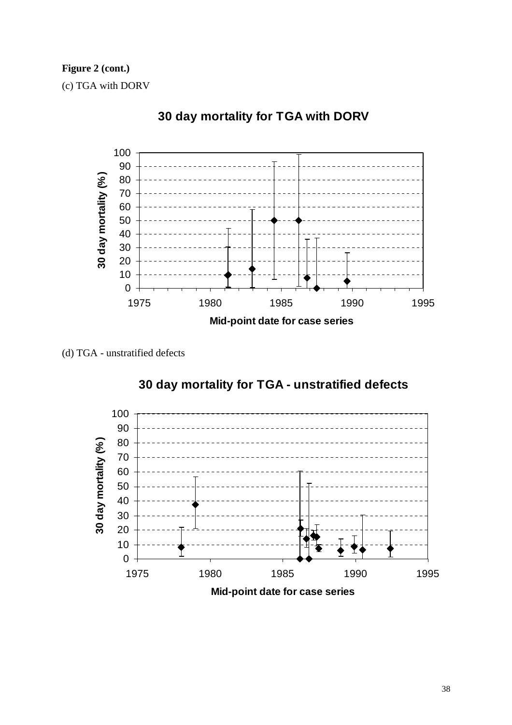**Figure 2 (cont.)** 

(c) TGA with DORV



## **30 day mortality for TGA with DORV**

(d) TGA - unstratified defects



# **30 day mortality for TGA - unstratified defects**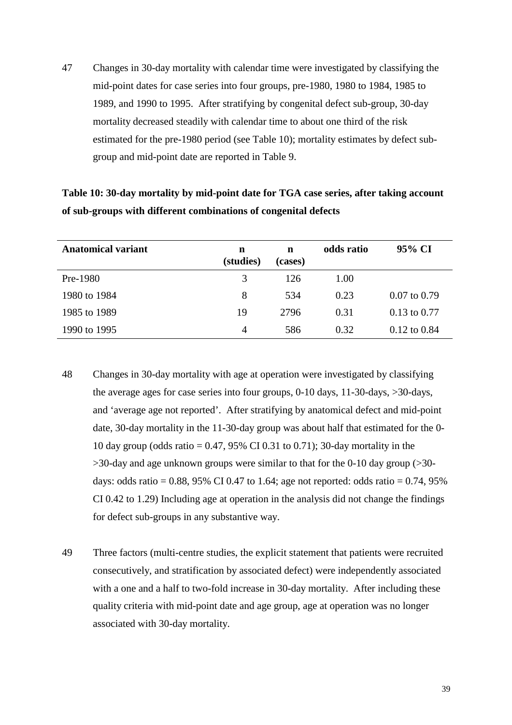47 Changes in 30-day mortality with calendar time were investigated by classifying the mid-point dates for case series into four groups, pre-1980, 1980 to 1984, 1985 to 1989, and 1990 to 1995. After stratifying by congenital defect sub-group, 30-day mortality decreased steadily with calendar time to about one third of the risk estimated for the pre-1980 period (see Table 10); mortality estimates by defect subgroup and mid-point date are reported in Table 9.

| Table 10: 30-day mortality by mid-point date for TGA case series, after taking account |
|----------------------------------------------------------------------------------------|
| of sub-groups with different combinations of congenital defects                        |

| <b>Anatomical variant</b> | n<br>(studies) | n<br>(cases) | odds ratio | 95% CI                  |
|---------------------------|----------------|--------------|------------|-------------------------|
| Pre-1980                  | 3              | 126          | 1.00       |                         |
| 1980 to 1984              | 8              | 534          | 0.23       | $0.07$ to $0.79$        |
| 1985 to 1989              | 19             | 2796         | 0.31       | $0.13$ to $0.77$        |
| 1990 to 1995              | 4              | 586          | 0.32       | $0.12 \text{ to } 0.84$ |

- 48 Changes in 30-day mortality with age at operation were investigated by classifying the average ages for case series into four groups, 0-10 days, 11-30-days, >30-days, and 'average age not reported'. After stratifying by anatomical defect and mid-point date, 30-day mortality in the 11-30-day group was about half that estimated for the 0- 10 day group (odds ratio = 0.47, 95% CI 0.31 to 0.71); 30-day mortality in the  $>$ 30-day and age unknown groups were similar to that for the 0-10 day group ( $>$ 30days: odds ratio =  $0.88$ , 95% CI 0.47 to 1.64; age not reported: odds ratio =  $0.74$ , 95% CI 0.42 to 1.29) Including age at operation in the analysis did not change the findings for defect sub-groups in any substantive way.
- 49 Three factors (multi-centre studies, the explicit statement that patients were recruited consecutively, and stratification by associated defect) were independently associated with a one and a half to two-fold increase in 30-day mortality. After including these quality criteria with mid-point date and age group, age at operation was no longer associated with 30-day mortality.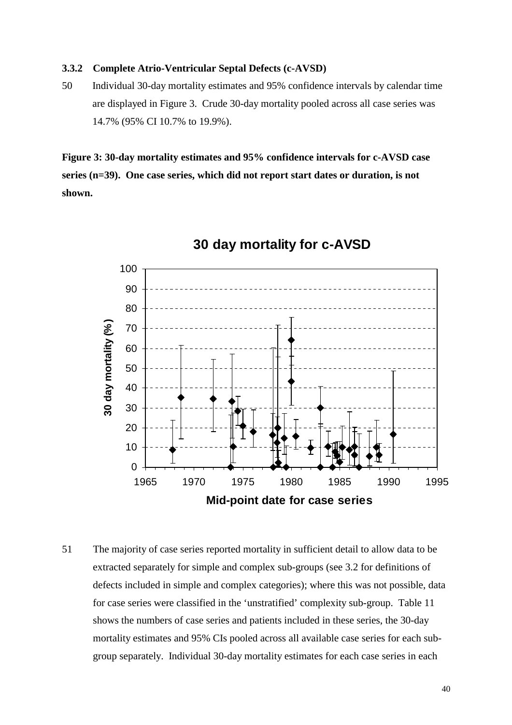#### **3.3.2 Complete Atrio-Ventricular Septal Defects (c-AVSD)**

50 Individual 30-day mortality estimates and 95% confidence intervals by calendar time are displayed in Figure 3. Crude 30-day mortality pooled across all case series was 14.7% (95% CI 10.7% to 19.9%).

**Figure 3: 30-day mortality estimates and 95% confidence intervals for c-AVSD case series (n=39). One case series, which did not report start dates or duration, is not shown.**



## **30 day mortality for c-AVSD**

51 The majority of case series reported mortality in sufficient detail to allow data to be extracted separately for simple and complex sub-groups (see 3.2 for definitions of defects included in simple and complex categories); where this was not possible, data for case series were classified in the 'unstratified' complexity sub-group. Table 11 shows the numbers of case series and patients included in these series, the 30-day mortality estimates and 95% CIs pooled across all available case series for each subgroup separately. Individual 30-day mortality estimates for each case series in each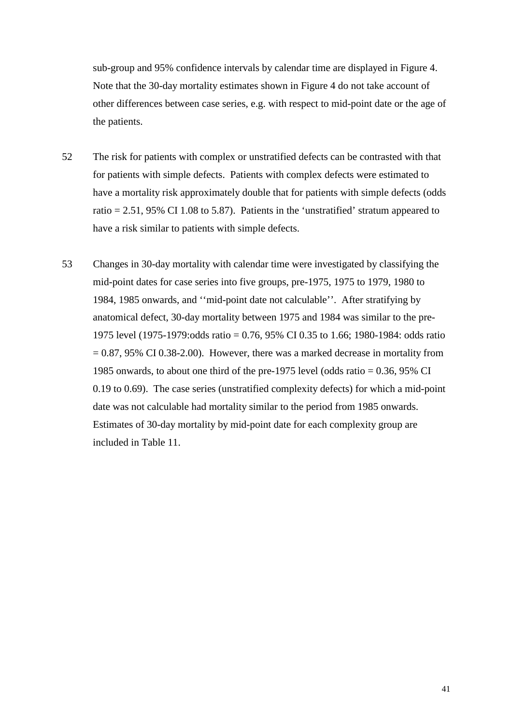sub-group and 95% confidence intervals by calendar time are displayed in Figure 4. Note that the 30-day mortality estimates shown in Figure 4 do not take account of other differences between case series, e.g. with respect to mid-point date or the age of the patients.

- 52 The risk for patients with complex or unstratified defects can be contrasted with that for patients with simple defects. Patients with complex defects were estimated to have a mortality risk approximately double that for patients with simple defects (odds ratio  $= 2.51, 95\%$  CI 1.08 to 5.87). Patients in the 'unstratified' stratum appeared to have a risk similar to patients with simple defects.
- 53 Changes in 30-day mortality with calendar time were investigated by classifying the mid-point dates for case series into five groups, pre-1975, 1975 to 1979, 1980 to 1984, 1985 onwards, and ''mid-point date not calculable''. After stratifying by anatomical defect, 30-day mortality between 1975 and 1984 was similar to the pre-1975 level (1975-1979:odds ratio = 0.76, 95% CI 0.35 to 1.66; 1980-1984: odds ratio  $= 0.87, 95\% \text{ CI } 0.38\text{-}2.00$ . However, there was a marked decrease in mortality from 1985 onwards, to about one third of the pre-1975 level (odds ratio = 0.36, 95% CI 0.19 to 0.69). The case series (unstratified complexity defects) for which a mid-point date was not calculable had mortality similar to the period from 1985 onwards. Estimates of 30-day mortality by mid-point date for each complexity group are included in Table 11.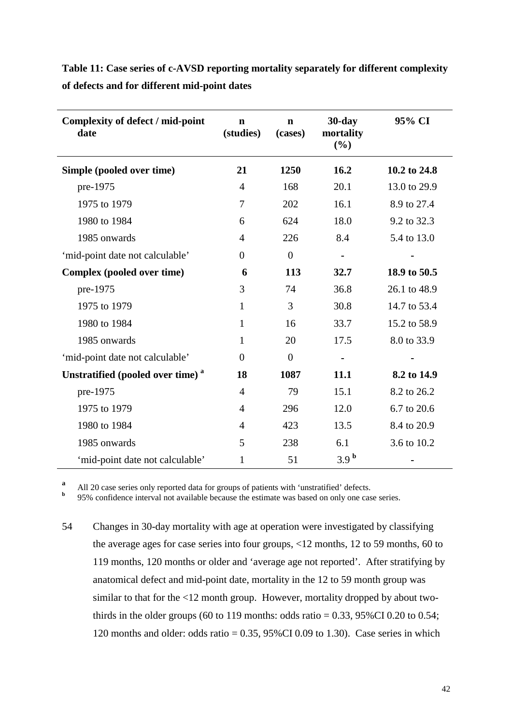**Table 11: Case series of c-AVSD reporting mortality separately for different complexity of defects and for different mid-point dates** 

| Complexity of defect / mid-point<br>date     | $\mathbf n$<br>(studies) | $\mathbf n$<br>(cases) | $30$ -day<br>mortality<br>$(\%)$ | 95% CI       |
|----------------------------------------------|--------------------------|------------------------|----------------------------------|--------------|
| Simple (pooled over time)                    | 21                       | 1250                   | 16.2                             | 10.2 to 24.8 |
| pre-1975                                     | 4                        | 168                    | 20.1                             | 13.0 to 29.9 |
| 1975 to 1979                                 | 7                        | 202                    | 16.1                             | 8.9 to 27.4  |
| 1980 to 1984                                 | 6                        | 624                    | 18.0                             | 9.2 to 32.3  |
| 1985 onwards                                 | $\overline{4}$           | 226                    | 8.4                              | 5.4 to 13.0  |
| 'mid-point date not calculable'              | $\theta$                 | $\boldsymbol{0}$       | $\blacksquare$                   |              |
| Complex (pooled over time)                   | 6                        | 113                    | 32.7                             | 18.9 to 50.5 |
| pre-1975                                     | 3                        | 74                     | 36.8                             | 26.1 to 48.9 |
| 1975 to 1979                                 | 1                        | 3                      | 30.8                             | 14.7 to 53.4 |
| 1980 to 1984                                 | 1                        | 16                     | 33.7                             | 15.2 to 58.9 |
| 1985 onwards                                 | 1                        | 20                     | 17.5                             | 8.0 to 33.9  |
| 'mid-point date not calculable'              | $\theta$                 | $\boldsymbol{0}$       | $\blacksquare$                   |              |
| Unstratified (pooled over time) <sup>a</sup> | 18                       | 1087                   | 11.1                             | 8.2 to 14.9  |
| pre-1975                                     | $\overline{4}$           | 79                     | 15.1                             | 8.2 to 26.2  |
| 1975 to 1979                                 | 4                        | 296                    | 12.0                             | 6.7 to 20.6  |
| 1980 to 1984                                 | 4                        | 423                    | 13.5                             | 8.4 to 20.9  |
| 1985 onwards                                 | 5                        | 238                    | 6.1                              | 3.6 to 10.2  |
| 'mid-point date not calculable'              | 1                        | 51                     | 3.9 <sup>b</sup>                 |              |

**<sup>a</sup>** All 20 case series only reported data for groups of patients with 'unstratified' defects.

**b** 95% confidence interval not available because the estimate was based on only one case series.

54 Changes in 30-day mortality with age at operation were investigated by classifying the average ages for case series into four groups, <12 months, 12 to 59 months, 60 to 119 months, 120 months or older and 'average age not reported'. After stratifying by anatomical defect and mid-point date, mortality in the 12 to 59 month group was similar to that for the <12 month group. However, mortality dropped by about twothirds in the older groups (60 to 119 months: odds ratio =  $0.33$ ,  $95\%$ CI 0.20 to 0.54; 120 months and older: odds ratio =  $0.35$ ,  $95\%$ CI 0.09 to 1.30). Case series in which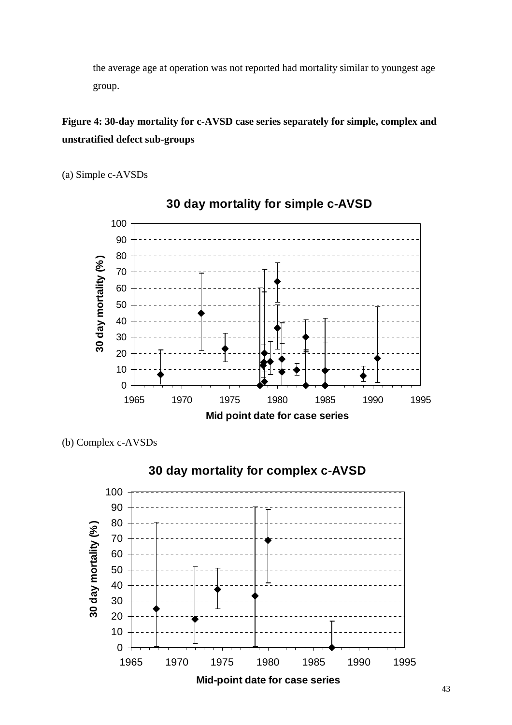the average age at operation was not reported had mortality similar to youngest age group.

## **Figure 4: 30-day mortality for c-AVSD case series separately for simple, complex and unstratified defect sub-groups**

(a) Simple c-AVSDs



**30 day mortality for simple c-AVSD**

(b) Complex c-AVSDs



# **30 day mortality for complex c-AVSD**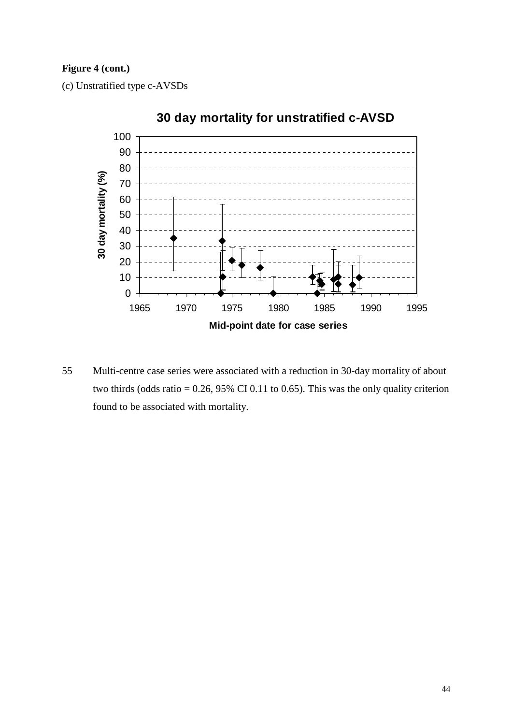## **Figure 4 (cont.)**

(c) Unstratified type c-AVSDs



55 Multi-centre case series were associated with a reduction in 30-day mortality of about two thirds (odds ratio =  $0.26$ , 95% CI 0.11 to 0.65). This was the only quality criterion found to be associated with mortality.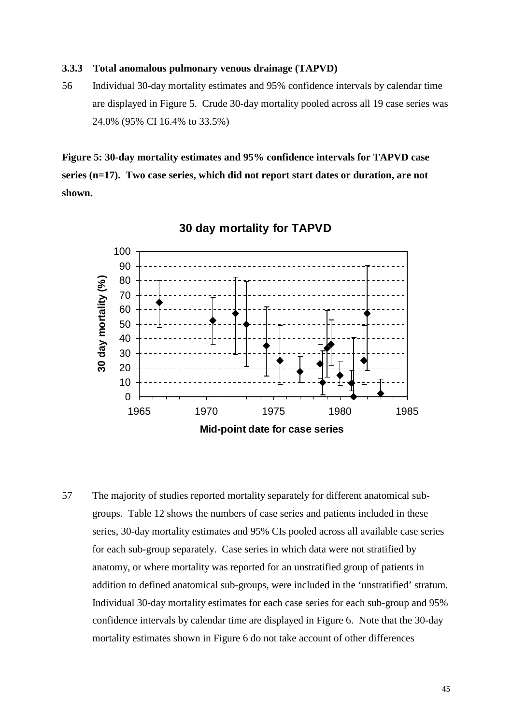#### **3.3.3 Total anomalous pulmonary venous drainage (TAPVD)**

56 Individual 30-day mortality estimates and 95% confidence intervals by calendar time are displayed in Figure 5. Crude 30-day mortality pooled across all 19 case series was 24.0% (95% CI 16.4% to 33.5%)

**Figure 5: 30-day mortality estimates and 95% confidence intervals for TAPVD case series (n=17). Two case series, which did not report start dates or duration, are not shown.** 



#### **30 day mortality for TAPVD**

57 The majority of studies reported mortality separately for different anatomical subgroups. Table 12 shows the numbers of case series and patients included in these series, 30-day mortality estimates and 95% CIs pooled across all available case series for each sub-group separately. Case series in which data were not stratified by anatomy, or where mortality was reported for an unstratified group of patients in addition to defined anatomical sub-groups, were included in the 'unstratified' stratum. Individual 30-day mortality estimates for each case series for each sub-group and 95% confidence intervals by calendar time are displayed in Figure 6. Note that the 30-day mortality estimates shown in Figure 6 do not take account of other differences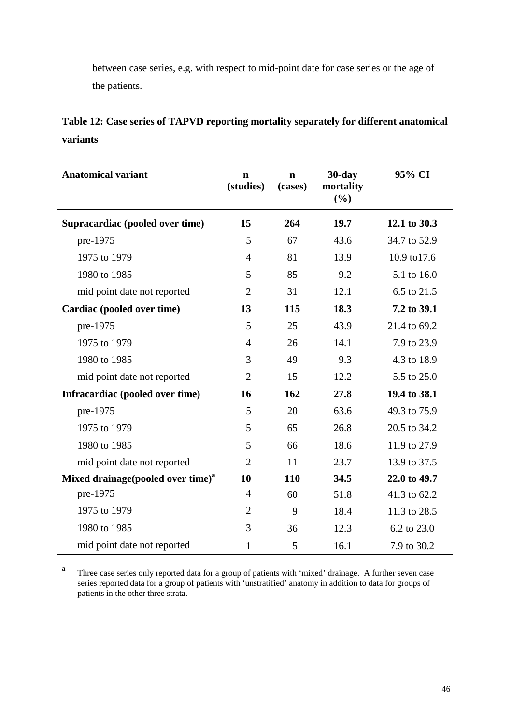between case series, e.g. with respect to mid-point date for case series or the age of the patients.

|          |  |  | Table 12: Case series of TAPVD reporting mortality separately for different anatomical |
|----------|--|--|----------------------------------------------------------------------------------------|
| variants |  |  |                                                                                        |

| <b>Anatomical variant</b>                     | $\mathbf n$<br>(studies) | $\mathbf n$<br>(cases) | $30$ -day<br>mortality<br>(%) | 95% CI       |
|-----------------------------------------------|--------------------------|------------------------|-------------------------------|--------------|
| Supracardiac (pooled over time)               | 15                       | 264                    | 19.7                          | 12.1 to 30.3 |
| pre-1975                                      | 5                        | 67                     | 43.6                          | 34.7 to 52.9 |
| 1975 to 1979                                  | $\overline{4}$           | 81                     | 13.9                          | 10.9 to 17.6 |
| 1980 to 1985                                  | 5                        | 85                     | 9.2                           | 5.1 to 16.0  |
| mid point date not reported                   | $\overline{2}$           | 31                     | 12.1                          | 6.5 to 21.5  |
| Cardiac (pooled over time)                    | 13                       | 115                    | 18.3                          | 7.2 to 39.1  |
| pre-1975                                      | 5                        | 25                     | 43.9                          | 21.4 to 69.2 |
| 1975 to 1979                                  | $\overline{4}$           | 26                     | 14.1                          | 7.9 to 23.9  |
| 1980 to 1985                                  | 3                        | 49                     | 9.3                           | 4.3 to 18.9  |
| mid point date not reported                   | $\overline{2}$           | 15                     | 12.2                          | 5.5 to 25.0  |
| Infracardiac (pooled over time)               | 16                       | 162                    | 27.8                          | 19.4 to 38.1 |
| pre-1975                                      | 5                        | 20                     | 63.6                          | 49.3 to 75.9 |
| 1975 to 1979                                  | 5                        | 65                     | 26.8                          | 20.5 to 34.2 |
| 1980 to 1985                                  | 5                        | 66                     | 18.6                          | 11.9 to 27.9 |
| mid point date not reported                   | $\overline{2}$           | 11                     | 23.7                          | 13.9 to 37.5 |
| Mixed drainage(pooled over time) <sup>a</sup> | 10                       | 110                    | 34.5                          | 22.0 to 49.7 |
| pre-1975                                      | $\overline{4}$           | 60                     | 51.8                          | 41.3 to 62.2 |
| 1975 to 1979                                  | $\overline{2}$           | 9                      | 18.4                          | 11.3 to 28.5 |
| 1980 to 1985                                  | 3                        | 36                     | 12.3                          | 6.2 to 23.0  |
| mid point date not reported                   | 1                        | 5                      | 16.1                          | 7.9 to 30.2  |

<sup>a</sup> Three case series only reported data for a group of patients with 'mixed' drainage. A further seven case series reported data for a group of patients with 'unstratified' anatomy in addition to data for groups of patients in the other three strata.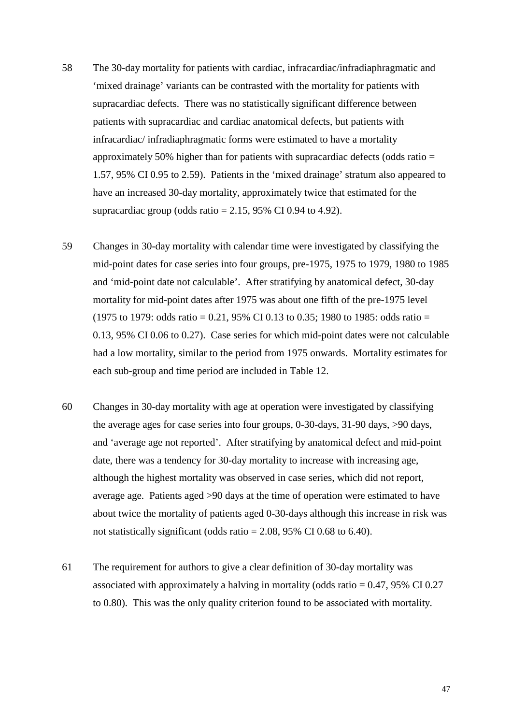- 58 The 30-day mortality for patients with cardiac, infracardiac/infradiaphragmatic and 'mixed drainage' variants can be contrasted with the mortality for patients with supracardiac defects. There was no statistically significant difference between patients with supracardiac and cardiac anatomical defects, but patients with infracardiac/ infradiaphragmatic forms were estimated to have a mortality approximately 50% higher than for patients with supracardiac defects (odds ratio = 1.57, 95% CI 0.95 to 2.59). Patients in the 'mixed drainage' stratum also appeared to have an increased 30-day mortality, approximately twice that estimated for the supracardiac group (odds ratio  $= 2.15, 95\%$  CI 0.94 to 4.92).
- 59 Changes in 30-day mortality with calendar time were investigated by classifying the mid-point dates for case series into four groups, pre-1975, 1975 to 1979, 1980 to 1985 and 'mid-point date not calculable'. After stratifying by anatomical defect, 30-day mortality for mid-point dates after 1975 was about one fifth of the pre-1975 level (1975 to 1979: odds ratio = 0.21, 95% CI 0.13 to 0.35; 1980 to 1985: odds ratio = 0.13, 95% CI 0.06 to 0.27). Case series for which mid-point dates were not calculable had a low mortality, similar to the period from 1975 onwards. Mortality estimates for each sub-group and time period are included in Table 12.
- 60 Changes in 30-day mortality with age at operation were investigated by classifying the average ages for case series into four groups, 0-30-days, 31-90 days, >90 days, and 'average age not reported'. After stratifying by anatomical defect and mid-point date, there was a tendency for 30-day mortality to increase with increasing age, although the highest mortality was observed in case series, which did not report, average age. Patients aged >90 days at the time of operation were estimated to have about twice the mortality of patients aged 0-30-days although this increase in risk was not statistically significant (odds ratio  $= 2.08, 95\%$  CI 0.68 to 6.40).
- 61 The requirement for authors to give a clear definition of 30-day mortality was associated with approximately a halving in mortality (odds ratio  $= 0.47, 95\% \text{ CI } 0.27$ to 0.80). This was the only quality criterion found to be associated with mortality.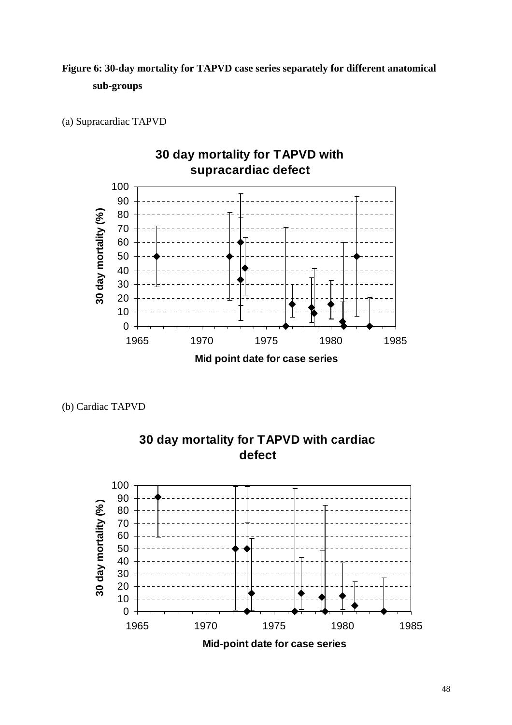## **Figure 6: 30-day mortality for TAPVD case series separately for different anatomical sub-groups**





(b) Cardiac TAPVD



**30 day mortality for TAPVD with cardiac defect**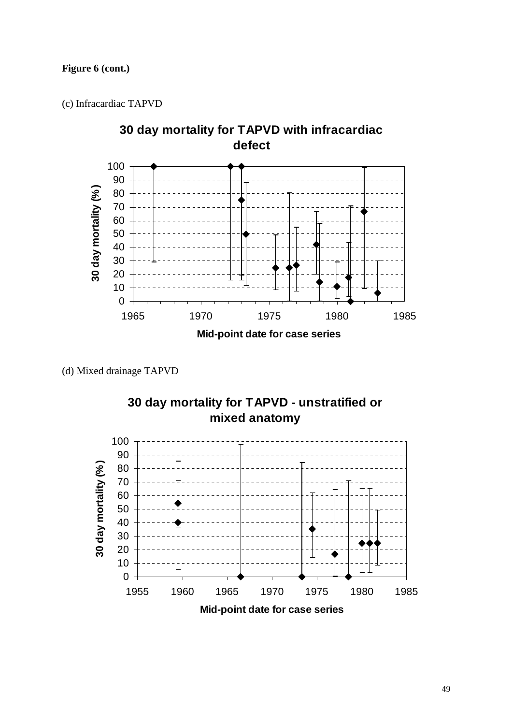## **Figure 6 (cont.)**

(c) Infracardiac TAPVD



(d) Mixed drainage TAPVD



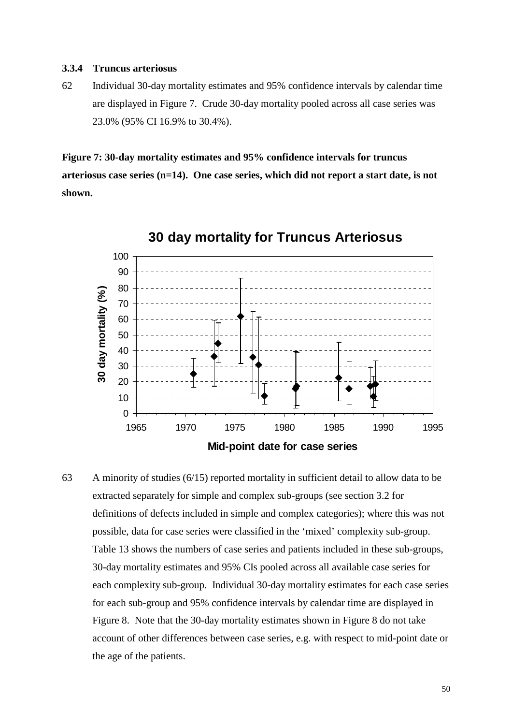#### **3.3.4 Truncus arteriosus**

62 Individual 30-day mortality estimates and 95% confidence intervals by calendar time are displayed in Figure 7. Crude 30-day mortality pooled across all case series was 23.0% (95% CI 16.9% to 30.4%).

**Figure 7: 30-day mortality estimates and 95% confidence intervals for truncus arteriosus case series (n=14). One case series, which did not report a start date, is not shown.**



**30 day mortality for Truncus Arteriosus**

63 A minority of studies (6/15) reported mortality in sufficient detail to allow data to be extracted separately for simple and complex sub-groups (see section 3.2 for definitions of defects included in simple and complex categories); where this was not possible, data for case series were classified in the 'mixed' complexity sub-group. Table 13 shows the numbers of case series and patients included in these sub-groups, 30-day mortality estimates and 95% CIs pooled across all available case series for each complexity sub-group. Individual 30-day mortality estimates for each case series for each sub-group and 95% confidence intervals by calendar time are displayed in Figure 8. Note that the 30-day mortality estimates shown in Figure 8 do not take account of other differences between case series, e.g. with respect to mid-point date or the age of the patients.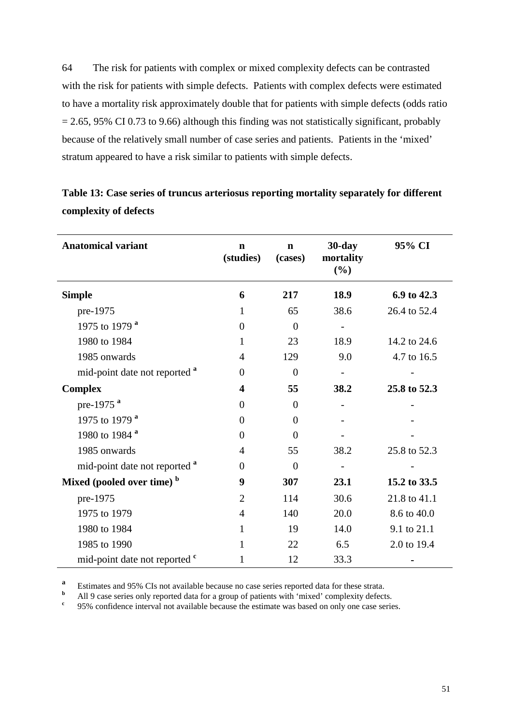64 The risk for patients with complex or mixed complexity defects can be contrasted with the risk for patients with simple defects. Patients with complex defects were estimated to have a mortality risk approximately double that for patients with simple defects (odds ratio  $= 2.65, 95\% \text{ CI } 0.73 \text{ to } 9.66$ ) although this finding was not statistically significant, probably because of the relatively small number of case series and patients. Patients in the 'mixed' stratum appeared to have a risk similar to patients with simple defects.

| <b>Anatomical variant</b>                | $\mathbf n$<br>(studies) | $\mathbf n$<br>(cases) | $30$ -day<br>mortality<br>(%) | 95% CI       |
|------------------------------------------|--------------------------|------------------------|-------------------------------|--------------|
| <b>Simple</b>                            | 6                        | 217                    | 18.9                          | 6.9 to 42.3  |
| pre-1975                                 | 1                        | 65                     | 38.6                          | 26.4 to 52.4 |
| 1975 to 1979 a                           | $\Omega$                 | $\overline{0}$         |                               |              |
| 1980 to 1984                             | 1                        | 23                     | 18.9                          | 14.2 to 24.6 |
| 1985 onwards                             | $\overline{4}$           | 129                    | 9.0                           | 4.7 to 16.5  |
| mid-point date not reported <sup>a</sup> | $\Omega$                 | $\theta$               |                               |              |
| <b>Complex</b>                           | $\overline{\mathbf{4}}$  | 55                     | 38.2                          | 25.8 to 52.3 |
| pre-1975 <sup>a</sup>                    | $\theta$                 | $\overline{0}$         |                               |              |
| 1975 to 1979 <sup>a</sup>                | $\theta$                 | $\overline{0}$         |                               |              |
| 1980 to 1984 <sup>a</sup>                | $\theta$                 | $\Omega$               |                               |              |
| 1985 onwards                             | 4                        | 55                     | 38.2                          | 25.8 to 52.3 |
| mid-point date not reported <sup>a</sup> | $\theta$                 | $\overline{0}$         |                               |              |
| Mixed (pooled over time) <sup>b</sup>    | 9                        | 307                    | 23.1                          | 15.2 to 33.5 |
| pre-1975                                 | $\overline{2}$           | 114                    | 30.6                          | 21.8 to 41.1 |
| 1975 to 1979                             | $\overline{4}$           | 140                    | 20.0                          | 8.6 to 40.0  |
| 1980 to 1984                             | 1                        | 19                     | 14.0                          | 9.1 to 21.1  |
| 1985 to 1990                             | 1                        | 22                     | 6.5                           | 2.0 to 19.4  |
| mid-point date not reported <sup>c</sup> | 1                        | 12                     | 33.3                          |              |

## **Table 13: Case series of truncus arteriosus reporting mortality separately for different complexity of defects**

**<sup>a</sup>** Estimates and 95% CIs not available because no case series reported data for these strata.

**b** All 9 case series only reported data for a group of patients with 'mixed' complexity defects.

**c** 95% confidence interval not available because the estimate was based on only one case series.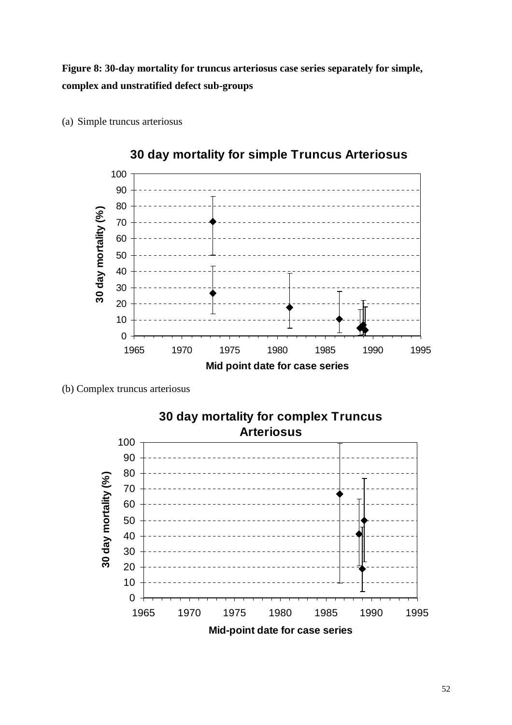**Figure 8: 30-day mortality for truncus arteriosus case series separately for simple, complex and unstratified defect sub-groups**



(a) Simple truncus arteriosus

(b) Complex truncus arteriosus

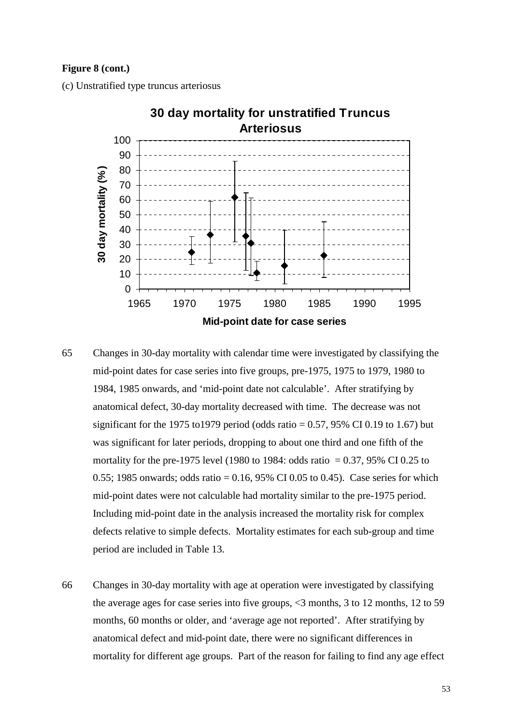#### **Figure 8 (cont.)**

(c) Unstratified type truncus arteriosus



- 65 Changes in 30-day mortality with calendar time were investigated by classifying the mid-point dates for case series into five groups, pre-1975, 1975 to 1979, 1980 to 1984, 1985 onwards, and 'mid-point date not calculable'. After stratifying by anatomical defect, 30-day mortality decreased with time. The decrease was not significant for the 1975 to 1979 period (odds ratio  $= 0.57$ , 95% CI 0.19 to 1.67) but was significant for later periods, dropping to about one third and one fifth of the mortality for the pre-1975 level (1980 to 1984: odds ratio  $= 0.37, 95\%$  CI 0.25 to 0.55; 1985 onwards; odds ratio =  $0.16$ , 95% CI 0.05 to 0.45). Case series for which mid-point dates were not calculable had mortality similar to the pre-1975 period. Including mid-point date in the analysis increased the mortality risk for complex defects relative to simple defects. Mortality estimates for each sub-group and time period are included in Table 13.
- 66 Changes in 30-day mortality with age at operation were investigated by classifying the average ages for case series into five groups, <3 months, 3 to 12 months, 12 to 59 months, 60 months or older, and 'average age not reported'. After stratifying by anatomical defect and mid-point date, there were no significant differences in mortality for different age groups. Part of the reason for failing to find any age effect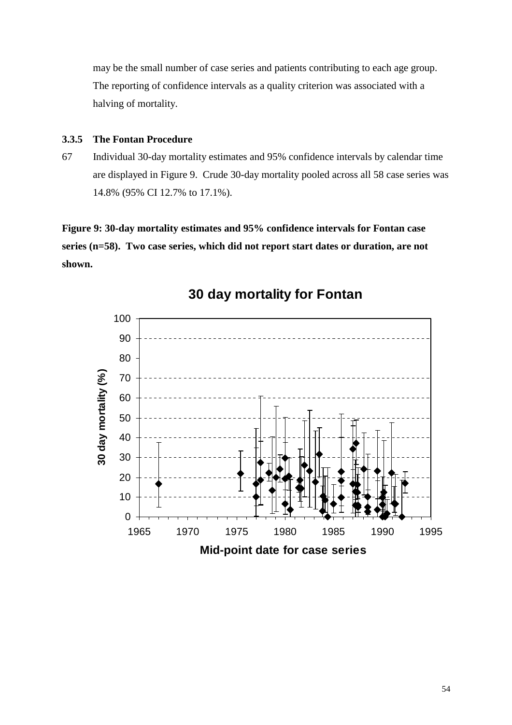may be the small number of case series and patients contributing to each age group. The reporting of confidence intervals as a quality criterion was associated with a halving of mortality.

## **3.3.5 The Fontan Procedure**

67 Individual 30-day mortality estimates and 95% confidence intervals by calendar time are displayed in Figure 9. Crude 30-day mortality pooled across all 58 case series was 14.8% (95% CI 12.7% to 17.1%).

**Figure 9: 30-day mortality estimates and 95% confidence intervals for Fontan case series (n=58). Two case series, which did not report start dates or duration, are not shown.**



**30 day mortality for Fontan**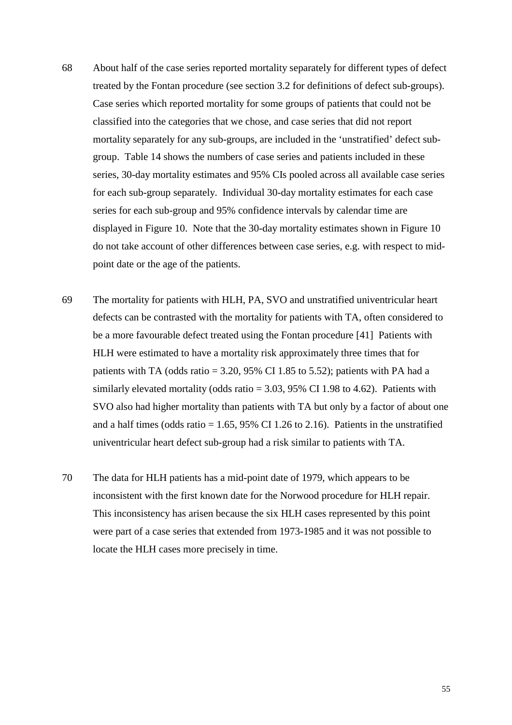- 68 About half of the case series reported mortality separately for different types of defect treated by the Fontan procedure (see section 3.2 for definitions of defect sub-groups). Case series which reported mortality for some groups of patients that could not be classified into the categories that we chose, and case series that did not report mortality separately for any sub-groups, are included in the 'unstratified' defect subgroup. Table 14 shows the numbers of case series and patients included in these series, 30-day mortality estimates and 95% CIs pooled across all available case series for each sub-group separately. Individual 30-day mortality estimates for each case series for each sub-group and 95% confidence intervals by calendar time are displayed in Figure 10. Note that the 30-day mortality estimates shown in Figure 10 do not take account of other differences between case series, e.g. with respect to midpoint date or the age of the patients.
- 69 The mortality for patients with HLH, PA, SVO and unstratified univentricular heart defects can be contrasted with the mortality for patients with TA, often considered to be a more favourable defect treated using the Fontan procedure [41] Patients with HLH were estimated to have a mortality risk approximately three times that for patients with TA (odds ratio  $= 3.20, 95\%$  CI 1.85 to 5.52); patients with PA had a similarly elevated mortality (odds ratio  $= 3.03, 95\%$  CI 1.98 to 4.62). Patients with SVO also had higher mortality than patients with TA but only by a factor of about one and a half times (odds ratio  $= 1.65$ , 95% CI 1.26 to 2.16). Patients in the unstratified univentricular heart defect sub-group had a risk similar to patients with TA.
- 70 The data for HLH patients has a mid-point date of 1979, which appears to be inconsistent with the first known date for the Norwood procedure for HLH repair. This inconsistency has arisen because the six HLH cases represented by this point were part of a case series that extended from 1973-1985 and it was not possible to locate the HLH cases more precisely in time.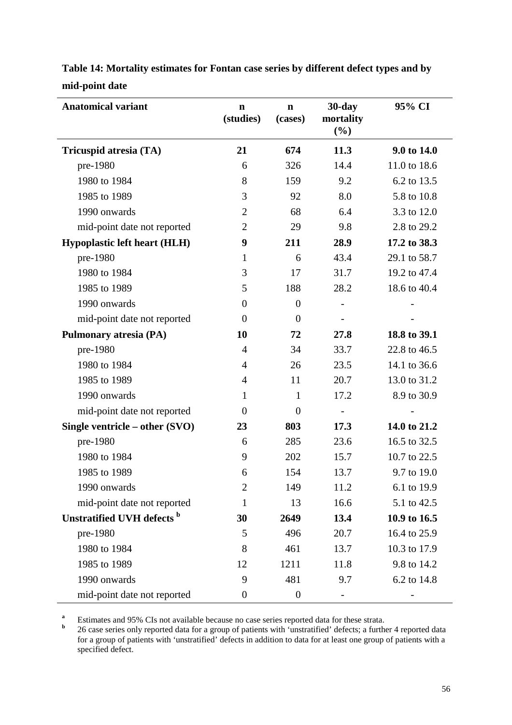| <b>Anatomical variant</b>           | $\mathbf n$<br>(studies) | $\mathbf n$<br>(cases) | $30$ -day<br>mortality<br>(%) | 95% CI       |
|-------------------------------------|--------------------------|------------------------|-------------------------------|--------------|
| Tricuspid atresia (TA)              | 21                       | 674                    | 11.3                          | 9.0 to 14.0  |
| pre-1980                            | 6                        | 326                    | 14.4                          | 11.0 to 18.6 |
| 1980 to 1984                        | 8                        | 159                    | 9.2                           | 6.2 to 13.5  |
| 1985 to 1989                        | 3                        | 92                     | 8.0                           | 5.8 to 10.8  |
| 1990 onwards                        | $\overline{2}$           | 68                     | 6.4                           | 3.3 to 12.0  |
| mid-point date not reported         | $\overline{2}$           | 29                     | 9.8                           | 2.8 to 29.2  |
| <b>Hypoplastic left heart (HLH)</b> | 9                        | 211                    | 28.9                          | 17.2 to 38.3 |
| pre-1980                            | 1                        | 6                      | 43.4                          | 29.1 to 58.7 |
| 1980 to 1984                        | 3                        | 17                     | 31.7                          | 19.2 to 47.4 |
| 1985 to 1989                        | 5                        | 188                    | 28.2                          | 18.6 to 40.4 |
| 1990 onwards                        | $\overline{0}$           | $\theta$               |                               |              |
| mid-point date not reported         | $\overline{0}$           | $\theta$               |                               |              |
| <b>Pulmonary atresia (PA)</b>       | 10                       | 72                     | 27.8                          | 18.8 to 39.1 |
| pre-1980                            | 4                        | 34                     | 33.7                          | 22.8 to 46.5 |
| 1980 to 1984                        | $\overline{4}$           | 26                     | 23.5                          | 14.1 to 36.6 |
| 1985 to 1989                        | $\overline{4}$           | 11                     | 20.7                          | 13.0 to 31.2 |
| 1990 onwards                        | $\mathbf{1}$             | $\mathbf{1}$           | 17.2                          | 8.9 to 30.9  |
| mid-point date not reported         | $\theta$                 | $\theta$               |                               |              |
| Single ventricle – other $(SVO)$    | 23                       | 803                    | 17.3                          | 14.0 to 21.2 |
| pre-1980                            | 6                        | 285                    | 23.6                          | 16.5 to 32.5 |
| 1980 to 1984                        | 9                        | 202                    | 15.7                          | 10.7 to 22.5 |
| 1985 to 1989                        | 6                        | 154                    | 13.7                          | 9.7 to 19.0  |
| 1990 onwards                        | $\overline{2}$           | 149                    | 11.2                          | 6.1 to 19.9  |
| mid-point date not reported         | 1                        | 13                     | 16.6                          | 5.1 to 42.5  |
| Unstratified UVH defects b          | 30                       | 2649                   | 13.4                          | 10.9 to 16.5 |
| pre-1980                            | 5                        | 496                    | 20.7                          | 16.4 to 25.9 |
| 1980 to 1984                        | 8                        | 461                    | 13.7                          | 10.3 to 17.9 |
| 1985 to 1989                        | 12                       | 1211                   | 11.8                          | 9.8 to 14.2  |
| 1990 onwards                        | 9                        | 481                    | 9.7                           | 6.2 to 14.8  |
| mid-point date not reported         | $\boldsymbol{0}$         | $\boldsymbol{0}$       |                               |              |

**Table 14: Mortality estimates for Fontan case series by different defect types and by mid-point date**

**a** Estimates and 95% CIs not available because no case series reported data for these strata.

**b** 26 case series only reported data for a group of patients with 'unstratified' defects; a further 4 reported data for a group of patients with 'unstratified' defects in addition to data for at least one group of patients with a specified defect.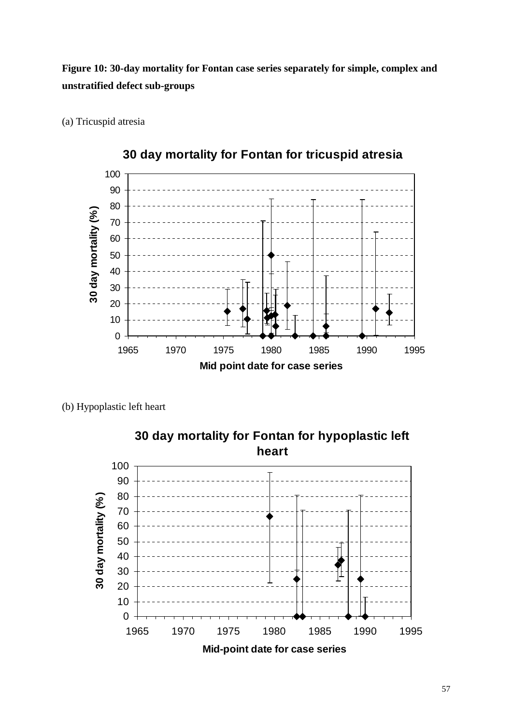**Figure 10: 30-day mortality for Fontan case series separately for simple, complex and unstratified defect sub-groups**

 30 day mortality (%) **30 day mortality (%)** 1965 1970 1975 1980 1985 1990 1995 **Mid point date for case series** 



(b) Hypoplastic left heart

(a) Tricuspid atresia

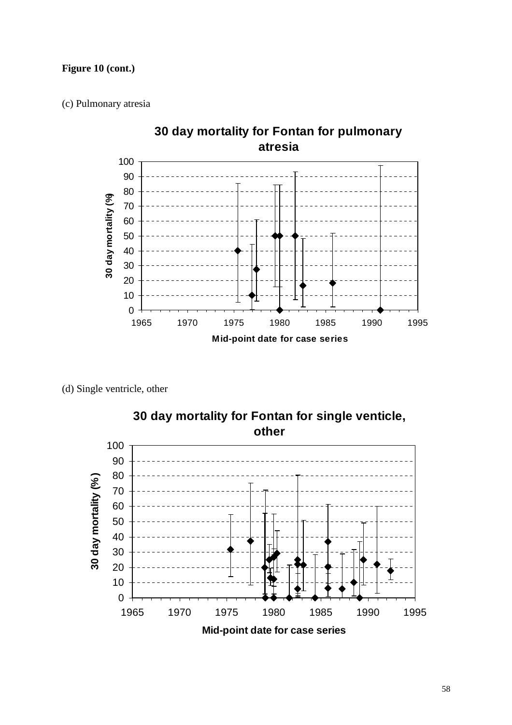## **Figure 10 (cont.)**

(c) Pulmonary atresia



(d) Single ventricle, other

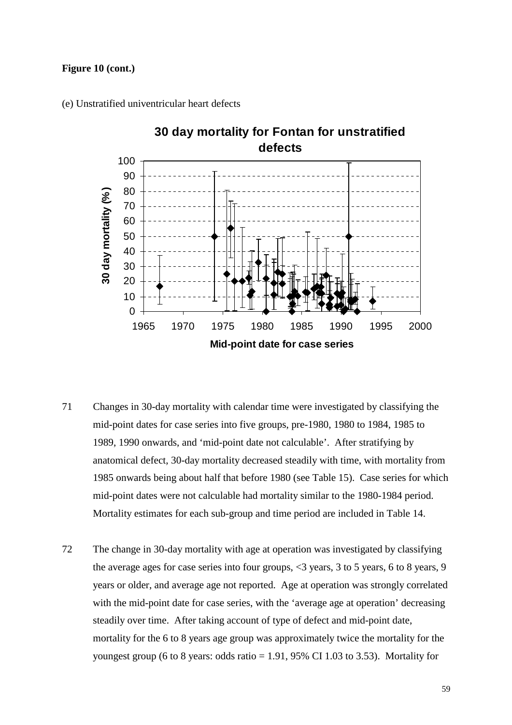#### **Figure 10 (cont.)**

(e) Unstratified univentricular heart defects



- 71 Changes in 30-day mortality with calendar time were investigated by classifying the mid-point dates for case series into five groups, pre-1980, 1980 to 1984, 1985 to 1989, 1990 onwards, and 'mid-point date not calculable'. After stratifying by anatomical defect, 30-day mortality decreased steadily with time, with mortality from 1985 onwards being about half that before 1980 (see Table 15). Case series for which mid-point dates were not calculable had mortality similar to the 1980-1984 period. Mortality estimates for each sub-group and time period are included in Table 14.
- 72 The change in 30-day mortality with age at operation was investigated by classifying the average ages for case series into four groups, <3 years, 3 to 5 years, 6 to 8 years, 9 years or older, and average age not reported. Age at operation was strongly correlated with the mid-point date for case series, with the 'average age at operation' decreasing steadily over time. After taking account of type of defect and mid-point date, mortality for the 6 to 8 years age group was approximately twice the mortality for the youngest group (6 to 8 years: odds ratio  $= 1.91$ , 95% CI 1.03 to 3.53). Mortality for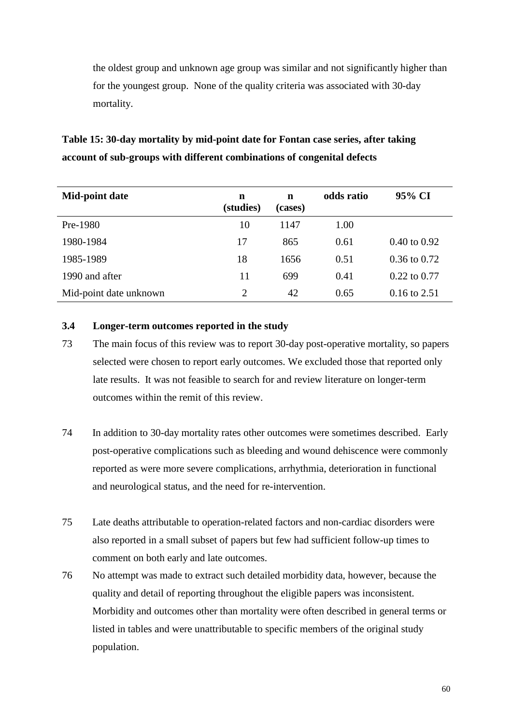the oldest group and unknown age group was similar and not significantly higher than for the youngest group. None of the quality criteria was associated with 30-day mortality.

## **Table 15: 30-day mortality by mid-point date for Fontan case series, after taking account of sub-groups with different combinations of congenital defects**

| Mid-point date         | n<br>(studies)              | n<br>(cases) | odds ratio | 95% CI                  |
|------------------------|-----------------------------|--------------|------------|-------------------------|
| Pre-1980               | 10                          | 1147         | 1.00       |                         |
| 1980-1984              | 17                          | 865          | 0.61       | $0.40 \text{ to } 0.92$ |
| 1985-1989              | 18                          | 1656         | 0.51       | $0.36$ to $0.72$        |
| 1990 and after         | 11                          | 699          | 0.41       | $0.22$ to $0.77$        |
| Mid-point date unknown | $\mathcal{D}_{\mathcal{L}}$ | 42           | 0.65       | $0.16$ to 2.51          |

### **3.4 Longer-term outcomes reported in the study**

- 73 The main focus of this review was to report 30-day post-operative mortality, so papers selected were chosen to report early outcomes. We excluded those that reported only late results. It was not feasible to search for and review literature on longer-term outcomes within the remit of this review.
- 74 In addition to 30-day mortality rates other outcomes were sometimes described. Early post-operative complications such as bleeding and wound dehiscence were commonly reported as were more severe complications, arrhythmia, deterioration in functional and neurological status, and the need for re-intervention.
- 75 Late deaths attributable to operation-related factors and non-cardiac disorders were also reported in a small subset of papers but few had sufficient follow-up times to comment on both early and late outcomes.
- 76 No attempt was made to extract such detailed morbidity data, however, because the quality and detail of reporting throughout the eligible papers was inconsistent. Morbidity and outcomes other than mortality were often described in general terms or listed in tables and were unattributable to specific members of the original study population.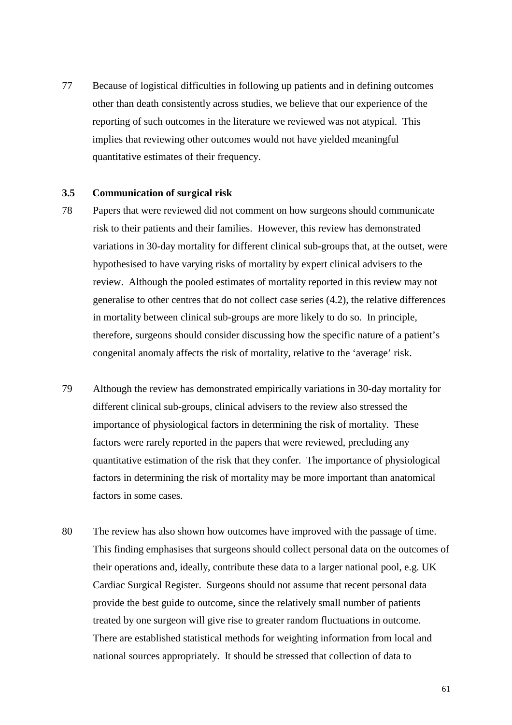77 Because of logistical difficulties in following up patients and in defining outcomes other than death consistently across studies, we believe that our experience of the reporting of such outcomes in the literature we reviewed was not atypical. This implies that reviewing other outcomes would not have yielded meaningful quantitative estimates of their frequency.

#### **3.5 Communication of surgical risk**

- 78 Papers that were reviewed did not comment on how surgeons should communicate risk to their patients and their families. However, this review has demonstrated variations in 30-day mortality for different clinical sub-groups that, at the outset, were hypothesised to have varying risks of mortality by expert clinical advisers to the review. Although the pooled estimates of mortality reported in this review may not generalise to other centres that do not collect case series (4.2), the relative differences in mortality between clinical sub-groups are more likely to do so. In principle, therefore, surgeons should consider discussing how the specific nature of a patient's congenital anomaly affects the risk of mortality, relative to the 'average' risk.
- 79 Although the review has demonstrated empirically variations in 30-day mortality for different clinical sub-groups, clinical advisers to the review also stressed the importance of physiological factors in determining the risk of mortality. These factors were rarely reported in the papers that were reviewed, precluding any quantitative estimation of the risk that they confer. The importance of physiological factors in determining the risk of mortality may be more important than anatomical factors in some cases.
- 80 The review has also shown how outcomes have improved with the passage of time. This finding emphasises that surgeons should collect personal data on the outcomes of their operations and, ideally, contribute these data to a larger national pool, e.g. UK Cardiac Surgical Register. Surgeons should not assume that recent personal data provide the best guide to outcome, since the relatively small number of patients treated by one surgeon will give rise to greater random fluctuations in outcome. There are established statistical methods for weighting information from local and national sources appropriately. It should be stressed that collection of data to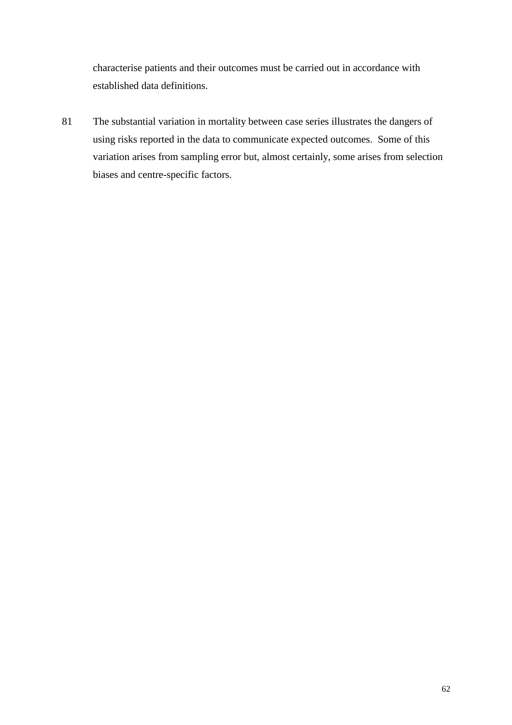characterise patients and their outcomes must be carried out in accordance with established data definitions.

81 The substantial variation in mortality between case series illustrates the dangers of using risks reported in the data to communicate expected outcomes. Some of this variation arises from sampling error but, almost certainly, some arises from selection biases and centre-specific factors.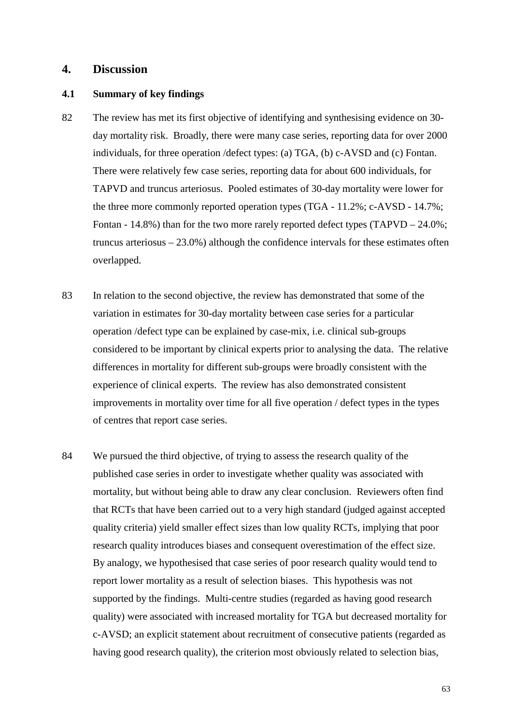### **4. Discussion**

### **4.1 Summary of key findings**

- 82 The review has met its first objective of identifying and synthesising evidence on 30 day mortality risk. Broadly, there were many case series, reporting data for over 2000 individuals, for three operation /defect types: (a) TGA, (b) c-AVSD and (c) Fontan. There were relatively few case series, reporting data for about 600 individuals, for TAPVD and truncus arteriosus. Pooled estimates of 30-day mortality were lower for the three more commonly reported operation types (TGA - 11.2%; c-AVSD - 14.7%; Fontan - 14.8%) than for the two more rarely reported defect types (TAPVD –  $24.0\%$ ; truncus arteriosus – 23.0%) although the confidence intervals for these estimates often overlapped.
- 83 In relation to the second objective, the review has demonstrated that some of the variation in estimates for 30-day mortality between case series for a particular operation /defect type can be explained by case-mix, i.e. clinical sub-groups considered to be important by clinical experts prior to analysing the data. The relative differences in mortality for different sub-groups were broadly consistent with the experience of clinical experts. The review has also demonstrated consistent improvements in mortality over time for all five operation / defect types in the types of centres that report case series.
- 84 We pursued the third objective, of trying to assess the research quality of the published case series in order to investigate whether quality was associated with mortality, but without being able to draw any clear conclusion. Reviewers often find that RCTs that have been carried out to a very high standard (judged against accepted quality criteria) yield smaller effect sizes than low quality RCTs, implying that poor research quality introduces biases and consequent overestimation of the effect size. By analogy, we hypothesised that case series of poor research quality would tend to report lower mortality as a result of selection biases. This hypothesis was not supported by the findings. Multi-centre studies (regarded as having good research quality) were associated with increased mortality for TGA but decreased mortality for c-AVSD; an explicit statement about recruitment of consecutive patients (regarded as having good research quality), the criterion most obviously related to selection bias,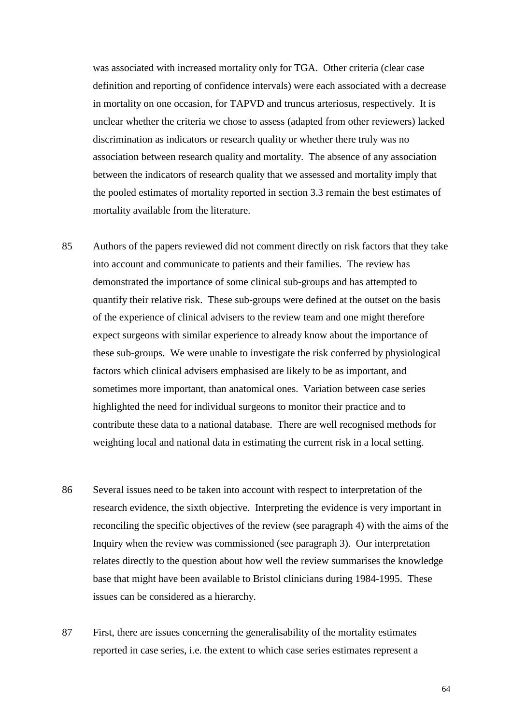was associated with increased mortality only for TGA. Other criteria (clear case definition and reporting of confidence intervals) were each associated with a decrease in mortality on one occasion, for TAPVD and truncus arteriosus, respectively. It is unclear whether the criteria we chose to assess (adapted from other reviewers) lacked discrimination as indicators or research quality or whether there truly was no association between research quality and mortality. The absence of any association between the indicators of research quality that we assessed and mortality imply that the pooled estimates of mortality reported in section 3.3 remain the best estimates of mortality available from the literature.

- 85 Authors of the papers reviewed did not comment directly on risk factors that they take into account and communicate to patients and their families. The review has demonstrated the importance of some clinical sub-groups and has attempted to quantify their relative risk. These sub-groups were defined at the outset on the basis of the experience of clinical advisers to the review team and one might therefore expect surgeons with similar experience to already know about the importance of these sub-groups. We were unable to investigate the risk conferred by physiological factors which clinical advisers emphasised are likely to be as important, and sometimes more important, than anatomical ones. Variation between case series highlighted the need for individual surgeons to monitor their practice and to contribute these data to a national database. There are well recognised methods for weighting local and national data in estimating the current risk in a local setting.
- 86 Several issues need to be taken into account with respect to interpretation of the research evidence, the sixth objective. Interpreting the evidence is very important in reconciling the specific objectives of the review (see paragraph 4) with the aims of the Inquiry when the review was commissioned (see paragraph 3). Our interpretation relates directly to the question about how well the review summarises the knowledge base that might have been available to Bristol clinicians during 1984-1995. These issues can be considered as a hierarchy.
- 87 First, there are issues concerning the generalisability of the mortality estimates reported in case series, i.e. the extent to which case series estimates represent a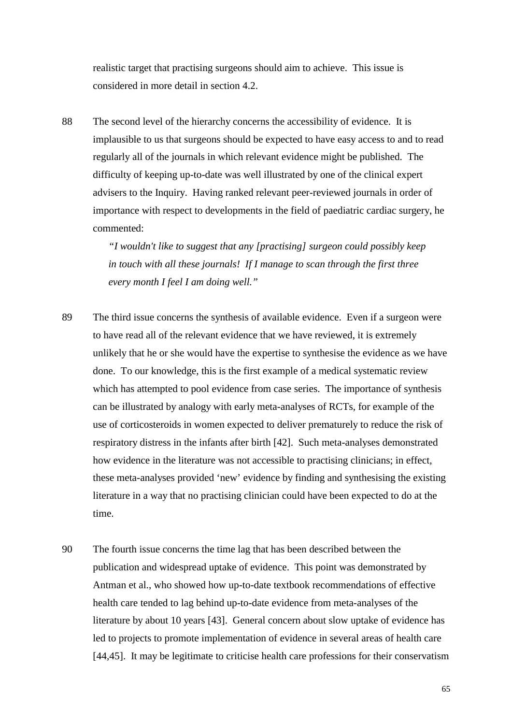realistic target that practising surgeons should aim to achieve. This issue is considered in more detail in section 4.2.

88 The second level of the hierarchy concerns the accessibility of evidence. It is implausible to us that surgeons should be expected to have easy access to and to read regularly all of the journals in which relevant evidence might be published. The difficulty of keeping up-to-date was well illustrated by one of the clinical expert advisers to the Inquiry. Having ranked relevant peer-reviewed journals in order of importance with respect to developments in the field of paediatric cardiac surgery, he commented:

> *"I wouldn't like to suggest that any [practising] surgeon could possibly keep in touch with all these journals! If I manage to scan through the first three every month I feel I am doing well."*

- 89 The third issue concerns the synthesis of available evidence. Even if a surgeon were to have read all of the relevant evidence that we have reviewed, it is extremely unlikely that he or she would have the expertise to synthesise the evidence as we have done. To our knowledge, this is the first example of a medical systematic review which has attempted to pool evidence from case series. The importance of synthesis can be illustrated by analogy with early meta-analyses of RCTs, for example of the use of corticosteroids in women expected to deliver prematurely to reduce the risk of respiratory distress in the infants after birth [42]. Such meta-analyses demonstrated how evidence in the literature was not accessible to practising clinicians; in effect, these meta-analyses provided 'new' evidence by finding and synthesising the existing literature in a way that no practising clinician could have been expected to do at the time.
- 90 The fourth issue concerns the time lag that has been described between the publication and widespread uptake of evidence. This point was demonstrated by Antman et al., who showed how up-to-date textbook recommendations of effective health care tended to lag behind up-to-date evidence from meta-analyses of the literature by about 10 years [43]. General concern about slow uptake of evidence has led to projects to promote implementation of evidence in several areas of health care [44,45]. It may be legitimate to criticise health care professions for their conservatism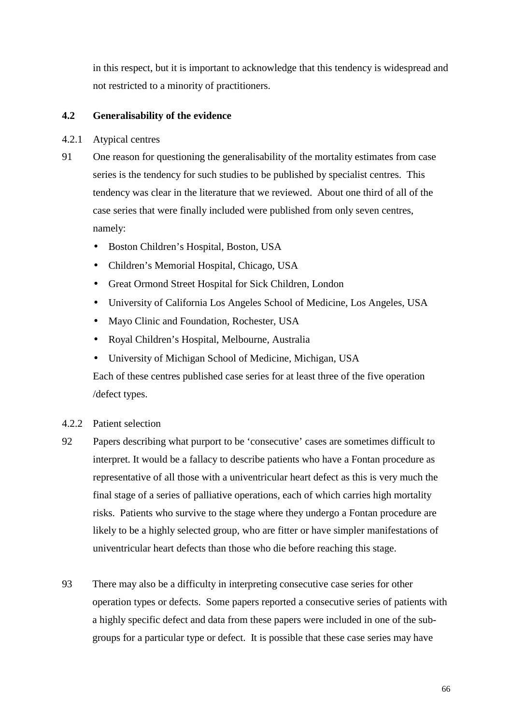in this respect, but it is important to acknowledge that this tendency is widespread and not restricted to a minority of practitioners.

### **4.2 Generalisability of the evidence**

- 4.2.1 Atypical centres
- 91 One reason for questioning the generalisability of the mortality estimates from case series is the tendency for such studies to be published by specialist centres. This tendency was clear in the literature that we reviewed. About one third of all of the case series that were finally included were published from only seven centres, namely:
	- Boston Children's Hospital, Boston, USA
	- Children's Memorial Hospital, Chicago, USA
	- Great Ormond Street Hospital for Sick Children, London
	- University of California Los Angeles School of Medicine, Los Angeles, USA
	- Mayo Clinic and Foundation, Rochester, USA
	- Royal Children's Hospital, Melbourne, Australia
	- University of Michigan School of Medicine, Michigan, USA

 Each of these centres published case series for at least three of the five operation /defect types.

- 4.2.2 Patient selection
- 92 Papers describing what purport to be 'consecutive' cases are sometimes difficult to interpret. It would be a fallacy to describe patients who have a Fontan procedure as representative of all those with a univentricular heart defect as this is very much the final stage of a series of palliative operations, each of which carries high mortality risks. Patients who survive to the stage where they undergo a Fontan procedure are likely to be a highly selected group, who are fitter or have simpler manifestations of univentricular heart defects than those who die before reaching this stage.
- 93 There may also be a difficulty in interpreting consecutive case series for other operation types or defects. Some papers reported a consecutive series of patients with a highly specific defect and data from these papers were included in one of the subgroups for a particular type or defect. It is possible that these case series may have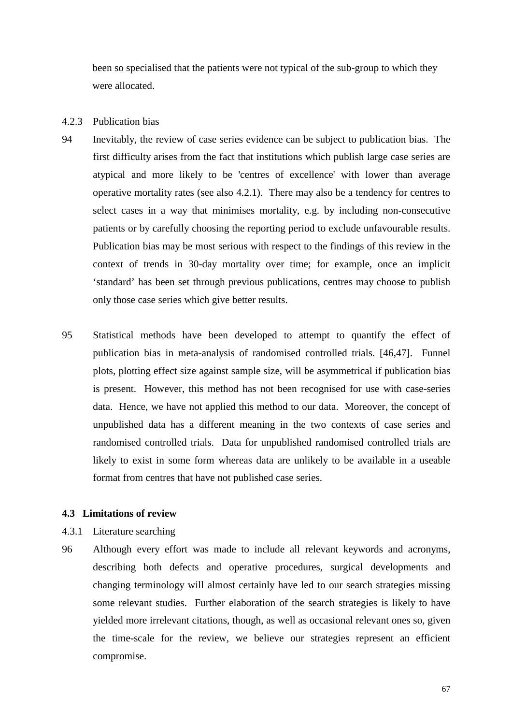been so specialised that the patients were not typical of the sub-group to which they were allocated.

#### 4.2.3 Publication bias

- 94 Inevitably, the review of case series evidence can be subject to publication bias. The first difficulty arises from the fact that institutions which publish large case series are atypical and more likely to be 'centres of excellence' with lower than average operative mortality rates (see also 4.2.1). There may also be a tendency for centres to select cases in a way that minimises mortality, e.g. by including non-consecutive patients or by carefully choosing the reporting period to exclude unfavourable results. Publication bias may be most serious with respect to the findings of this review in the context of trends in 30-day mortality over time; for example, once an implicit 'standard' has been set through previous publications, centres may choose to publish only those case series which give better results.
- 95 Statistical methods have been developed to attempt to quantify the effect of publication bias in meta-analysis of randomised controlled trials. [46,47]. Funnel plots, plotting effect size against sample size, will be asymmetrical if publication bias is present. However, this method has not been recognised for use with case-series data. Hence, we have not applied this method to our data. Moreover, the concept of unpublished data has a different meaning in the two contexts of case series and randomised controlled trials. Data for unpublished randomised controlled trials are likely to exist in some form whereas data are unlikely to be available in a useable format from centres that have not published case series.

### **4.3 Limitations of review**

- 4.3.1 Literature searching
- 96 Although every effort was made to include all relevant keywords and acronyms, describing both defects and operative procedures, surgical developments and changing terminology will almost certainly have led to our search strategies missing some relevant studies. Further elaboration of the search strategies is likely to have yielded more irrelevant citations, though, as well as occasional relevant ones so, given the time-scale for the review, we believe our strategies represent an efficient compromise.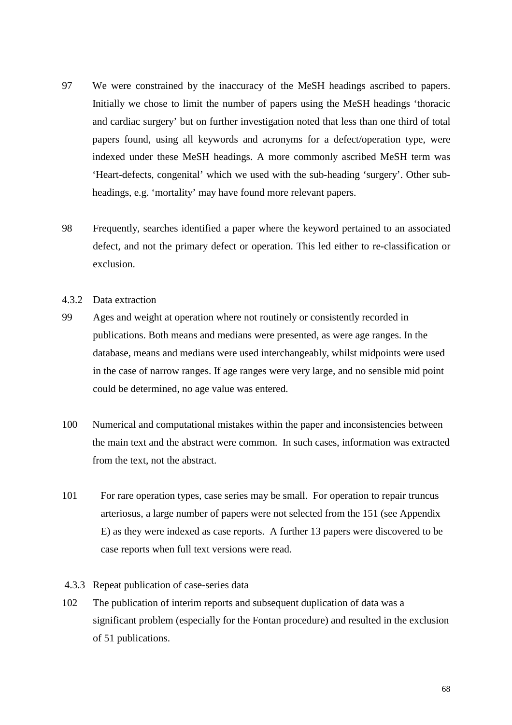- 97 We were constrained by the inaccuracy of the MeSH headings ascribed to papers. Initially we chose to limit the number of papers using the MeSH headings 'thoracic and cardiac surgery' but on further investigation noted that less than one third of total papers found, using all keywords and acronyms for a defect/operation type, were indexed under these MeSH headings. A more commonly ascribed MeSH term was 'Heart-defects, congenital' which we used with the sub-heading 'surgery'. Other subheadings, e.g. 'mortality' may have found more relevant papers.
- 98 Frequently, searches identified a paper where the keyword pertained to an associated defect, and not the primary defect or operation. This led either to re-classification or exclusion.
- 4.3.2 Data extraction
- 99 Ages and weight at operation where not routinely or consistently recorded in publications. Both means and medians were presented, as were age ranges. In the database, means and medians were used interchangeably, whilst midpoints were used in the case of narrow ranges. If age ranges were very large, and no sensible mid point could be determined, no age value was entered.
- 100 Numerical and computational mistakes within the paper and inconsistencies between the main text and the abstract were common. In such cases, information was extracted from the text, not the abstract.
- 101 For rare operation types, case series may be small. For operation to repair truncus arteriosus, a large number of papers were not selected from the 151 (see Appendix E) as they were indexed as case reports. A further 13 papers were discovered to be case reports when full text versions were read.
- 4.3.3 Repeat publication of case-series data
- 102 The publication of interim reports and subsequent duplication of data was a significant problem (especially for the Fontan procedure) and resulted in the exclusion of 51 publications.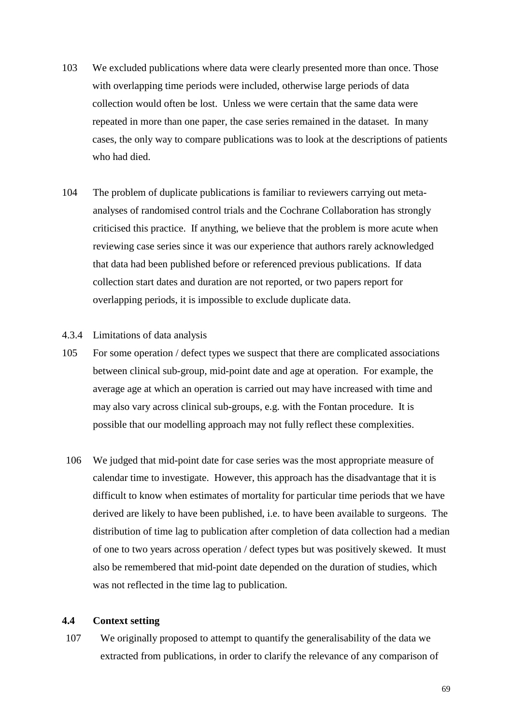- 103 We excluded publications where data were clearly presented more than once. Those with overlapping time periods were included, otherwise large periods of data collection would often be lost. Unless we were certain that the same data were repeated in more than one paper, the case series remained in the dataset. In many cases, the only way to compare publications was to look at the descriptions of patients who had died.
- 104 The problem of duplicate publications is familiar to reviewers carrying out metaanalyses of randomised control trials and the Cochrane Collaboration has strongly criticised this practice. If anything, we believe that the problem is more acute when reviewing case series since it was our experience that authors rarely acknowledged that data had been published before or referenced previous publications. If data collection start dates and duration are not reported, or two papers report for overlapping periods, it is impossible to exclude duplicate data.

### 4.3.4 Limitations of data analysis

- 105 For some operation / defect types we suspect that there are complicated associations between clinical sub-group, mid-point date and age at operation. For example, the average age at which an operation is carried out may have increased with time and may also vary across clinical sub-groups, e.g. with the Fontan procedure. It is possible that our modelling approach may not fully reflect these complexities.
- 106 We judged that mid-point date for case series was the most appropriate measure of calendar time to investigate. However, this approach has the disadvantage that it is difficult to know when estimates of mortality for particular time periods that we have derived are likely to have been published, i.e. to have been available to surgeons. The distribution of time lag to publication after completion of data collection had a median of one to two years across operation / defect types but was positively skewed. It must also be remembered that mid-point date depended on the duration of studies, which was not reflected in the time lag to publication.

### **4.4 Context setting**

107 We originally proposed to attempt to quantify the generalisability of the data we extracted from publications, in order to clarify the relevance of any comparison of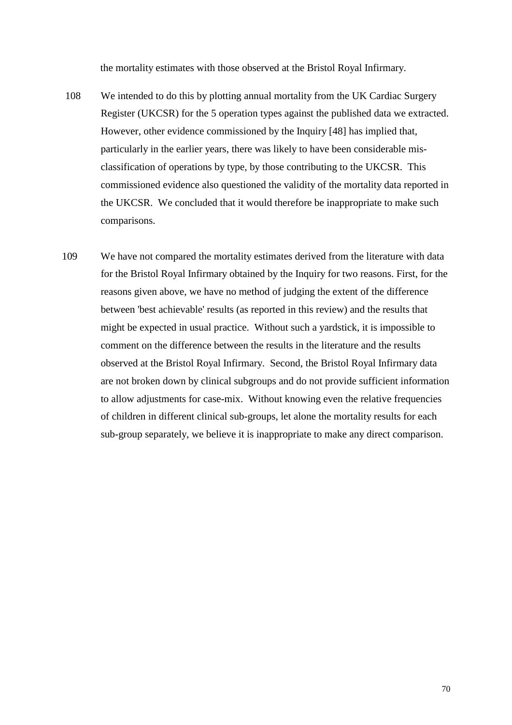the mortality estimates with those observed at the Bristol Royal Infirmary.

- 108 We intended to do this by plotting annual mortality from the UK Cardiac Surgery Register (UKCSR) for the 5 operation types against the published data we extracted. However, other evidence commissioned by the Inquiry [48] has implied that, particularly in the earlier years, there was likely to have been considerable misclassification of operations by type, by those contributing to the UKCSR. This commissioned evidence also questioned the validity of the mortality data reported in the UKCSR. We concluded that it would therefore be inappropriate to make such comparisons.
- 109 We have not compared the mortality estimates derived from the literature with data for the Bristol Royal Infirmary obtained by the Inquiry for two reasons. First, for the reasons given above, we have no method of judging the extent of the difference between 'best achievable' results (as reported in this review) and the results that might be expected in usual practice. Without such a yardstick, it is impossible to comment on the difference between the results in the literature and the results observed at the Bristol Royal Infirmary. Second, the Bristol Royal Infirmary data are not broken down by clinical subgroups and do not provide sufficient information to allow adjustments for case-mix. Without knowing even the relative frequencies of children in different clinical sub-groups, let alone the mortality results for each sub-group separately, we believe it is inappropriate to make any direct comparison.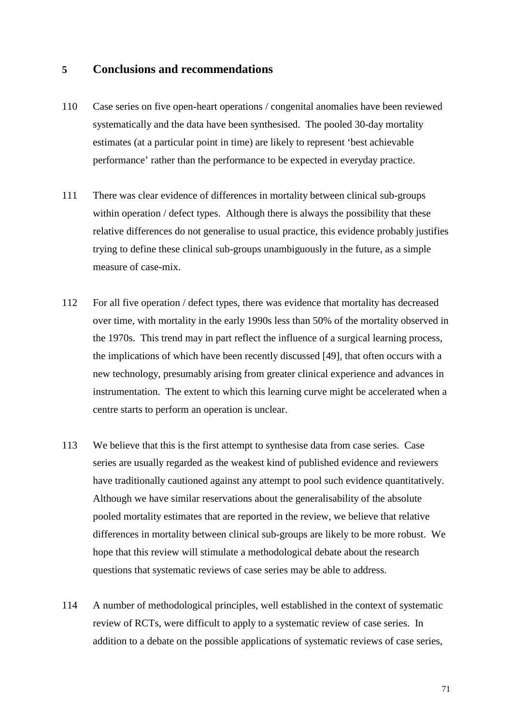## **5 Conclusions and recommendations**

- 110 Case series on five open-heart operations / congenital anomalies have been reviewed systematically and the data have been synthesised. The pooled 30-day mortality estimates (at a particular point in time) are likely to represent 'best achievable performance' rather than the performance to be expected in everyday practice.
- 111 There was clear evidence of differences in mortality between clinical sub-groups within operation / defect types. Although there is always the possibility that these relative differences do not generalise to usual practice, this evidence probably justifies trying to define these clinical sub-groups unambiguously in the future, as a simple measure of case-mix.
- 112 For all five operation / defect types, there was evidence that mortality has decreased over time, with mortality in the early 1990s less than 50% of the mortality observed in the 1970s. This trend may in part reflect the influence of a surgical learning process, the implications of which have been recently discussed [49], that often occurs with a new technology, presumably arising from greater clinical experience and advances in instrumentation. The extent to which this learning curve might be accelerated when a centre starts to perform an operation is unclear.
- 113 We believe that this is the first attempt to synthesise data from case series. Case series are usually regarded as the weakest kind of published evidence and reviewers have traditionally cautioned against any attempt to pool such evidence quantitatively. Although we have similar reservations about the generalisability of the absolute pooled mortality estimates that are reported in the review, we believe that relative differences in mortality between clinical sub-groups are likely to be more robust. We hope that this review will stimulate a methodological debate about the research questions that systematic reviews of case series may be able to address.
- 114 A number of methodological principles, well established in the context of systematic review of RCTs, were difficult to apply to a systematic review of case series. In addition to a debate on the possible applications of systematic reviews of case series,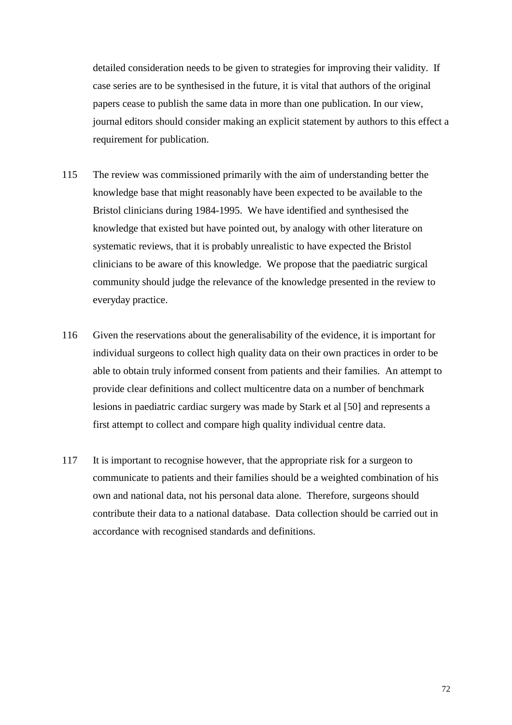detailed consideration needs to be given to strategies for improving their validity. If case series are to be synthesised in the future, it is vital that authors of the original papers cease to publish the same data in more than one publication. In our view, journal editors should consider making an explicit statement by authors to this effect a requirement for publication.

- 115 The review was commissioned primarily with the aim of understanding better the knowledge base that might reasonably have been expected to be available to the Bristol clinicians during 1984-1995. We have identified and synthesised the knowledge that existed but have pointed out, by analogy with other literature on systematic reviews, that it is probably unrealistic to have expected the Bristol clinicians to be aware of this knowledge. We propose that the paediatric surgical community should judge the relevance of the knowledge presented in the review to everyday practice.
- 116 Given the reservations about the generalisability of the evidence, it is important for individual surgeons to collect high quality data on their own practices in order to be able to obtain truly informed consent from patients and their families. An attempt to provide clear definitions and collect multicentre data on a number of benchmark lesions in paediatric cardiac surgery was made by Stark et al [50] and represents a first attempt to collect and compare high quality individual centre data.
- 117 It is important to recognise however, that the appropriate risk for a surgeon to communicate to patients and their families should be a weighted combination of his own and national data, not his personal data alone. Therefore, surgeons should contribute their data to a national database. Data collection should be carried out in accordance with recognised standards and definitions.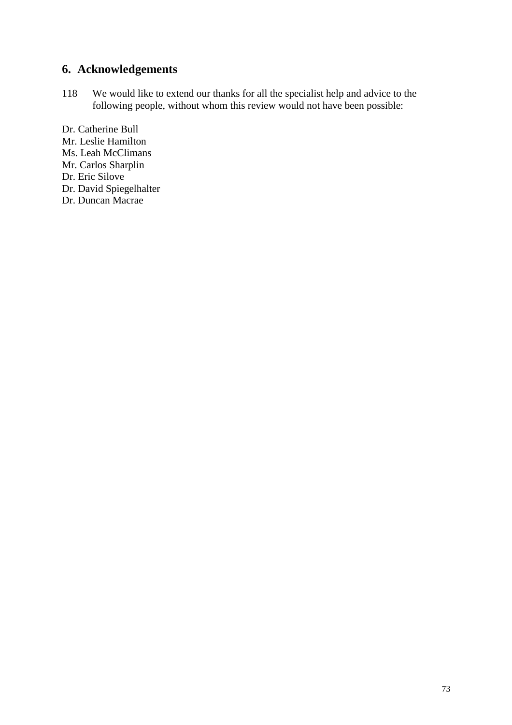# **6. Acknowledgements**

118 We would like to extend our thanks for all the specialist help and advice to the following people, without whom this review would not have been possible:

Dr. Catherine Bull Mr. Leslie Hamilton Ms. Leah McClimans Mr. Carlos Sharplin Dr. Eric Silove Dr. David Spiegelhalter Dr. Duncan Macrae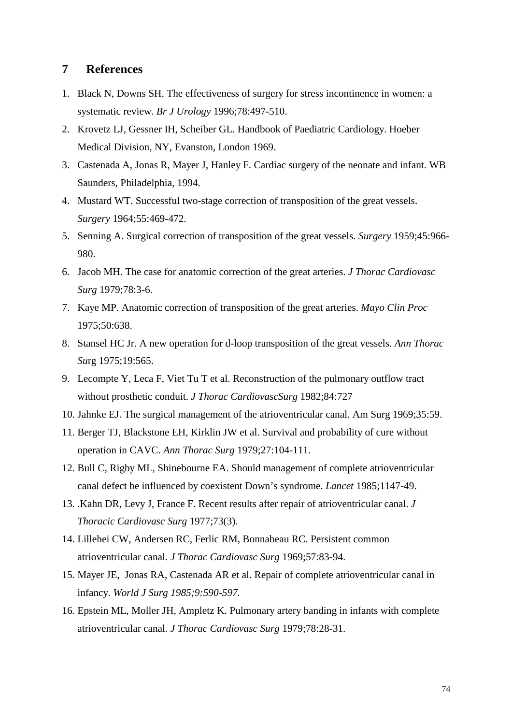## **7 References**

- 1. Black N, Downs SH. The effectiveness of surgery for stress incontinence in women: a systematic review. *Br J Urology* 1996;78:497-510.
- 2. Krovetz LJ, Gessner IH, Scheiber GL. Handbook of Paediatric Cardiology. Hoeber Medical Division, NY, Evanston, London 1969.
- 3. Castenada A, Jonas R, Mayer J, Hanley F. Cardiac surgery of the neonate and infant. WB Saunders, Philadelphia, 1994.
- 4. Mustard WT. Successful two-stage correction of transposition of the great vessels. *Surgery* 1964;55:469-472.
- 5. Senning A. Surgical correction of transposition of the great vessels. *Surgery* 1959;45:966- 980.
- 6. Jacob MH. The case for anatomic correction of the great arteries. *J Thorac Cardiovasc Surg* 1979;78:3-6.
- 7. Kaye MP. Anatomic correction of transposition of the great arteries. *Mayo Clin Proc* 1975;50:638.
- 8. Stansel HC Jr. A new operation for d-loop transposition of the great vessels. *Ann Thorac Su*rg 1975;19:565.
- 9. Lecompte Y, Leca F, Viet Tu T et al. Reconstruction of the pulmonary outflow tract without prosthetic conduit. *J Thorac CardiovascSurg* 1982;84:727
- 10. Jahnke EJ. The surgical management of the atrioventricular canal. Am Surg 1969;35:59.
- 11. Berger TJ, Blackstone EH, Kirklin JW et al. Survival and probability of cure without operation in CAVC*. Ann Thorac Surg* 1979;27:104-111.
- 12. Bull C, Rigby ML, Shinebourne EA. Should management of complete atrioventricular canal defect be influenced by coexistent Down's syndrome. *Lancet* 1985;1147-49.
- 13. .Kahn DR, Levy J, France F. Recent results after repair of atrioventricular canal. *J Thoracic Cardiovasc Surg* 1977;73(3).
- 14. Lillehei CW, Andersen RC, Ferlic RM, Bonnabeau RC. Persistent common atrioventricular canal*. J Thorac Cardiovasc Surg* 1969;57:83-94.
- 15. Mayer JE, Jonas RA, Castenada AR et al. Repair of complete atrioventricular canal in infancy. *World J Surg 1985;9:590-597.*
- 16. Epstein ML, Moller JH, Ampletz K. Pulmonary artery banding in infants with complete atrioventricular canal*. J Thorac Cardiovasc Surg* 1979;78:28-31.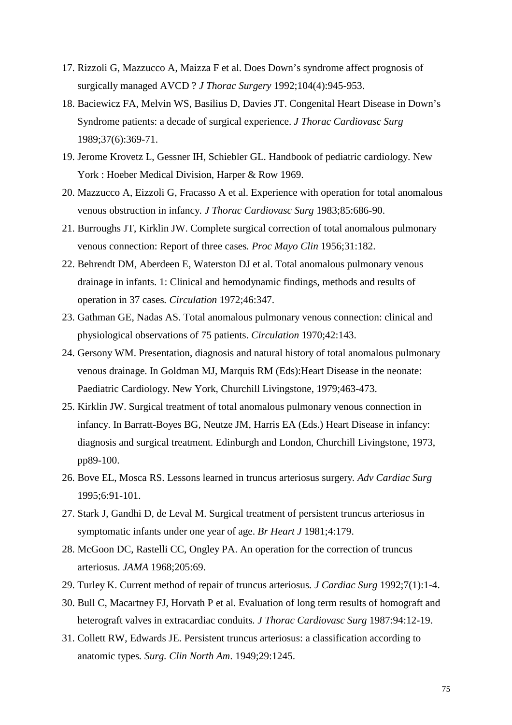- 17. Rizzoli G, Mazzucco A, Maizza F et al. Does Down's syndrome affect prognosis of surgically managed AVCD ? *J Thorac Surgery* 1992;104(4):945-953.
- 18. Baciewicz FA, Melvin WS, Basilius D, Davies JT. Congenital Heart Disease in Down's Syndrome patients: a decade of surgical experience. *J Thorac Cardiovasc Surg* 1989;37(6):369-71.
- 19. Jerome Krovetz L, Gessner IH, Schiebler GL. Handbook of pediatric cardiology. New York : Hoeber Medical Division, Harper & Row 1969.
- 20. Mazzucco A, Eizzoli G, Fracasso A et al. Experience with operation for total anomalous venous obstruction in infancy*. J Thorac Cardiovasc Surg* 1983;85:686-90.
- 21. Burroughs JT, Kirklin JW. Complete surgical correction of total anomalous pulmonary venous connection: Report of three cases*. Proc Mayo Clin* 1956;31:182.
- 22. Behrendt DM, Aberdeen E, Waterston DJ et al. Total anomalous pulmonary venous drainage in infants. 1: Clinical and hemodynamic findings, methods and results of operation in 37 cases*. Circulation* 1972;46:347.
- 23. Gathman GE, Nadas AS. Total anomalous pulmonary venous connection: clinical and physiological observations of 75 patients. *Circulation* 1970;42:143.
- 24. Gersony WM. Presentation, diagnosis and natural history of total anomalous pulmonary venous drainage. In Goldman MJ, Marquis RM (Eds):Heart Disease in the neonate: Paediatric Cardiology. New York, Churchill Livingstone, 1979;463-473.
- 25. Kirklin JW. Surgical treatment of total anomalous pulmonary venous connection in infancy. In Barratt-Boyes BG, Neutze JM, Harris EA (Eds.) Heart Disease in infancy: diagnosis and surgical treatment. Edinburgh and London, Churchill Livingstone, 1973, pp89-100.
- 26. Bove EL, Mosca RS. Lessons learned in truncus arteriosus surgery*. Adv Cardiac Surg* 1995;6:91-101.
- 27. Stark J, Gandhi D, de Leval M. Surgical treatment of persistent truncus arteriosus in symptomatic infants under one year of age. *Br Heart J* 1981;4:179.
- 28. McGoon DC, Rastelli CC, Ongley PA. An operation for the correction of truncus arteriosus. *JAMA* 1968;205:69.
- 29. Turley K. Current method of repair of truncus arteriosus*. J Cardiac Surg* 1992;7(1):1-4.
- 30. Bull C, Macartney FJ, Horvath P et al. Evaluation of long term results of homograft and heterograft valves in extracardiac conduits*. J Thorac Cardiovasc Surg* 1987:94:12-19.
- 31. Collett RW, Edwards JE. Persistent truncus arteriosus: a classification according to anatomic types*. Surg. Clin North Am*. 1949;29:1245.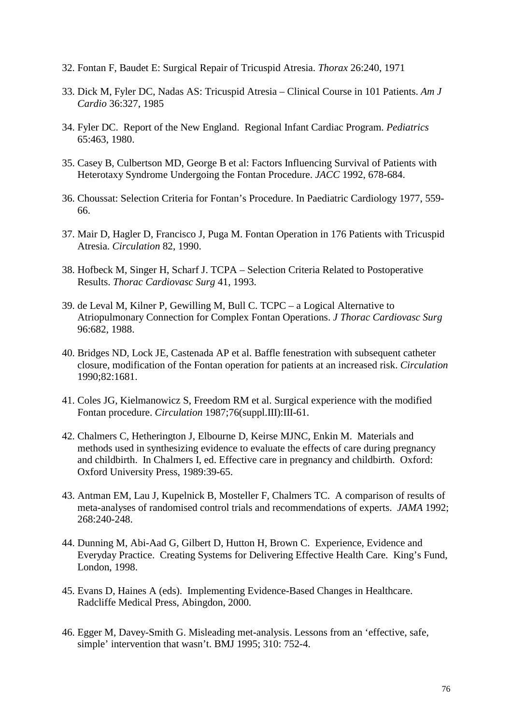- 32. Fontan F, Baudet E: Surgical Repair of Tricuspid Atresia. *Thorax* 26:240, 1971
- 33. Dick M, Fyler DC, Nadas AS: Tricuspid Atresia Clinical Course in 101 Patients. *Am J Cardio* 36:327, 1985
- 34. Fyler DC. Report of the New England. Regional Infant Cardiac Program. *Pediatrics*  65:463, 1980.
- 35. Casey B, Culbertson MD, George B et al: Factors Influencing Survival of Patients with Heterotaxy Syndrome Undergoing the Fontan Procedure. *JACC* 1992, 678-684.
- 36. Choussat: Selection Criteria for Fontan's Procedure. In Paediatric Cardiology 1977, 559- 66.
- 37. Mair D, Hagler D, Francisco J, Puga M. Fontan Operation in 176 Patients with Tricuspid Atresia. *Circulation* 82, 1990.
- 38. Hofbeck M, Singer H, Scharf J. TCPA Selection Criteria Related to Postoperative Results. *Thorac Cardiovasc Surg* 41, 1993.
- 39. de Leval M, Kilner P, Gewilling M, Bull C. TCPC a Logical Alternative to Atriopulmonary Connection for Complex Fontan Operations. *J Thorac Cardiovasc Surg* 96:682, 1988.
- 40. Bridges ND, Lock JE, Castenada AP et al. Baffle fenestration with subsequent catheter closure, modification of the Fontan operation for patients at an increased risk. *Circulation* 1990;82:1681.
- 41. Coles JG, Kielmanowicz S, Freedom RM et al. Surgical experience with the modified Fontan procedure. *Circulation* 1987;76(suppl.III):III-61.
- 42. Chalmers C, Hetherington J, Elbourne D, Keirse MJNC, Enkin M. Materials and methods used in synthesizing evidence to evaluate the effects of care during pregnancy and childbirth. In Chalmers I, ed. Effective care in pregnancy and childbirth. Oxford: Oxford University Press, 1989:39-65.
- 43. Antman EM, Lau J, Kupelnick B, Mosteller F, Chalmers TC. A comparison of results of meta-analyses of randomised control trials and recommendations of experts. *JAMA* 1992; 268:240-248.
- 44. Dunning M, Abi-Aad G, Gilbert D, Hutton H, Brown C. Experience, Evidence and Everyday Practice. Creating Systems for Delivering Effective Health Care. King's Fund, London, 1998.
- 45. Evans D, Haines A (eds). Implementing Evidence-Based Changes in Healthcare. Radcliffe Medical Press, Abingdon, 2000.
- 46. Egger M, Davey-Smith G. Misleading met-analysis. Lessons from an 'effective, safe, simple' intervention that wasn't. BMJ 1995; 310: 752-4.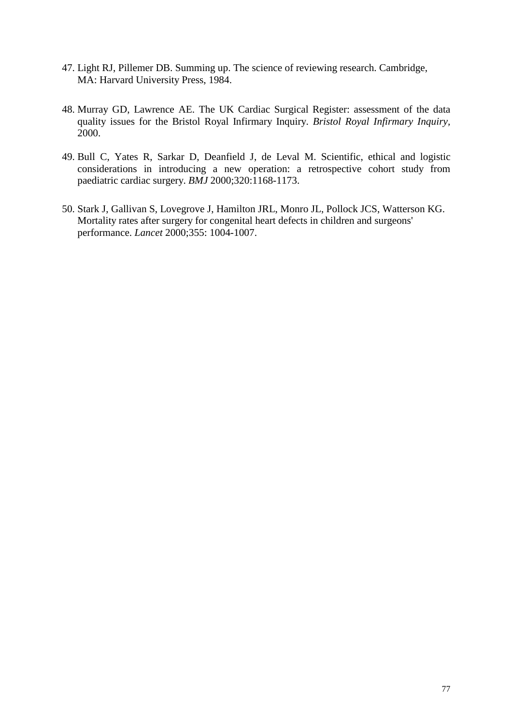- 47. Light RJ, Pillemer DB. Summing up. The science of reviewing research. Cambridge, MA: Harvard University Press, 1984.
- 48. Murray GD, Lawrence AE. The UK Cardiac Surgical Register: assessment of the data quality issues for the Bristol Royal Infirmary Inquiry. *Bristol Royal Infirmary Inquiry,* 2000.
- 49. Bull C, Yates R, Sarkar D, Deanfield J, de Leval M. Scientific, ethical and logistic considerations in introducing a new operation: a retrospective cohort study from paediatric cardiac surgery. *BMJ* 2000;320:1168-1173.
- 50. Stark J, Gallivan S, Lovegrove J, Hamilton JRL, Monro JL, Pollock JCS, Watterson KG. Mortality rates after surgery for congenital heart defects in children and surgeons' performance. *Lancet* 2000;355: 1004-1007.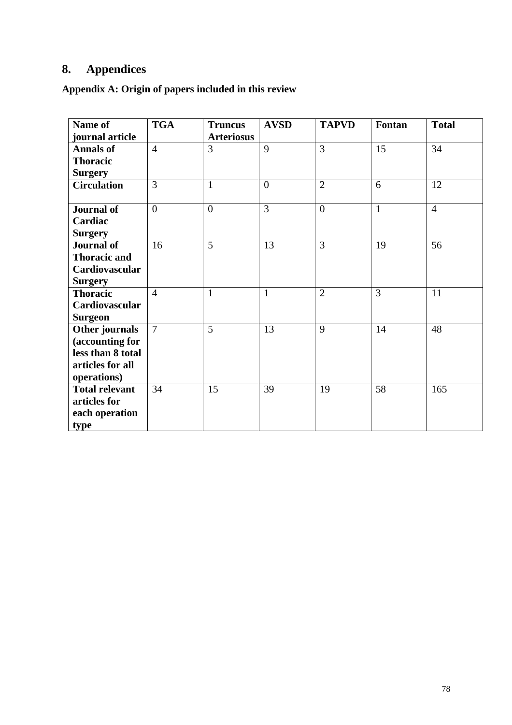# **8. Appendices**

**Appendix A: Origin of papers included in this review** 

| Name of               | <b>TGA</b>     | <b>Truncus</b>    | <b>AVSD</b>    | <b>TAPVD</b>   | Fontan       | <b>Total</b>   |
|-----------------------|----------------|-------------------|----------------|----------------|--------------|----------------|
| journal article       |                | <b>Arteriosus</b> |                |                |              |                |
| <b>Annals of</b>      | $\overline{4}$ | 3                 | 9              | $\overline{3}$ | 15           | 34             |
| <b>Thoracic</b>       |                |                   |                |                |              |                |
| <b>Surgery</b>        |                |                   |                |                |              |                |
| <b>Circulation</b>    | $\overline{3}$ | $\mathbf{1}$      | $\theta$       | $\overline{2}$ | 6            | 12             |
| <b>Journal of</b>     | $\overline{0}$ | $\overline{0}$    | $\overline{3}$ | $\overline{0}$ | $\mathbf{1}$ | $\overline{4}$ |
| Cardiac               |                |                   |                |                |              |                |
| <b>Surgery</b>        |                |                   |                |                |              |                |
| <b>Journal of</b>     | 16             | 5                 | 13             | 3              | 19           | 56             |
| <b>Thoracic and</b>   |                |                   |                |                |              |                |
| Cardiovascular        |                |                   |                |                |              |                |
| <b>Surgery</b>        |                |                   |                |                |              |                |
| <b>Thoracic</b>       | $\overline{4}$ | $\mathbf{1}$      | $\mathbf{1}$   | $\overline{2}$ | 3            | 11             |
| Cardiovascular        |                |                   |                |                |              |                |
| <b>Surgeon</b>        |                |                   |                |                |              |                |
| Other journals        | $\overline{7}$ | 5                 | 13             | 9              | 14           | 48             |
| (accounting for       |                |                   |                |                |              |                |
| less than 8 total     |                |                   |                |                |              |                |
| articles for all      |                |                   |                |                |              |                |
| operations)           |                |                   |                |                |              |                |
| <b>Total relevant</b> | 34             | 15                | 39             | 19             | 58           | 165            |
| articles for          |                |                   |                |                |              |                |
| each operation        |                |                   |                |                |              |                |
| type                  |                |                   |                |                |              |                |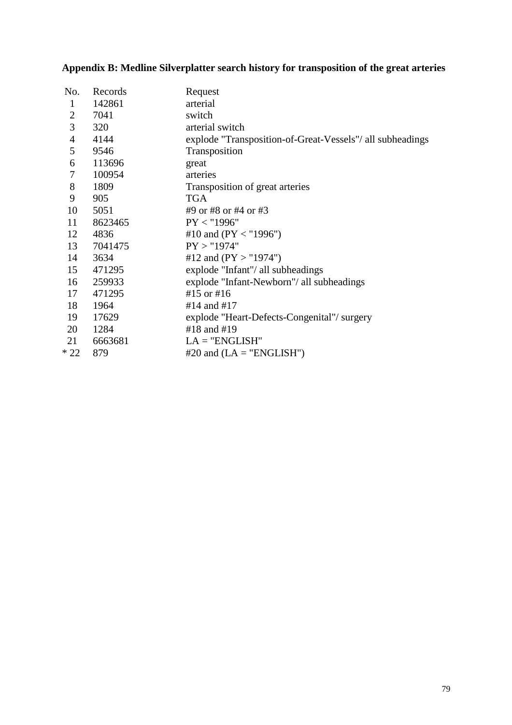# **Appendix B: Medline Silverplatter search history for transposition of the great arteries**

| No.            | Records | Request                                                   |
|----------------|---------|-----------------------------------------------------------|
| $\mathbf{1}$   | 142861  | arterial                                                  |
| $\overline{2}$ | 7041    | switch                                                    |
| 3              | 320     | arterial switch                                           |
| $\overline{4}$ | 4144    | explode "Transposition-of-Great-Vessels"/ all subheadings |
| 5              | 9546    | Transposition                                             |
| 6              | 113696  | great                                                     |
| 7              | 100954  | arteries                                                  |
| 8              | 1809    | Transposition of great arteries                           |
| 9              | 905     | <b>TGA</b>                                                |
| 10             | 5051    | #9 or #8 or #4 or #3                                      |
| 11             | 8623465 | PY < "1996"                                               |
| 12             | 4836    | #10 and (PY < "1996")                                     |
| 13             | 7041475 | PY > "1974"                                               |
| 14             | 3634    | #12 and $(PY > "1974")$                                   |
| 15             | 471295  | explode "Infant"/ all subheadings                         |
| 16             | 259933  | explode "Infant-Newborn"/ all subheadings                 |
| 17             | 471295  | #15 or #16                                                |
| 18             | 1964    | #14 and #17                                               |
| 19             | 17629   | explode "Heart-Defects-Congenital"/surgery                |
| 20             | 1284    | #18 and #19                                               |
| 21             | 6663681 | $LA = "ENGLISH"$                                          |
| $*22$          | 879     | $#20$ and $(LA = "ENGLISH")$                              |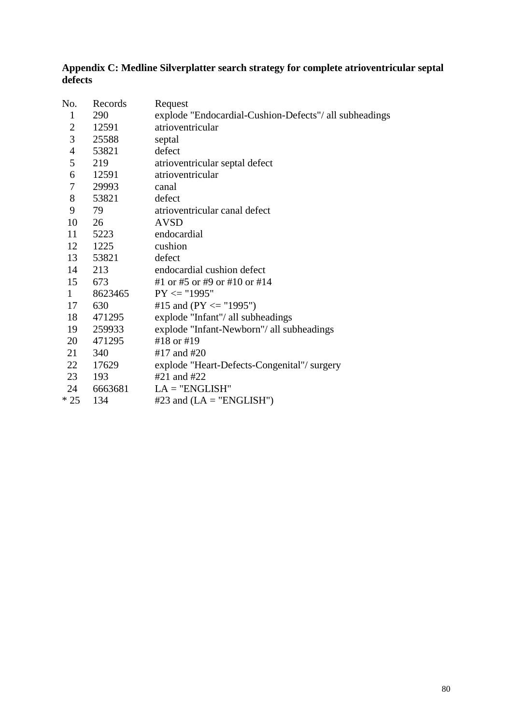#### **Appendix C: Medline Silverplatter search strategy for complete atrioventricular septal defects**

| No.                      | Records | Request                                                |
|--------------------------|---------|--------------------------------------------------------|
| $\mathbf{1}$             | 290     | explode "Endocardial-Cushion-Defects"/ all subheadings |
| $\mathbf{2}$             | 12591   | atrioventricular                                       |
| 3                        | 25588   | septal                                                 |
| $\overline{\mathcal{A}}$ | 53821   | defect                                                 |
| 5                        | 219     | atrioventricular septal defect                         |
| 6                        | 12591   | atrioventricular                                       |
| 7                        | 29993   | canal                                                  |
| 8                        | 53821   | defect                                                 |
| 9                        | 79      | atrioventricular canal defect                          |
| 10                       | 26      | <b>AVSD</b>                                            |
| 11                       | 5223    | endocardial                                            |
| 12                       | 1225    | cushion                                                |
| 13                       | 53821   | defect                                                 |
| 14                       | 213     | endocardial cushion defect                             |
| 15                       | 673     | #1 or #5 or #9 or #10 or #14                           |
| 1                        | 8623465 | $PY \leq "1995"$                                       |
| 17                       | 630     | #15 and (PY $\le$ "1995")                              |
| 18                       | 471295  | explode "Infant"/ all subheadings                      |
| 19                       | 259933  | explode "Infant-Newborn"/ all subheadings              |
| 20                       | 471295  | #18 or #19                                             |
| 21                       | 340     | #17 and #20                                            |
| 22                       | 17629   | explode "Heart-Defects-Congenital"/surgery             |
| 23                       | 193     | #21 and #22                                            |
| 24                       | 6663681 | $LA = "ENGLISH"$                                       |
| $*25$                    | 134     | #23 and $(LA = "ENGLISH")$                             |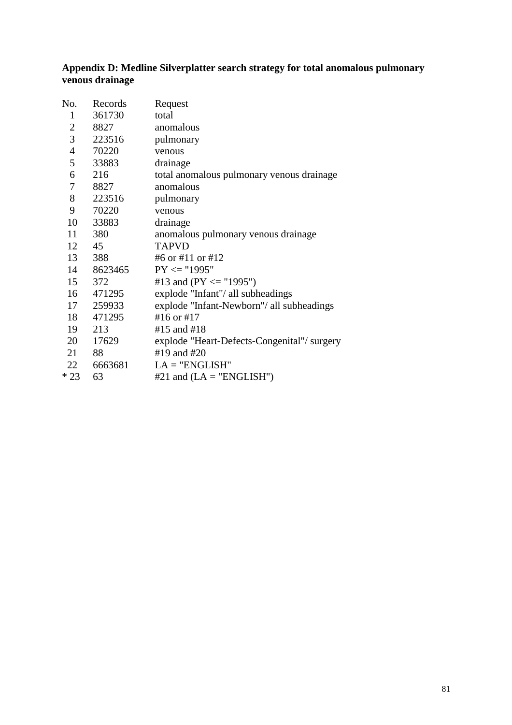#### **Appendix D: Medline Silverplatter search strategy for total anomalous pulmonary venous drainage**

| No.            | Records | Request                                     |
|----------------|---------|---------------------------------------------|
| $\mathbf{1}$   | 361730  | total                                       |
| $\overline{2}$ | 8827    | anomalous                                   |
| 3              | 223516  | pulmonary                                   |
| $\overline{4}$ | 70220   | venous                                      |
| 5              | 33883   | drainage                                    |
| 6              | 216     | total anomalous pulmonary venous drainage   |
| $\tau$         | 8827    | anomalous                                   |
| 8              | 223516  | pulmonary                                   |
| 9              | 70220   | venous                                      |
| 10             | 33883   | drainage                                    |
| 11             | 380     | anomalous pulmonary venous drainage         |
| 12             | 45      | <b>TAPVD</b>                                |
| 13             | 388     | #6 or #11 or #12                            |
| 14             | 8623465 | $PY \leq "1995"$                            |
| 15             | 372     | #13 and (PY $\le$ "1995")                   |
| 16             | 471295  | explode "Infant"/ all subheadings           |
| 17             | 259933  | explode "Infant-Newborn"/ all subheadings   |
| 18             | 471295  | #16 or #17                                  |
| 19             | 213     | #15 and #18                                 |
| 20             | 17629   | explode "Heart-Defects-Congenital"/ surgery |
| 21             | 88      | #19 and #20                                 |
| 22             | 6663681 | $LA = "ENGLISH"$                            |
| $*23$          | 63      | #21 and $(LA = "ENGLISH")$                  |
|                |         |                                             |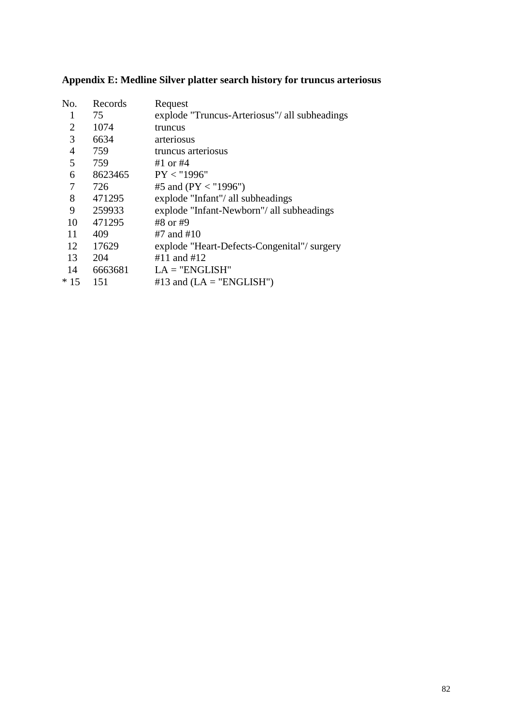|  |  |  |  |  | Appendix E: Medline Silver platter search history for truncus arteriosus |
|--|--|--|--|--|--------------------------------------------------------------------------|
|  |  |  |  |  |                                                                          |

| No.            | Records | Request                                       |
|----------------|---------|-----------------------------------------------|
| 1              | 75      | explode "Truncus-Arteriosus"/ all subheadings |
| $\overline{2}$ | 1074    | truncus                                       |
| 3              | 6634    | arteriosus                                    |
| $\overline{4}$ | 759     | truncus arteriosus                            |
| 5              | 759     | #1 or $#4$                                    |
| 6              | 8623465 | PY < "1996"                                   |
| 7              | 726     | #5 and ( $PY < "1996"$ )                      |
| 8              | 471295  | explode "Infant"/ all subheadings             |
| 9              | 259933  | explode "Infant-Newborn"/ all subheadings     |
| 10             | 471295  | #8 or #9                                      |
| 11             | 409     | #7 and #10                                    |
| 12             | 17629   | explode "Heart-Defects-Congenital"/ surgery   |
| 13             | 204     | #11 and #12                                   |
| 14             | 6663681 | $LA = "ENGLISH"$                              |
| $*15$          | 151     | #13 and $(LA = "ENGLISH")$                    |
|                |         |                                               |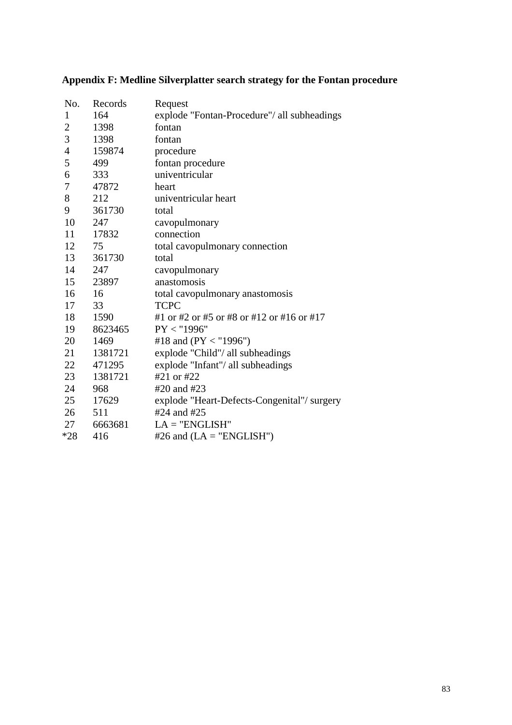| No.            | Records | Request                                     |
|----------------|---------|---------------------------------------------|
| $\mathbf{1}$   | 164     | explode "Fontan-Procedure"/ all subheadings |
| $\overline{2}$ | 1398    | fontan                                      |
| 3              | 1398    | fontan                                      |
| $\overline{4}$ | 159874  | procedure                                   |
| 5              | 499     | fontan procedure                            |
| 6              | 333     | univentricular                              |
| 7              | 47872   | heart                                       |
| 8              | 212     | univentricular heart                        |
| 9              | 361730  | total                                       |
| 10             | 247     | cavopulmonary                               |
| 11             | 17832   | connection                                  |
| 12             | 75      | total cavopulmonary connection              |
| 13             | 361730  | total                                       |
| 14             | 247     | cavopulmonary                               |
| 15             | 23897   | anastomosis                                 |
| 16             | 16      | total cavopulmonary anastomosis             |
| 17             | 33      | <b>TCPC</b>                                 |
| 18             | 1590    | #1 or #2 or #5 or #8 or #12 or #16 or #17   |
| 19             | 8623465 | PY < "1996"                                 |
| 20             | 1469    | #18 and (PY < "1996")                       |
| 21             | 1381721 | explode "Child"/ all subheadings            |
| 22             | 471295  | explode "Infant"/ all subheadings           |
| 23             | 1381721 | #21 or #22                                  |
| 24             | 968     | #20 and #23                                 |
| 25             | 17629   | explode "Heart-Defects-Congenital"/surgery  |
| 26             | 511     | #24 and #25                                 |
| 27             | 6663681 | $LA = "ENGLISH"$                            |
| $*28$          | 416     | #26 and $(LA = "ENGLISH")$                  |

# **Appendix F: Medline Silverplatter search strategy for the Fontan procedure**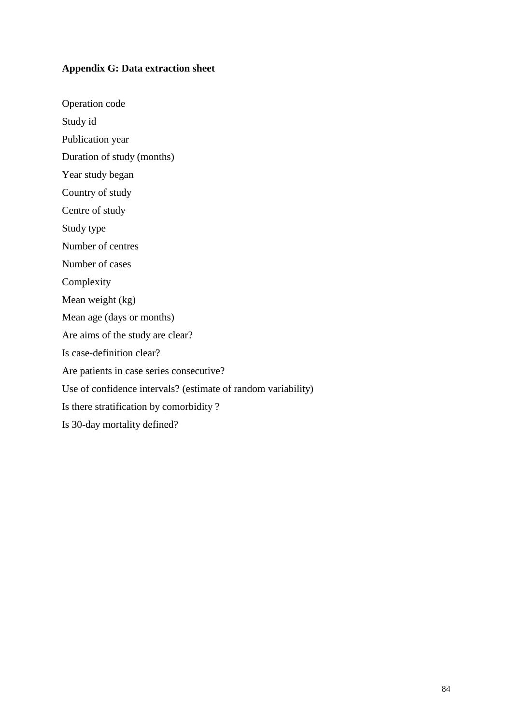## **Appendix G: Data extraction sheet**

Operation code

Study id

Publication year

Duration of study (months)

Year study began

Country of study

Centre of study

Study type

Number of centres

Number of cases

Complexity

Mean weight (kg)

Mean age (days or months)

Are aims of the study are clear?

Is case-definition clear?

Are patients in case series consecutive?

Use of confidence intervals? (estimate of random variability)

Is there stratification by comorbidity ?

Is 30-day mortality defined?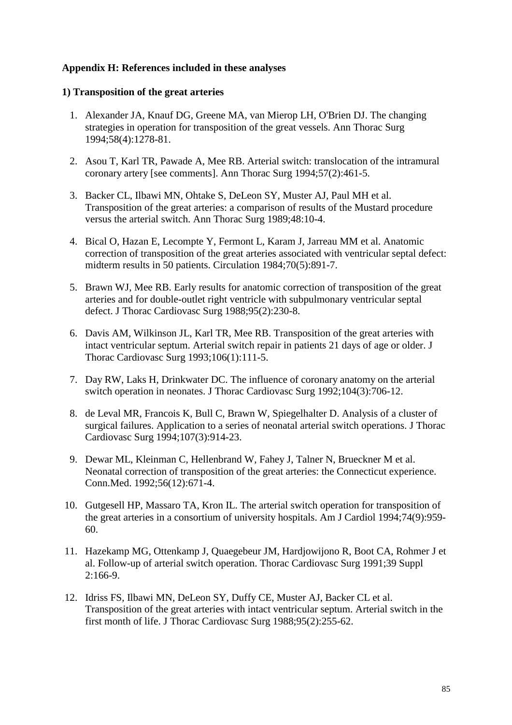## **Appendix H: References included in these analyses**

#### **1) Transposition of the great arteries**

- 1. Alexander JA, Knauf DG, Greene MA, van Mierop LH, O'Brien DJ. The changing strategies in operation for transposition of the great vessels. Ann Thorac Surg 1994;58(4):1278-81.
- 2. Asou T, Karl TR, Pawade A, Mee RB. Arterial switch: translocation of the intramural coronary artery [see comments]. Ann Thorac Surg 1994;57(2):461-5.
- 3. Backer CL, Ilbawi MN, Ohtake S, DeLeon SY, Muster AJ, Paul MH et al. Transposition of the great arteries: a comparison of results of the Mustard procedure versus the arterial switch. Ann Thorac Surg 1989;48:10-4.
- 4. Bical O, Hazan E, Lecompte Y, Fermont L, Karam J, Jarreau MM et al. Anatomic correction of transposition of the great arteries associated with ventricular septal defect: midterm results in 50 patients. Circulation 1984;70(5):891-7.
- 5. Brawn WJ, Mee RB. Early results for anatomic correction of transposition of the great arteries and for double-outlet right ventricle with subpulmonary ventricular septal defect. J Thorac Cardiovasc Surg 1988;95(2):230-8.
- 6. Davis AM, Wilkinson JL, Karl TR, Mee RB. Transposition of the great arteries with intact ventricular septum. Arterial switch repair in patients 21 days of age or older. J Thorac Cardiovasc Surg 1993;106(1):111-5.
- 7. Day RW, Laks H, Drinkwater DC. The influence of coronary anatomy on the arterial switch operation in neonates. J Thorac Cardiovasc Surg 1992;104(3):706-12.
- 8. de Leval MR, Francois K, Bull C, Brawn W, Spiegelhalter D. Analysis of a cluster of surgical failures. Application to a series of neonatal arterial switch operations. J Thorac Cardiovasc Surg 1994;107(3):914-23.
- 9. Dewar ML, Kleinman C, Hellenbrand W, Fahey J, Talner N, Brueckner M et al. Neonatal correction of transposition of the great arteries: the Connecticut experience. Conn.Med. 1992;56(12):671-4.
- 10. Gutgesell HP, Massaro TA, Kron IL. The arterial switch operation for transposition of the great arteries in a consortium of university hospitals. Am J Cardiol 1994;74(9):959- 60.
- 11. Hazekamp MG, Ottenkamp J, Quaegebeur JM, Hardjowijono R, Boot CA, Rohmer J et al. Follow-up of arterial switch operation. Thorac Cardiovasc Surg 1991;39 Suppl  $2:166-9.$
- 12. Idriss FS, Ilbawi MN, DeLeon SY, Duffy CE, Muster AJ, Backer CL et al. Transposition of the great arteries with intact ventricular septum. Arterial switch in the first month of life. J Thorac Cardiovasc Surg 1988;95(2):255-62.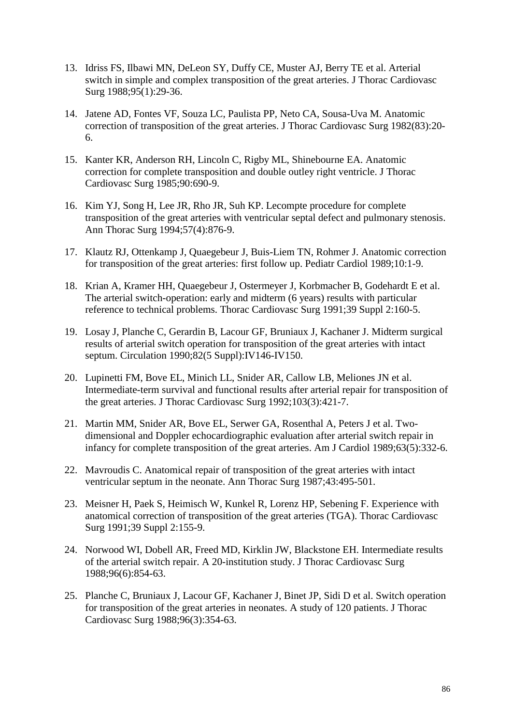- 13. Idriss FS, Ilbawi MN, DeLeon SY, Duffy CE, Muster AJ, Berry TE et al. Arterial switch in simple and complex transposition of the great arteries. J Thorac Cardiovasc Surg 1988;95(1):29-36.
- 14. Jatene AD, Fontes VF, Souza LC, Paulista PP, Neto CA, Sousa-Uva M. Anatomic correction of transposition of the great arteries. J Thorac Cardiovasc Surg 1982(83):20- 6.
- 15. Kanter KR, Anderson RH, Lincoln C, Rigby ML, Shinebourne EA. Anatomic correction for complete transposition and double outley right ventricle. J Thorac Cardiovasc Surg 1985;90:690-9.
- 16. Kim YJ, Song H, Lee JR, Rho JR, Suh KP. Lecompte procedure for complete transposition of the great arteries with ventricular septal defect and pulmonary stenosis. Ann Thorac Surg 1994;57(4):876-9.
- 17. Klautz RJ, Ottenkamp J, Quaegebeur J, Buis-Liem TN, Rohmer J. Anatomic correction for transposition of the great arteries: first follow up. Pediatr Cardiol 1989;10:1-9.
- 18. Krian A, Kramer HH, Quaegebeur J, Ostermeyer J, Korbmacher B, Godehardt E et al. The arterial switch-operation: early and midterm (6 years) results with particular reference to technical problems. Thorac Cardiovasc Surg 1991;39 Suppl 2:160-5.
- 19. Losay J, Planche C, Gerardin B, Lacour GF, Bruniaux J, Kachaner J. Midterm surgical results of arterial switch operation for transposition of the great arteries with intact septum. Circulation 1990;82(5 Suppl):IV146-IV150.
- 20. Lupinetti FM, Bove EL, Minich LL, Snider AR, Callow LB, Meliones JN et al. Intermediate-term survival and functional results after arterial repair for transposition of the great arteries. J Thorac Cardiovasc Surg 1992;103(3):421-7.
- 21. Martin MM, Snider AR, Bove EL, Serwer GA, Rosenthal A, Peters J et al. Twodimensional and Doppler echocardiographic evaluation after arterial switch repair in infancy for complete transposition of the great arteries. Am J Cardiol 1989;63(5):332-6.
- 22. Mavroudis C. Anatomical repair of transposition of the great arteries with intact ventricular septum in the neonate. Ann Thorac Surg 1987;43:495-501.
- 23. Meisner H, Paek S, Heimisch W, Kunkel R, Lorenz HP, Sebening F. Experience with anatomical correction of transposition of the great arteries (TGA). Thorac Cardiovasc Surg 1991;39 Suppl 2:155-9.
- 24. Norwood WI, Dobell AR, Freed MD, Kirklin JW, Blackstone EH. Intermediate results of the arterial switch repair. A 20-institution study. J Thorac Cardiovasc Surg 1988;96(6):854-63.
- 25. Planche C, Bruniaux J, Lacour GF, Kachaner J, Binet JP, Sidi D et al. Switch operation for transposition of the great arteries in neonates. A study of 120 patients. J Thorac Cardiovasc Surg 1988;96(3):354-63.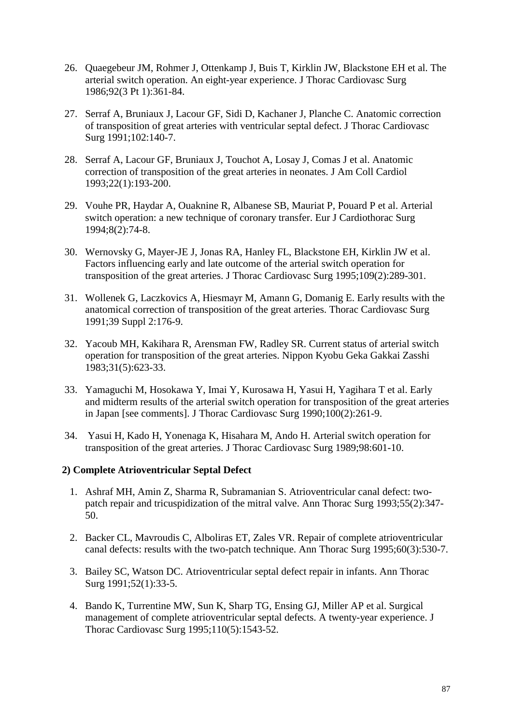- 26. Quaegebeur JM, Rohmer J, Ottenkamp J, Buis T, Kirklin JW, Blackstone EH et al. The arterial switch operation. An eight-year experience. J Thorac Cardiovasc Surg 1986;92(3 Pt 1):361-84.
- 27. Serraf A, Bruniaux J, Lacour GF, Sidi D, Kachaner J, Planche C. Anatomic correction of transposition of great arteries with ventricular septal defect. J Thorac Cardiovasc Surg 1991;102:140-7.
- 28. Serraf A, Lacour GF, Bruniaux J, Touchot A, Losay J, Comas J et al. Anatomic correction of transposition of the great arteries in neonates. J Am Coll Cardiol 1993;22(1):193-200.
- 29. Vouhe PR, Haydar A, Ouaknine R, Albanese SB, Mauriat P, Pouard P et al. Arterial switch operation: a new technique of coronary transfer. Eur J Cardiothorac Surg 1994;8(2):74-8.
- 30. Wernovsky G, Mayer-JE J, Jonas RA, Hanley FL, Blackstone EH, Kirklin JW et al. Factors influencing early and late outcome of the arterial switch operation for transposition of the great arteries. J Thorac Cardiovasc Surg 1995;109(2):289-301.
- 31. Wollenek G, Laczkovics A, Hiesmayr M, Amann G, Domanig E. Early results with the anatomical correction of transposition of the great arteries. Thorac Cardiovasc Surg 1991;39 Suppl 2:176-9.
- 32. Yacoub MH, Kakihara R, Arensman FW, Radley SR. Current status of arterial switch operation for transposition of the great arteries. Nippon Kyobu Geka Gakkai Zasshi 1983;31(5):623-33.
- 33. Yamaguchi M, Hosokawa Y, Imai Y, Kurosawa H, Yasui H, Yagihara T et al. Early and midterm results of the arterial switch operation for transposition of the great arteries in Japan [see comments]. J Thorac Cardiovasc Surg 1990;100(2):261-9.
- 34. Yasui H, Kado H, Yonenaga K, Hisahara M, Ando H. Arterial switch operation for transposition of the great arteries. J Thorac Cardiovasc Surg 1989;98:601-10.

## **2) Complete Atrioventricular Septal Defect**

- 1. Ashraf MH, Amin Z, Sharma R, Subramanian S. Atrioventricular canal defect: twopatch repair and tricuspidization of the mitral valve. Ann Thorac Surg 1993;55(2):347- 50.
- 2. Backer CL, Mavroudis C, Alboliras ET, Zales VR. Repair of complete atrioventricular canal defects: results with the two-patch technique. Ann Thorac Surg 1995;60(3):530-7.
- 3. Bailey SC, Watson DC. Atrioventricular septal defect repair in infants. Ann Thorac Surg 1991;52(1):33-5.
- 4. Bando K, Turrentine MW, Sun K, Sharp TG, Ensing GJ, Miller AP et al. Surgical management of complete atrioventricular septal defects. A twenty-year experience. J Thorac Cardiovasc Surg 1995;110(5):1543-52.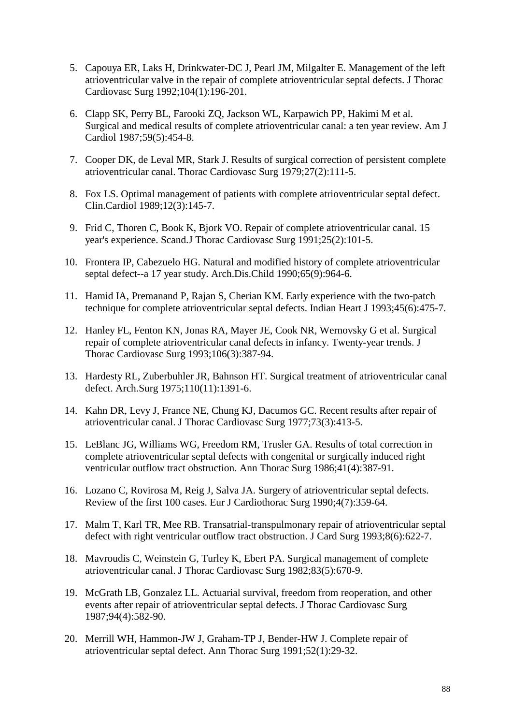- 5. Capouya ER, Laks H, Drinkwater-DC J, Pearl JM, Milgalter E. Management of the left atrioventricular valve in the repair of complete atrioventricular septal defects. J Thorac Cardiovasc Surg 1992;104(1):196-201.
- 6. Clapp SK, Perry BL, Farooki ZQ, Jackson WL, Karpawich PP, Hakimi M et al. Surgical and medical results of complete atrioventricular canal: a ten year review. Am J Cardiol 1987;59(5):454-8.
- 7. Cooper DK, de Leval MR, Stark J. Results of surgical correction of persistent complete atrioventricular canal. Thorac Cardiovasc Surg 1979;27(2):111-5.
- 8. Fox LS. Optimal management of patients with complete atrioventricular septal defect. Clin.Cardiol 1989;12(3):145-7.
- 9. Frid C, Thoren C, Book K, Bjork VO. Repair of complete atrioventricular canal. 15 year's experience. Scand.J Thorac Cardiovasc Surg 1991;25(2):101-5.
- 10. Frontera IP, Cabezuelo HG. Natural and modified history of complete atrioventricular septal defect--a 17 year study. Arch.Dis.Child 1990;65(9):964-6.
- 11. Hamid IA, Premanand P, Rajan S, Cherian KM. Early experience with the two-patch technique for complete atrioventricular septal defects. Indian Heart J 1993;45(6):475-7.
- 12. Hanley FL, Fenton KN, Jonas RA, Mayer JE, Cook NR, Wernovsky G et al. Surgical repair of complete atrioventricular canal defects in infancy. Twenty-year trends. J Thorac Cardiovasc Surg 1993;106(3):387-94.
- 13. Hardesty RL, Zuberbuhler JR, Bahnson HT. Surgical treatment of atrioventricular canal defect. Arch.Surg 1975;110(11):1391-6.
- 14. Kahn DR, Levy J, France NE, Chung KJ, Dacumos GC. Recent results after repair of atrioventricular canal. J Thorac Cardiovasc Surg 1977;73(3):413-5.
- 15. LeBlanc JG, Williams WG, Freedom RM, Trusler GA. Results of total correction in complete atrioventricular septal defects with congenital or surgically induced right ventricular outflow tract obstruction. Ann Thorac Surg 1986;41(4):387-91.
- 16. Lozano C, Rovirosa M, Reig J, Salva JA. Surgery of atrioventricular septal defects. Review of the first 100 cases. Eur J Cardiothorac Surg 1990;4(7):359-64.
- 17. Malm T, Karl TR, Mee RB. Transatrial-transpulmonary repair of atrioventricular septal defect with right ventricular outflow tract obstruction. J Card Surg 1993;8(6):622-7.
- 18. Mavroudis C, Weinstein G, Turley K, Ebert PA. Surgical management of complete atrioventricular canal. J Thorac Cardiovasc Surg 1982;83(5):670-9.
- 19. McGrath LB, Gonzalez LL. Actuarial survival, freedom from reoperation, and other events after repair of atrioventricular septal defects. J Thorac Cardiovasc Surg 1987;94(4):582-90.
- 20. Merrill WH, Hammon-JW J, Graham-TP J, Bender-HW J. Complete repair of atrioventricular septal defect. Ann Thorac Surg 1991;52(1):29-32.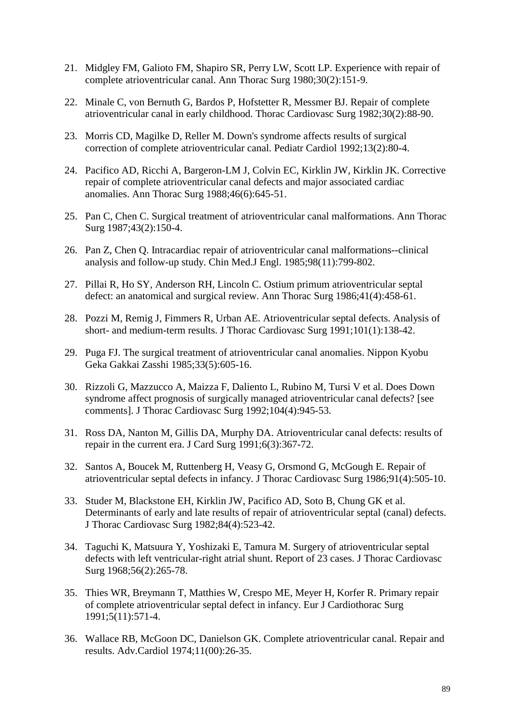- 21. Midgley FM, Galioto FM, Shapiro SR, Perry LW, Scott LP. Experience with repair of complete atrioventricular canal. Ann Thorac Surg 1980;30(2):151-9.
- 22. Minale C, von Bernuth G, Bardos P, Hofstetter R, Messmer BJ. Repair of complete atrioventricular canal in early childhood. Thorac Cardiovasc Surg 1982;30(2):88-90.
- 23. Morris CD, Magilke D, Reller M. Down's syndrome affects results of surgical correction of complete atrioventricular canal. Pediatr Cardiol 1992;13(2):80-4.
- 24. Pacifico AD, Ricchi A, Bargeron-LM J, Colvin EC, Kirklin JW, Kirklin JK. Corrective repair of complete atrioventricular canal defects and major associated cardiac anomalies. Ann Thorac Surg 1988;46(6):645-51.
- 25. Pan C, Chen C. Surgical treatment of atrioventricular canal malformations. Ann Thorac Surg 1987;43(2):150-4.
- 26. Pan Z, Chen Q. Intracardiac repair of atrioventricular canal malformations--clinical analysis and follow-up study. Chin Med.J Engl. 1985;98(11):799-802.
- 27. Pillai R, Ho SY, Anderson RH, Lincoln C. Ostium primum atrioventricular septal defect: an anatomical and surgical review. Ann Thorac Surg 1986;41(4):458-61.
- 28. Pozzi M, Remig J, Fimmers R, Urban AE. Atrioventricular septal defects. Analysis of short- and medium-term results. J Thorac Cardiovasc Surg 1991;101(1):138-42.
- 29. Puga FJ. The surgical treatment of atrioventricular canal anomalies. Nippon Kyobu Geka Gakkai Zasshi 1985;33(5):605-16.
- 30. Rizzoli G, Mazzucco A, Maizza F, Daliento L, Rubino M, Tursi V et al. Does Down syndrome affect prognosis of surgically managed atrioventricular canal defects? [see comments]. J Thorac Cardiovasc Surg 1992;104(4):945-53.
- 31. Ross DA, Nanton M, Gillis DA, Murphy DA. Atrioventricular canal defects: results of repair in the current era. J Card Surg 1991;6(3):367-72.
- 32. Santos A, Boucek M, Ruttenberg H, Veasy G, Orsmond G, McGough E. Repair of atrioventricular septal defects in infancy. J Thorac Cardiovasc Surg 1986;91(4):505-10.
- 33. Studer M, Blackstone EH, Kirklin JW, Pacifico AD, Soto B, Chung GK et al. Determinants of early and late results of repair of atrioventricular septal (canal) defects. J Thorac Cardiovasc Surg 1982;84(4):523-42.
- 34. Taguchi K, Matsuura Y, Yoshizaki E, Tamura M. Surgery of atrioventricular septal defects with left ventricular-right atrial shunt. Report of 23 cases. J Thorac Cardiovasc Surg 1968;56(2):265-78.
- 35. Thies WR, Breymann T, Matthies W, Crespo ME, Meyer H, Korfer R. Primary repair of complete atrioventricular septal defect in infancy. Eur J Cardiothorac Surg 1991;5(11):571-4.
- 36. Wallace RB, McGoon DC, Danielson GK. Complete atrioventricular canal. Repair and results. Adv.Cardiol 1974;11(00):26-35.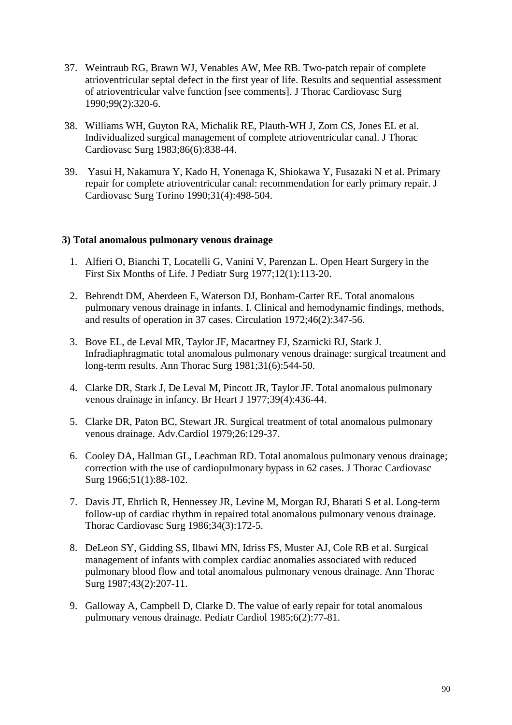- 37. Weintraub RG, Brawn WJ, Venables AW, Mee RB. Two-patch repair of complete atrioventricular septal defect in the first year of life. Results and sequential assessment of atrioventricular valve function [see comments]. J Thorac Cardiovasc Surg 1990;99(2):320-6.
- 38. Williams WH, Guyton RA, Michalik RE, Plauth-WH J, Zorn CS, Jones EL et al. Individualized surgical management of complete atrioventricular canal. J Thorac Cardiovasc Surg 1983;86(6):838-44.
- 39. Yasui H, Nakamura Y, Kado H, Yonenaga K, Shiokawa Y, Fusazaki N et al. Primary repair for complete atrioventricular canal: recommendation for early primary repair. J Cardiovasc Surg Torino 1990;31(4):498-504.

#### **3) Total anomalous pulmonary venous drainage**

- 1. Alfieri O, Bianchi T, Locatelli G, Vanini V, Parenzan L. Open Heart Surgery in the First Six Months of Life. J Pediatr Surg 1977;12(1):113-20.
- 2. Behrendt DM, Aberdeen E, Waterson DJ, Bonham-Carter RE. Total anomalous pulmonary venous drainage in infants. I. Clinical and hemodynamic findings, methods, and results of operation in 37 cases. Circulation 1972;46(2):347-56.
- 3. Bove EL, de Leval MR, Taylor JF, Macartney FJ, Szarnicki RJ, Stark J. Infradiaphragmatic total anomalous pulmonary venous drainage: surgical treatment and long-term results. Ann Thorac Surg 1981;31(6):544-50.
- 4. Clarke DR, Stark J, De Leval M, Pincott JR, Taylor JF. Total anomalous pulmonary venous drainage in infancy. Br Heart J 1977;39(4):436-44.
- 5. Clarke DR, Paton BC, Stewart JR. Surgical treatment of total anomalous pulmonary venous drainage. Adv.Cardiol 1979;26:129-37.
- 6. Cooley DA, Hallman GL, Leachman RD. Total anomalous pulmonary venous drainage; correction with the use of cardiopulmonary bypass in 62 cases. J Thorac Cardiovasc Surg 1966;51(1):88-102.
- 7. Davis JT, Ehrlich R, Hennessey JR, Levine M, Morgan RJ, Bharati S et al. Long-term follow-up of cardiac rhythm in repaired total anomalous pulmonary venous drainage. Thorac Cardiovasc Surg 1986;34(3):172-5.
- 8. DeLeon SY, Gidding SS, Ilbawi MN, Idriss FS, Muster AJ, Cole RB et al. Surgical management of infants with complex cardiac anomalies associated with reduced pulmonary blood flow and total anomalous pulmonary venous drainage. Ann Thorac Surg 1987;43(2):207-11.
- 9. Galloway A, Campbell D, Clarke D. The value of early repair for total anomalous pulmonary venous drainage. Pediatr Cardiol 1985;6(2):77-81.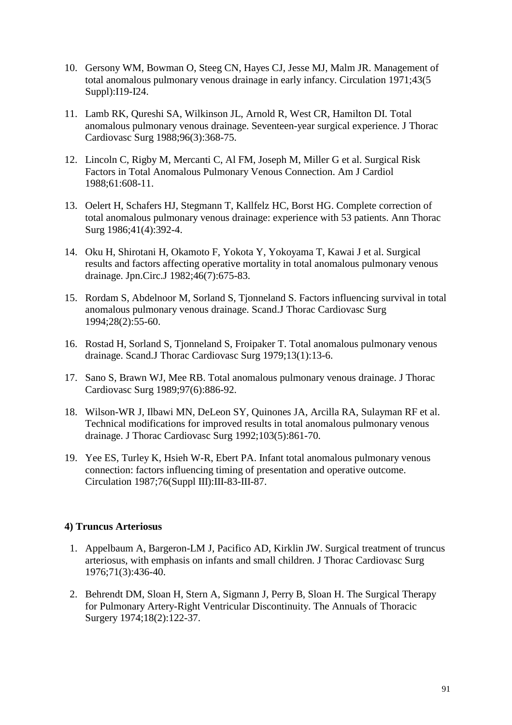- 10. Gersony WM, Bowman O, Steeg CN, Hayes CJ, Jesse MJ, Malm JR. Management of total anomalous pulmonary venous drainage in early infancy. Circulation 1971;43(5 Suppl):I19-I24.
- 11. Lamb RK, Qureshi SA, Wilkinson JL, Arnold R, West CR, Hamilton DI. Total anomalous pulmonary venous drainage. Seventeen-year surgical experience. J Thorac Cardiovasc Surg 1988;96(3):368-75.
- 12. Lincoln C, Rigby M, Mercanti C, Al FM, Joseph M, Miller G et al. Surgical Risk Factors in Total Anomalous Pulmonary Venous Connection. Am J Cardiol 1988;61:608-11.
- 13. Oelert H, Schafers HJ, Stegmann T, Kallfelz HC, Borst HG. Complete correction of total anomalous pulmonary venous drainage: experience with 53 patients. Ann Thorac Surg 1986;41(4):392-4.
- 14. Oku H, Shirotani H, Okamoto F, Yokota Y, Yokoyama T, Kawai J et al. Surgical results and factors affecting operative mortality in total anomalous pulmonary venous drainage. Jpn.Circ.J 1982;46(7):675-83.
- 15. Rordam S, Abdelnoor M, Sorland S, Tjonneland S. Factors influencing survival in total anomalous pulmonary venous drainage. Scand.J Thorac Cardiovasc Surg 1994;28(2):55-60.
- 16. Rostad H, Sorland S, Tjonneland S, Froipaker T. Total anomalous pulmonary venous drainage. Scand.J Thorac Cardiovasc Surg 1979;13(1):13-6.
- 17. Sano S, Brawn WJ, Mee RB. Total anomalous pulmonary venous drainage. J Thorac Cardiovasc Surg 1989;97(6):886-92.
- 18. Wilson-WR J, Ilbawi MN, DeLeon SY, Quinones JA, Arcilla RA, Sulayman RF et al. Technical modifications for improved results in total anomalous pulmonary venous drainage. J Thorac Cardiovasc Surg 1992;103(5):861-70.
- 19. Yee ES, Turley K, Hsieh W-R, Ebert PA. Infant total anomalous pulmonary venous connection: factors influencing timing of presentation and operative outcome. Circulation 1987;76(Suppl III):III-83-III-87.

## **4) Truncus Arteriosus**

- 1. Appelbaum A, Bargeron-LM J, Pacifico AD, Kirklin JW. Surgical treatment of truncus arteriosus, with emphasis on infants and small children. J Thorac Cardiovasc Surg 1976;71(3):436-40.
- 2. Behrendt DM, Sloan H, Stern A, Sigmann J, Perry B, Sloan H. The Surgical Therapy for Pulmonary Artery-Right Ventricular Discontinuity. The Annuals of Thoracic Surgery 1974;18(2):122-37.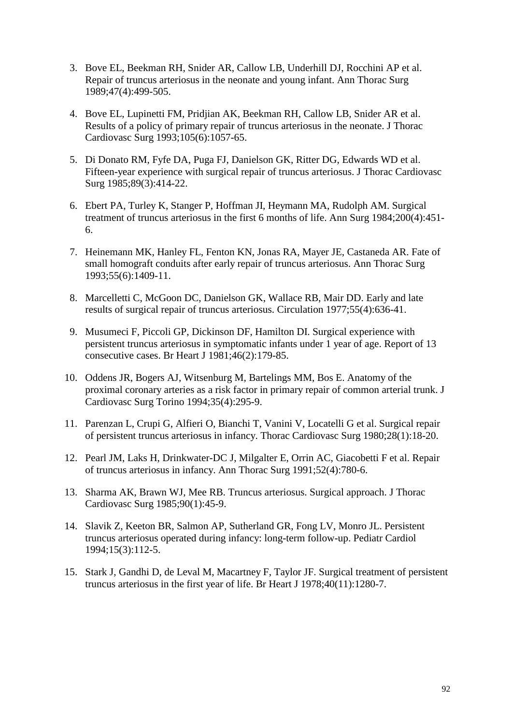- 3. Bove EL, Beekman RH, Snider AR, Callow LB, Underhill DJ, Rocchini AP et al. Repair of truncus arteriosus in the neonate and young infant. Ann Thorac Surg 1989;47(4):499-505.
- 4. Bove EL, Lupinetti FM, Pridjian AK, Beekman RH, Callow LB, Snider AR et al. Results of a policy of primary repair of truncus arteriosus in the neonate. J Thorac Cardiovasc Surg 1993;105(6):1057-65.
- 5. Di Donato RM, Fyfe DA, Puga FJ, Danielson GK, Ritter DG, Edwards WD et al. Fifteen-year experience with surgical repair of truncus arteriosus. J Thorac Cardiovasc Surg 1985;89(3):414-22.
- 6. Ebert PA, Turley K, Stanger P, Hoffman JI, Heymann MA, Rudolph AM. Surgical treatment of truncus arteriosus in the first 6 months of life. Ann Surg 1984;200(4):451- 6.
- 7. Heinemann MK, Hanley FL, Fenton KN, Jonas RA, Mayer JE, Castaneda AR. Fate of small homograft conduits after early repair of truncus arteriosus. Ann Thorac Surg 1993;55(6):1409-11.
- 8. Marcelletti C, McGoon DC, Danielson GK, Wallace RB, Mair DD. Early and late results of surgical repair of truncus arteriosus. Circulation 1977;55(4):636-41.
- 9. Musumeci F, Piccoli GP, Dickinson DF, Hamilton DI. Surgical experience with persistent truncus arteriosus in symptomatic infants under 1 year of age. Report of 13 consecutive cases. Br Heart J 1981;46(2):179-85.
- 10. Oddens JR, Bogers AJ, Witsenburg M, Bartelings MM, Bos E. Anatomy of the proximal coronary arteries as a risk factor in primary repair of common arterial trunk. J Cardiovasc Surg Torino 1994;35(4):295-9.
- 11. Parenzan L, Crupi G, Alfieri O, Bianchi T, Vanini V, Locatelli G et al. Surgical repair of persistent truncus arteriosus in infancy. Thorac Cardiovasc Surg 1980;28(1):18-20.
- 12. Pearl JM, Laks H, Drinkwater-DC J, Milgalter E, Orrin AC, Giacobetti F et al. Repair of truncus arteriosus in infancy. Ann Thorac Surg 1991;52(4):780-6.
- 13. Sharma AK, Brawn WJ, Mee RB. Truncus arteriosus. Surgical approach. J Thorac Cardiovasc Surg 1985;90(1):45-9.
- 14. Slavik Z, Keeton BR, Salmon AP, Sutherland GR, Fong LV, Monro JL. Persistent truncus arteriosus operated during infancy: long-term follow-up. Pediatr Cardiol 1994;15(3):112-5.
- 15. Stark J, Gandhi D, de Leval M, Macartney F, Taylor JF. Surgical treatment of persistent truncus arteriosus in the first year of life. Br Heart J 1978;40(11):1280-7.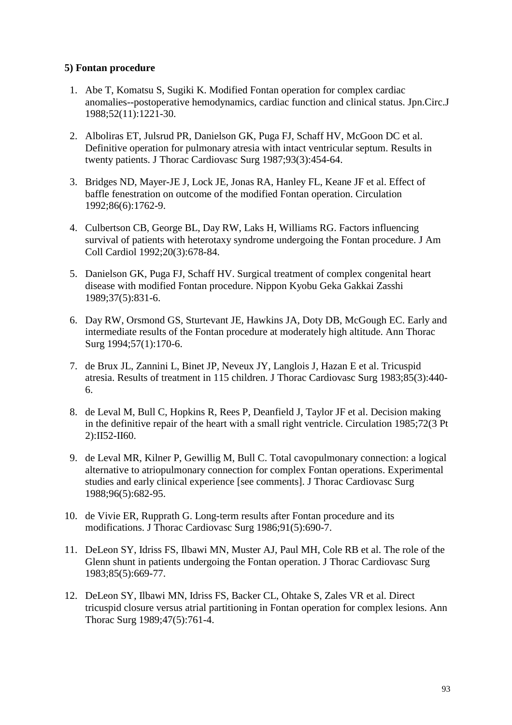## **5) Fontan procedure**

- 1. Abe T, Komatsu S, Sugiki K. Modified Fontan operation for complex cardiac anomalies--postoperative hemodynamics, cardiac function and clinical status. Jpn.Circ.J 1988;52(11):1221-30.
- 2. Alboliras ET, Julsrud PR, Danielson GK, Puga FJ, Schaff HV, McGoon DC et al. Definitive operation for pulmonary atresia with intact ventricular septum. Results in twenty patients. J Thorac Cardiovasc Surg 1987;93(3):454-64.
- 3. Bridges ND, Mayer-JE J, Lock JE, Jonas RA, Hanley FL, Keane JF et al. Effect of baffle fenestration on outcome of the modified Fontan operation. Circulation 1992;86(6):1762-9.
- 4. Culbertson CB, George BL, Day RW, Laks H, Williams RG. Factors influencing survival of patients with heterotaxy syndrome undergoing the Fontan procedure. J Am Coll Cardiol 1992;20(3):678-84.
- 5. Danielson GK, Puga FJ, Schaff HV. Surgical treatment of complex congenital heart disease with modified Fontan procedure. Nippon Kyobu Geka Gakkai Zasshi 1989;37(5):831-6.
- 6. Day RW, Orsmond GS, Sturtevant JE, Hawkins JA, Doty DB, McGough EC. Early and intermediate results of the Fontan procedure at moderately high altitude. Ann Thorac Surg 1994;57(1):170-6.
- 7. de Brux JL, Zannini L, Binet JP, Neveux JY, Langlois J, Hazan E et al. Tricuspid atresia. Results of treatment in 115 children. J Thorac Cardiovasc Surg 1983;85(3):440- 6.
- 8. de Leval M, Bull C, Hopkins R, Rees P, Deanfield J, Taylor JF et al. Decision making in the definitive repair of the heart with a small right ventricle. Circulation 1985;72(3 Pt 2):II52-II60.
- 9. de Leval MR, Kilner P, Gewillig M, Bull C. Total cavopulmonary connection: a logical alternative to atriopulmonary connection for complex Fontan operations. Experimental studies and early clinical experience [see comments]. J Thorac Cardiovasc Surg 1988;96(5):682-95.
- 10. de Vivie ER, Rupprath G. Long-term results after Fontan procedure and its modifications. J Thorac Cardiovasc Surg 1986;91(5):690-7.
- 11. DeLeon SY, Idriss FS, Ilbawi MN, Muster AJ, Paul MH, Cole RB et al. The role of the Glenn shunt in patients undergoing the Fontan operation. J Thorac Cardiovasc Surg 1983;85(5):669-77.
- 12. DeLeon SY, Ilbawi MN, Idriss FS, Backer CL, Ohtake S, Zales VR et al. Direct tricuspid closure versus atrial partitioning in Fontan operation for complex lesions. Ann Thorac Surg 1989;47(5):761-4.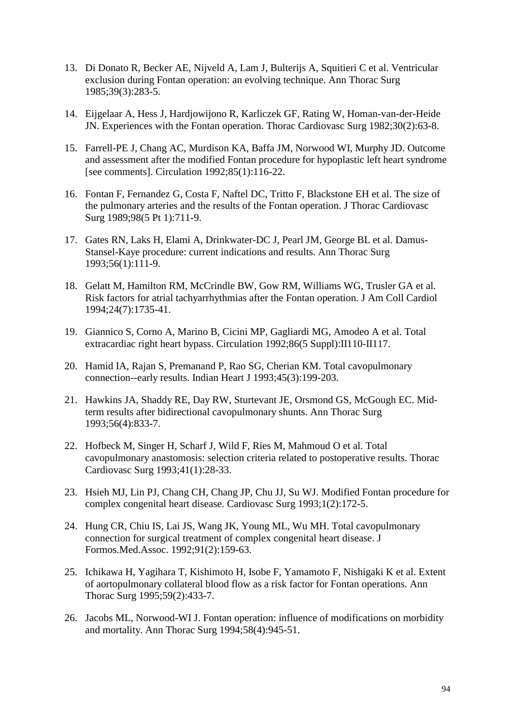- 13. Di Donato R, Becker AE, Nijveld A, Lam J, Bulterijs A, Squitieri C et al. Ventricular exclusion during Fontan operation: an evolving technique. Ann Thorac Surg 1985;39(3):283-5.
- 14. Eijgelaar A, Hess J, Hardjowijono R, Karliczek GF, Rating W, Homan-van-der-Heide JN. Experiences with the Fontan operation. Thorac Cardiovasc Surg 1982;30(2):63-8.
- 15. Farrell-PE J, Chang AC, Murdison KA, Baffa JM, Norwood WI, Murphy JD. Outcome and assessment after the modified Fontan procedure for hypoplastic left heart syndrome [see comments]. Circulation 1992;85(1):116-22.
- 16. Fontan F, Fernandez G, Costa F, Naftel DC, Tritto F, Blackstone EH et al. The size of the pulmonary arteries and the results of the Fontan operation. J Thorac Cardiovasc Surg 1989;98(5 Pt 1):711-9.
- 17. Gates RN, Laks H, Elami A, Drinkwater-DC J, Pearl JM, George BL et al. Damus-Stansel-Kaye procedure: current indications and results. Ann Thorac Surg 1993;56(1):111-9.
- 18. Gelatt M, Hamilton RM, McCrindle BW, Gow RM, Williams WG, Trusler GA et al. Risk factors for atrial tachyarrhythmias after the Fontan operation. J Am Coll Cardiol 1994;24(7):1735-41.
- 19. Giannico S, Corno A, Marino B, Cicini MP, Gagliardi MG, Amodeo A et al. Total extracardiac right heart bypass. Circulation 1992;86(5 Suppl):II110-II117.
- 20. Hamid IA, Rajan S, Premanand P, Rao SG, Cherian KM. Total cavopulmonary connection--early results. Indian Heart J 1993;45(3):199-203.
- 21. Hawkins JA, Shaddy RE, Day RW, Sturtevant JE, Orsmond GS, McGough EC. Midterm results after bidirectional cavopulmonary shunts. Ann Thorac Surg 1993;56(4):833-7.
- 22. Hofbeck M, Singer H, Scharf J, Wild F, Ries M, Mahmoud O et al. Total cavopulmonary anastomosis: selection criteria related to postoperative results. Thorac Cardiovasc Surg 1993;41(1):28-33.
- 23. Hsieh MJ, Lin PJ, Chang CH, Chang JP, Chu JJ, Su WJ. Modified Fontan procedure for complex congenital heart disease. Cardiovasc Surg 1993;1(2):172-5.
- 24. Hung CR, Chiu IS, Lai JS, Wang JK, Young ML, Wu MH. Total cavopulmonary connection for surgical treatment of complex congenital heart disease. J Formos.Med.Assoc. 1992;91(2):159-63.
- 25. Ichikawa H, Yagihara T, Kishimoto H, Isobe F, Yamamoto F, Nishigaki K et al. Extent of aortopulmonary collateral blood flow as a risk factor for Fontan operations. Ann Thorac Surg 1995;59(2):433-7.
- 26. Jacobs ML, Norwood-WI J. Fontan operation: influence of modifications on morbidity and mortality. Ann Thorac Surg 1994;58(4):945-51.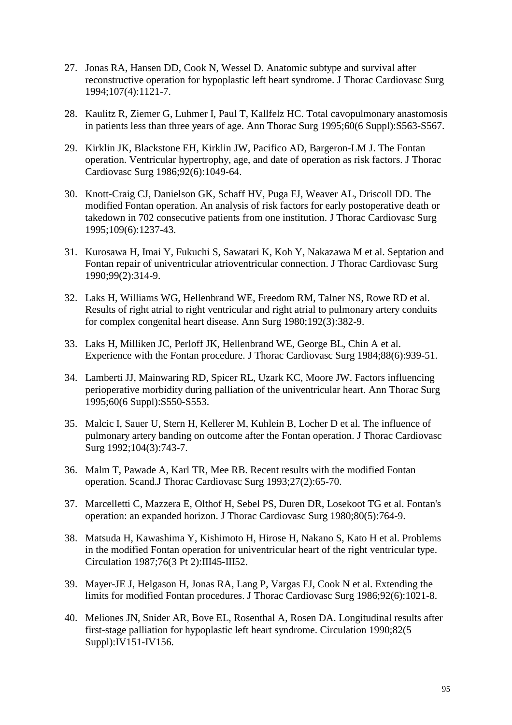- 27. Jonas RA, Hansen DD, Cook N, Wessel D. Anatomic subtype and survival after reconstructive operation for hypoplastic left heart syndrome. J Thorac Cardiovasc Surg 1994;107(4):1121-7.
- 28. Kaulitz R, Ziemer G, Luhmer I, Paul T, Kallfelz HC. Total cavopulmonary anastomosis in patients less than three years of age. Ann Thorac Surg 1995;60(6 Suppl):S563-S567.
- 29. Kirklin JK, Blackstone EH, Kirklin JW, Pacifico AD, Bargeron-LM J. The Fontan operation. Ventricular hypertrophy, age, and date of operation as risk factors. J Thorac Cardiovasc Surg 1986;92(6):1049-64.
- 30. Knott-Craig CJ, Danielson GK, Schaff HV, Puga FJ, Weaver AL, Driscoll DD. The modified Fontan operation. An analysis of risk factors for early postoperative death or takedown in 702 consecutive patients from one institution. J Thorac Cardiovasc Surg 1995;109(6):1237-43.
- 31. Kurosawa H, Imai Y, Fukuchi S, Sawatari K, Koh Y, Nakazawa M et al. Septation and Fontan repair of univentricular atrioventricular connection. J Thorac Cardiovasc Surg 1990;99(2):314-9.
- 32. Laks H, Williams WG, Hellenbrand WE, Freedom RM, Talner NS, Rowe RD et al. Results of right atrial to right ventricular and right atrial to pulmonary artery conduits for complex congenital heart disease. Ann Surg 1980;192(3):382-9.
- 33. Laks H, Milliken JC, Perloff JK, Hellenbrand WE, George BL, Chin A et al. Experience with the Fontan procedure. J Thorac Cardiovasc Surg 1984;88(6):939-51.
- 34. Lamberti JJ, Mainwaring RD, Spicer RL, Uzark KC, Moore JW. Factors influencing perioperative morbidity during palliation of the univentricular heart. Ann Thorac Surg 1995;60(6 Suppl):S550-S553.
- 35. Malcic I, Sauer U, Stern H, Kellerer M, Kuhlein B, Locher D et al. The influence of pulmonary artery banding on outcome after the Fontan operation. J Thorac Cardiovasc Surg 1992;104(3):743-7.
- 36. Malm T, Pawade A, Karl TR, Mee RB. Recent results with the modified Fontan operation. Scand.J Thorac Cardiovasc Surg 1993;27(2):65-70.
- 37. Marcelletti C, Mazzera E, Olthof H, Sebel PS, Duren DR, Losekoot TG et al. Fontan's operation: an expanded horizon. J Thorac Cardiovasc Surg 1980;80(5):764-9.
- 38. Matsuda H, Kawashima Y, Kishimoto H, Hirose H, Nakano S, Kato H et al. Problems in the modified Fontan operation for univentricular heart of the right ventricular type. Circulation 1987;76(3 Pt 2):III45-III52.
- 39. Mayer-JE J, Helgason H, Jonas RA, Lang P, Vargas FJ, Cook N et al. Extending the limits for modified Fontan procedures. J Thorac Cardiovasc Surg 1986;92(6):1021-8.
- 40. Meliones JN, Snider AR, Bove EL, Rosenthal A, Rosen DA. Longitudinal results after first-stage palliation for hypoplastic left heart syndrome. Circulation 1990;82(5 Suppl):IV151-IV156.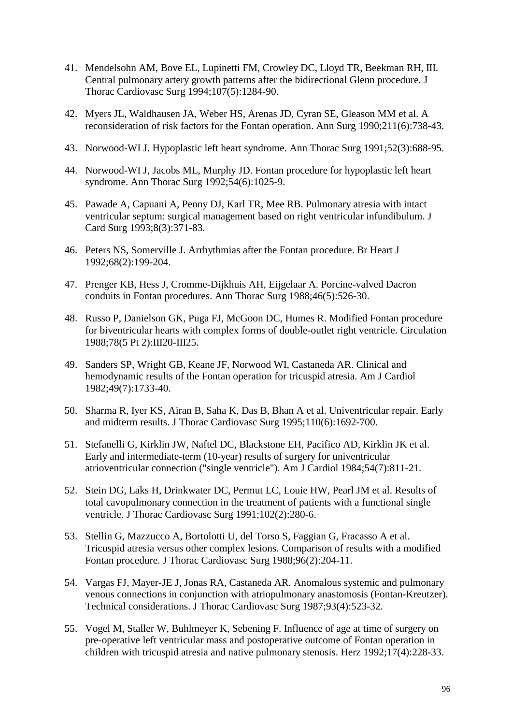- 41. Mendelsohn AM, Bove EL, Lupinetti FM, Crowley DC, Lloyd TR, Beekman RH, III. Central pulmonary artery growth patterns after the bidirectional Glenn procedure. J Thorac Cardiovasc Surg 1994;107(5):1284-90.
- 42. Myers JL, Waldhausen JA, Weber HS, Arenas JD, Cyran SE, Gleason MM et al. A reconsideration of risk factors for the Fontan operation. Ann Surg 1990;211(6):738-43.
- 43. Norwood-WI J. Hypoplastic left heart syndrome. Ann Thorac Surg 1991;52(3):688-95.
- 44. Norwood-WI J, Jacobs ML, Murphy JD. Fontan procedure for hypoplastic left heart syndrome. Ann Thorac Surg 1992;54(6):1025-9.
- 45. Pawade A, Capuani A, Penny DJ, Karl TR, Mee RB. Pulmonary atresia with intact ventricular septum: surgical management based on right ventricular infundibulum. J Card Surg 1993;8(3):371-83.
- 46. Peters NS, Somerville J. Arrhythmias after the Fontan procedure. Br Heart J 1992;68(2):199-204.
- 47. Prenger KB, Hess J, Cromme-Dijkhuis AH, Eijgelaar A. Porcine-valved Dacron conduits in Fontan procedures. Ann Thorac Surg 1988;46(5):526-30.
- 48. Russo P, Danielson GK, Puga FJ, McGoon DC, Humes R. Modified Fontan procedure for biventricular hearts with complex forms of double-outlet right ventricle. Circulation 1988;78(5 Pt 2):III20-III25.
- 49. Sanders SP, Wright GB, Keane JF, Norwood WI, Castaneda AR. Clinical and hemodynamic results of the Fontan operation for tricuspid atresia. Am J Cardiol 1982;49(7):1733-40.
- 50. Sharma R, Iyer KS, Airan B, Saha K, Das B, Bhan A et al. Univentricular repair. Early and midterm results. J Thorac Cardiovasc Surg 1995;110(6):1692-700.
- 51. Stefanelli G, Kirklin JW, Naftel DC, Blackstone EH, Pacifico AD, Kirklin JK et al. Early and intermediate-term (10-year) results of surgery for univentricular atrioventricular connection ("single ventricle"). Am J Cardiol 1984;54(7):811-21.
- 52. Stein DG, Laks H, Drinkwater DC, Permut LC, Louie HW, Pearl JM et al. Results of total cavopulmonary connection in the treatment of patients with a functional single ventricle. J Thorac Cardiovasc Surg 1991;102(2):280-6.
- 53. Stellin G, Mazzucco A, Bortolotti U, del Torso S, Faggian G, Fracasso A et al. Tricuspid atresia versus other complex lesions. Comparison of results with a modified Fontan procedure. J Thorac Cardiovasc Surg 1988;96(2):204-11.
- 54. Vargas FJ, Mayer-JE J, Jonas RA, Castaneda AR. Anomalous systemic and pulmonary venous connections in conjunction with atriopulmonary anastomosis (Fontan-Kreutzer). Technical considerations. J Thorac Cardiovasc Surg 1987;93(4):523-32.
- 55. Vogel M, Staller W, Buhlmeyer K, Sebening F. Influence of age at time of surgery on pre-operative left ventricular mass and postoperative outcome of Fontan operation in children with tricuspid atresia and native pulmonary stenosis. Herz 1992;17(4):228-33.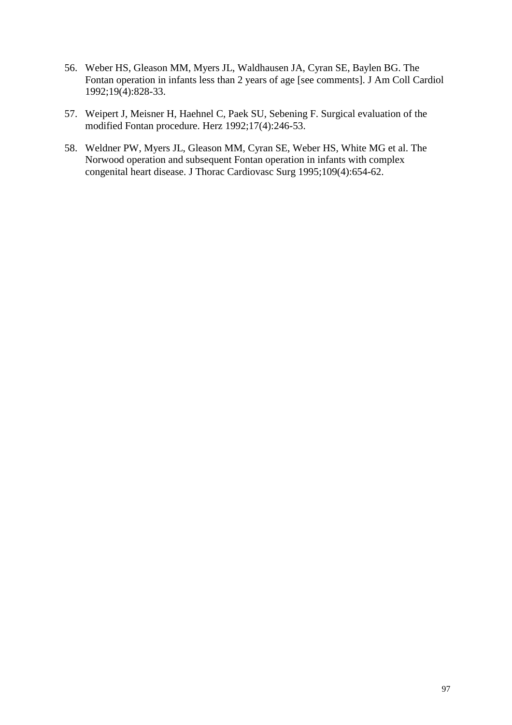- 56. Weber HS, Gleason MM, Myers JL, Waldhausen JA, Cyran SE, Baylen BG. The Fontan operation in infants less than 2 years of age [see comments]. J Am Coll Cardiol 1992;19(4):828-33.
- 57. Weipert J, Meisner H, Haehnel C, Paek SU, Sebening F. Surgical evaluation of the modified Fontan procedure. Herz 1992;17(4):246-53.
- 58. Weldner PW, Myers JL, Gleason MM, Cyran SE, Weber HS, White MG et al. The Norwood operation and subsequent Fontan operation in infants with complex congenital heart disease. J Thorac Cardiovasc Surg 1995;109(4):654-62.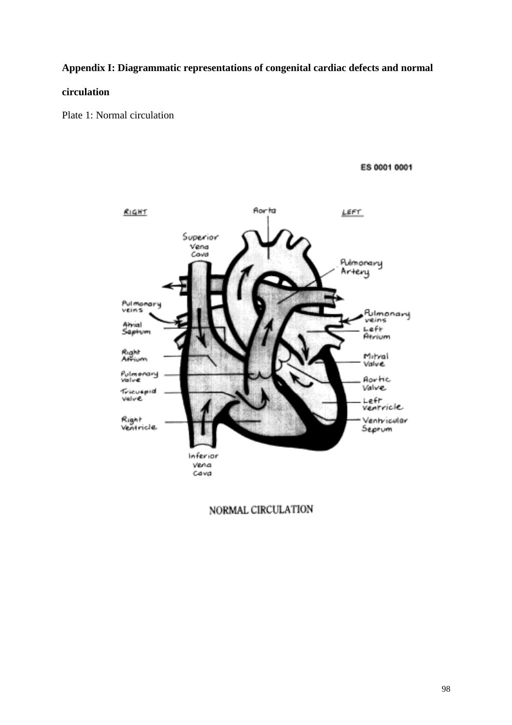#### **Appendix I: Diagrammatic representations of congenital cardiac defects and normal**

#### **circulation**

Plate 1: Normal circulation

ES 0001 0001



NORMAL CIRCULATION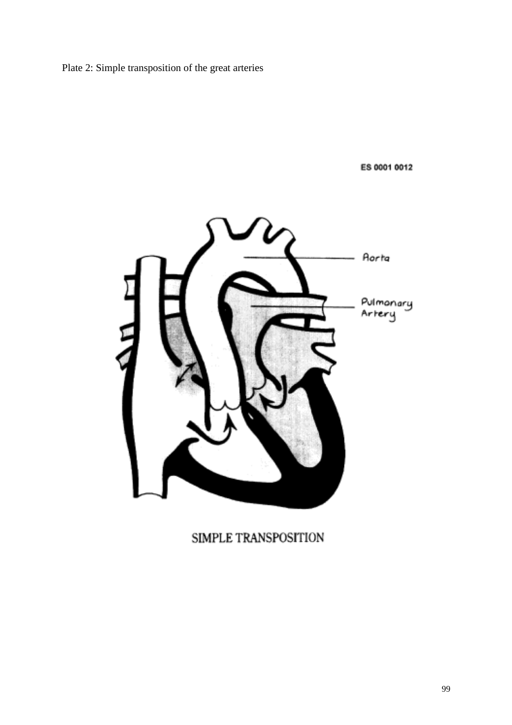Plate 2: Simple transposition of the great arteries

ES 0001 0012



# SIMPLE TRANSPOSITION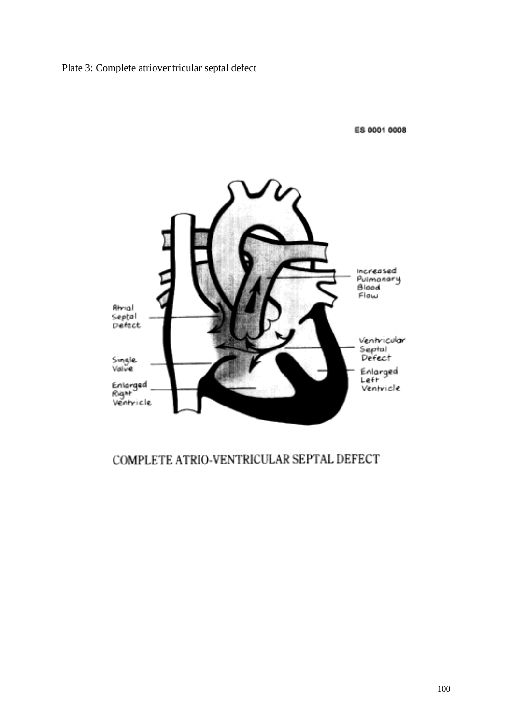Plate 3: Complete atrioventricular septal defect

ES 0001 0008



# COMPLETE ATRIO-VENTRICULAR SEPTAL DEFECT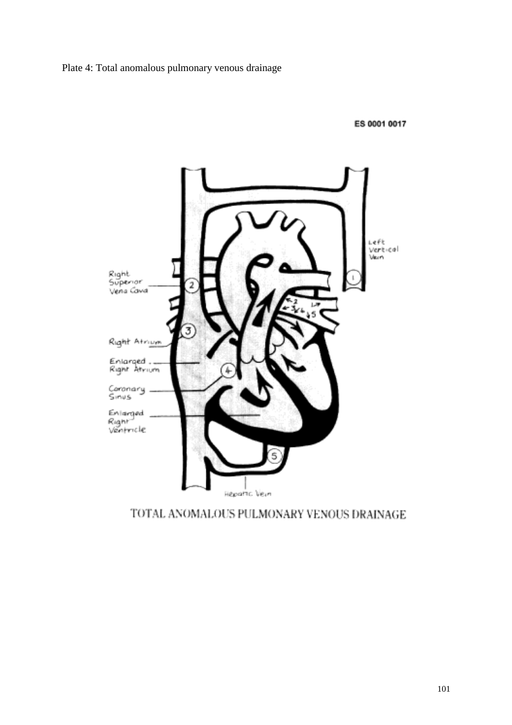Plate 4: Total anomalous pulmonary venous drainage

ES 0001 0017



TOTAL ANOMALOUS PULMONARY VENOUS DRAINAGE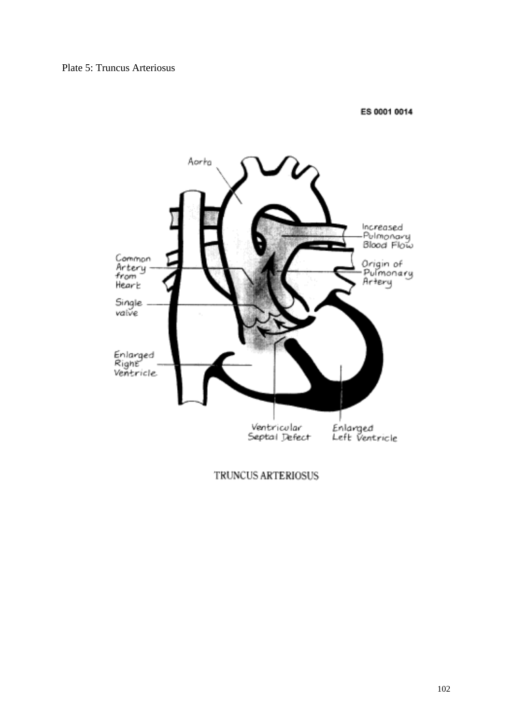#### Plate 5: Truncus Arteriosus

#### ES 0001 0014



TRUNCUS ARTERIOSUS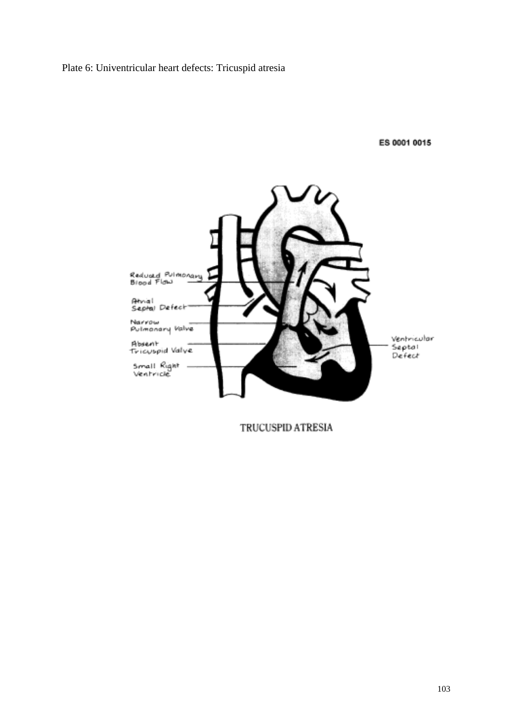## Plate 6: Univentricular heart defects: Tricuspid atresia

ES 0001 0015



TRUCUSPID ATRESIA